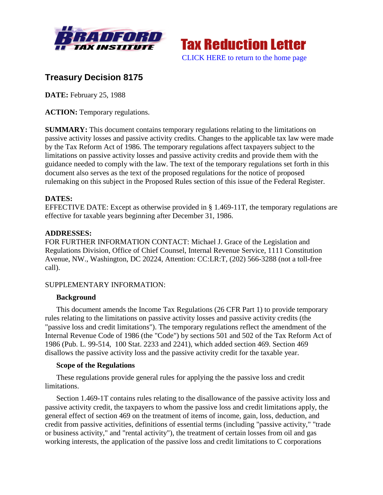



# **Treasury Decision 8175**

**DATE:** February 25, 1988

**ACTION:** Temporary regulations.

**SUMMARY:** This document contains temporary regulations relating to the limitations on passive activity losses and passive activity credits. Changes to the applicable tax law were made by the Tax Reform Act of 1986. The temporary regulations affect taxpayers subject to the limitations on passive activity losses and passive activity credits and provide them with the guidance needed to comply with the law. The text of the temporary regulations set forth in this document also serves as the text of the proposed regulations for the notice of proposed rulemaking on this subject in the Proposed Rules section of this issue of the Federal Register.

## **DATES:**

EFFECTIVE DATE: Except as otherwise provided in § 1.469-11T, the temporary regulations are effective for taxable years beginning after December 31, 1986.

## **ADDRESSES:**

FOR FURTHER INFORMATION CONTACT: Michael J. Grace of the Legislation and Regulations Division, Office of Chief Counsel, Internal Revenue Service, 1111 Constitution Avenue, NW., Washington, DC 20224, Attention: CC:LR:T, (202) 566-3288 (not a toll-free call).

## SUPPLEMENTARY INFORMATION:

## **Background**

This document amends the Income Tax Regulations (26 CFR Part 1) to provide temporary rules relating to the limitations on passive activity losses and passive activity credits (the "passive loss and credit limitations"). The temporary regulations reflect the amendment of the Internal Revenue Code of 1986 (the "Code") by sections 501 and 502 of the Tax Reform Act of 1986 (Pub. L. 99-514, 100 Stat. 2233 and 2241), which added section 469. Section 469 disallows the passive activity loss and the passive activity credit for the taxable year.

## **Scope of the Regulations**

These regulations provide general rules for applying the the passive loss and credit limitations.

Section 1.469-1T contains rules relating to the disallowance of the passive activity loss and passive activity credit, the taxpayers to whom the passive loss and credit limitations apply, the general effect of section 469 on the treatment of items of income, gain, loss, deduction, and credit from passive activities, definitions of essential terms (including "passive activity," "trade or business activity," and "rental activity"), the treatment of certain losses from oil and gas working interests, the application of the passive loss and credit limitations to C corporations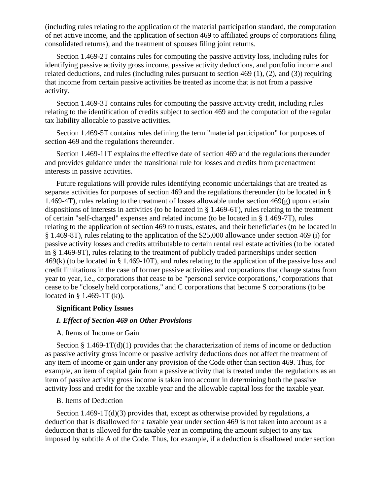(including rules relating to the application of the material participation standard, the computation of net active income, and the application of section 469 to affiliated groups of corporations filing consolidated returns), and the treatment of spouses filing joint returns.

Section 1.469-2T contains rules for computing the passive activity loss, including rules for identifying passive activity gross income, passive activity deductions, and portfolio income and related deductions, and rules (including rules pursuant to section 469 (1), (2), and (3)) requiring that income from certain passive activities be treated as income that is not from a passive activity.

Section 1.469-3T contains rules for computing the passive activity credit, including rules relating to the identification of credits subject to section 469 and the computation of the regular tax liability allocable to passive activities.

Section 1.469-5T contains rules defining the term "material participation" for purposes of section 469 and the regulations thereunder.

Section 1.469-11T explains the effective date of section 469 and the regulations thereunder and provides guidance under the transitional rule for losses and credits from preenactment interests in passive activities.

Future regulations will provide rules identifying economic undertakings that are treated as separate activities for purposes of section 469 and the regulations thereunder (to be located in § 1.469-4T), rules relating to the treatment of losses allowable under section  $469(g)$  upon certain dispositions of interests in activities (to be located in § 1.469-6T), rules relating to the treatment of certain "self-charged" expenses and related income (to be located in § 1.469-7T), rules relating to the application of section 469 to trusts, estates, and their beneficiaries (to be located in § 1.469-8T), rules relating to the application of the \$25,000 allowance under section 469 (i) for passive activity losses and credits attributable to certain rental real estate activities (to be located in § 1.469-9T), rules relating to the treatment of publicly traded partnerships under section 469(k) (to be located in § 1.469-10T), and rules relating to the application of the passive loss and credit limitations in the case of former passive activities and corporations that change status from year to year, i.e., corporations that cease to be "personal service corporations," corporations that cease to be "closely held corporations," and C corporations that become S corporations (to be located in § 1.469-1T (k)).

## **Significant Policy Issues**

### *I. Effect of Section 469 on Other Provisions*

#### A. Items of Income or Gain

Section  $\S 1.469-1T(d)(1)$  provides that the characterization of items of income or deduction as passive activity gross income or passive activity deductions does not affect the treatment of any item of income or gain under any provision of the Code other than section 469. Thus, for example, an item of capital gain from a passive activity that is treated under the regulations as an item of passive activity gross income is taken into account in determining both the passive activity loss and credit for the taxable year and the allowable capital loss for the taxable year.

## B. Items of Deduction

Section  $1.469 - 1T(d)(3)$  provides that, except as otherwise provided by regulations, a deduction that is disallowed for a taxable year under section 469 is not taken into account as a deduction that is allowed for the taxable year in computing the amount subject to any tax imposed by subtitle A of the Code. Thus, for example, if a deduction is disallowed under section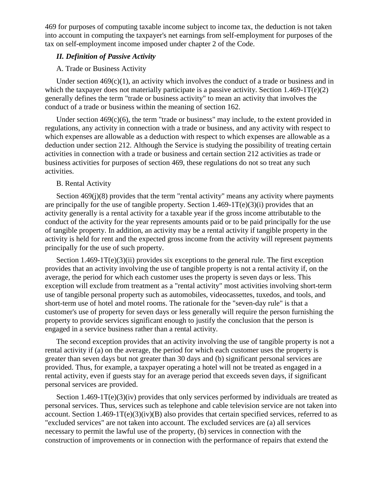469 for purposes of computing taxable income subject to income tax, the deduction is not taken into account in computing the taxpayer's net earnings from self-employment for purposes of the tax on self-employment income imposed under chapter 2 of the Code.

## *II. Definition of Passive Activity*

## A. Trade or Business Activity

Under section  $469(c)(1)$ , an activity which involves the conduct of a trade or business and in which the taxpayer does not materially participate is a passive activity. Section 1.469-1T(e)(2) generally defines the term "trade or business activity" to mean an activity that involves the conduct of a trade or business within the meaning of section 162.

Under section  $469(c)(6)$ , the term "trade or business" may include, to the extent provided in regulations, any activity in connection with a trade or business, and any activity with respect to which expenses are allowable as a deduction with respect to which expenses are allowable as a deduction under section 212. Although the Service is studying the possibility of treating certain activities in connection with a trade or business and certain section 212 activities as trade or business activities for purposes of section 469, these regulations do not so treat any such activities.

### B. Rental Activity

Section 469(j)(8) provides that the term "rental activity" means any activity where payments are principally for the use of tangible property. Section  $1.469-1T(e)(3)(i)$  provides that an activity generally is a rental activity for a taxable year if the gross income attributable to the conduct of the activity for the year represents amounts paid or to be paid principally for the use of tangible property. In addition, an activity may be a rental activity if tangible property in the activity is held for rent and the expected gross income from the activity will represent payments principally for the use of such property.

Section  $1.469-1T(e)(3)(ii)$  provides six exceptions to the general rule. The first exception provides that an activity involving the use of tangible property is not a rental activity if, on the average, the period for which each customer uses the property is seven days or less. This exception will exclude from treatment as a "rental activity" most activities involving short-term use of tangible personal property such as automobiles, videocassettes, tuxedos, and tools, and short-term use of hotel and motel rooms. The rationale for the "seven-day rule" is that a customer's use of property for seven days or less generally will require the person furnishing the property to provide services significant enough to justify the conclusion that the person is engaged in a service business rather than a rental activity.

The second exception provides that an activity involving the use of tangible property is not a rental activity if (a) on the average, the period for which each customer uses the property is greater than seven days but not greater than 30 days and (b) significant personal services are provided. Thus, for example, a taxpayer operating a hotel will not be treated as engaged in a rental activity, even if guests stay for an average period that exceeds seven days, if significant personal services are provided.

Section  $1.469 \text{-} 1 \text{T}(e)(3)(iv)$  provides that only services performed by individuals are treated as personal services. Thus, services such as telephone and cable television service are not taken into account. Section  $1.469 \cdot 1 \text{T}(e)(3)(iv)(B)$  also provides that certain specified services, referred to as "excluded services" are not taken into account. The excluded services are (a) all services necessary to permit the lawful use of the property, (b) services in connection with the construction of improvements or in connection with the performance of repairs that extend the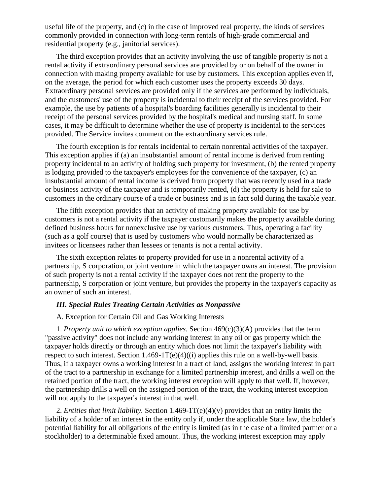useful life of the property, and (c) in the case of improved real property, the kinds of services commonly provided in connection with long-term rentals of high-grade commercial and residential property (e.g., janitorial services).

The third exception provides that an activity involving the use of tangible property is not a rental activity if extraordinary personal services are provided by or on behalf of the owner in connection with making property available for use by customers. This exception applies even if, on the average, the period for which each customer uses the property exceeds 30 days. Extraordinary personal services are provided only if the services are performed by individuals, and the customers' use of the property is incidental to their receipt of the services provided. For example, the use by patients of a hospital's boarding facilities generally is incidental to their receipt of the personal services provided by the hospital's medical and nursing staff. In some cases, it may be difficult to determine whether the use of property is incidental to the services provided. The Service invites comment on the extraordinary services rule.

The fourth exception is for rentals incidental to certain nonrental activities of the taxpayer. This exception applies if (a) an insubstantial amount of rental income is derived from renting property incidental to an activity of holding such property for investment, (b) the rented property is lodging provided to the taxpayer's employees for the convenience of the taxpayer, (c) an insubstantial amount of rental income is derived from property that was recently used in a trade or business activity of the taxpayer and is temporarily rented, (d) the property is held for sale to customers in the ordinary course of a trade or business and is in fact sold during the taxable year.

The fifth exception provides that an activity of making property available for use by customers is not a rental activity if the taxpayer customarily makes the property available during defined business hours for nonexclusive use by various customers. Thus, operating a facility (such as a golf course) that is used by customers who would normally be characterized as invitees or licensees rather than lessees or tenants is not a rental activity.

The sixth exception relates to property provided for use in a nonrental activity of a partnership, S corporation, or joint venture in which the taxpayer owns an interest. The provision of such property is not a rental activity if the taxpayer does not rent the property to the partnership, S corporation or joint venture, but provides the property in the taxpayer's capacity as an owner of such an interest.

### *III. Special Rules Treating Certain Activities as Nonpassive*

## A. Exception for Certain Oil and Gas Working Interests

1. *Property unit to which exception applies.* Section 469(c)(3)(A) provides that the term "passive activity" does not include any working interest in any oil or gas property which the taxpayer holds directly or through an entity which does not limit the taxpayer's liability with respect to such interest. Section  $1.469-1T(e)(4)((i)$  applies this rule on a well-by-well basis. Thus, if a taxpayer owns a working interest in a tract of land, assigns the working interest in part of the tract to a partnership in exchange for a limited partnership interest, and drills a well on the retained portion of the tract, the working interest exception will apply to that well. If, however, the partnership drills a well on the assigned portion of the tract, the working interest exception will not apply to the taxpayer's interest in that well.

2. *Entities that limit liability.* Section 1.469-1T(e)(4)(v) provides that an entity limits the liability of a holder of an interest in the entity only if, under the applicable State law, the holder's potential liability for all obligations of the entity is limited (as in the case of a limited partner or a stockholder) to a determinable fixed amount. Thus, the working interest exception may apply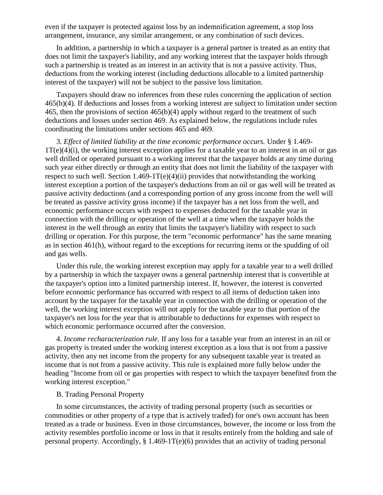even if the taxpayer is protected against loss by an indemnification agreement, a stop loss arrangement, insurance, any similar arrangement, or any combination of such devices.

In addition, a partnership in which a taxpayer is a general partner is treated as an entity that does not limit the taxpayer's liability, and any working interest that the taxpayer holds through such a partnership is treated as an interest in an activity that is not a passive activity. Thus, deductions from the working interest (including deductions allocable to a limited partnership interest of the taxpayer) will not be subject to the passive loss limitation.

Taxpayers should draw no inferences from these rules concerning the application of section 465(b)(4). If deductions and losses from a working interest are subject to limitation under section 465, then the provisions of section 465(b)(4) apply without regard to the treatment of such deductions and losses under section 469. As explained below, the regulations include rules coordinating the limitations under sections 465 and 469.

3. *Effect of limited liability at the time economic performance occurs.* Under § 1.469-  $1T(e)(4)(i)$ , the working interest exception applies for a taxable year to an interest in an oil or gas well drilled or operated pursuant to a working interest that the taxpayer holds at any time during such year either directly or through an entity that does not limit the liability of the taxpayer with respect to such well. Section  $1.469-1T(e)(4)(ii)$  provides that notwithstanding the working interest exception a portion of the taxpayer's deductions from an oil or gas well will be treated as passive activity deductions (and a corresponding portion of any gross income from the well will be treated as passive activity gross income) if the taxpayer has a net loss from the well, and economic performance occurs with respect to expenses deducted for the taxable year in connection with the drilling or operation of the well at a time when the taxpayer holds the interest in the well through an entity that limits the taxpayer's liability with respect to such drilling or operation. For this purpose, the term "economic performance" has the same meaning as in section 461(h), without regard to the exceptions for recurring items or the spudding of oil and gas wells.

Under this rule, the working interest exception may apply for a taxable year to a well drilled by a partnership in which the taxpayer owns a general partnership interest that is convertible at the taxpayer's option into a limited partnership interest. If, however, the interest is converted before economic performance has occurred with respect to all items of deduction taken into account by the taxpayer for the taxable year in connection with the drilling or operation of the well, the working interest exception will not apply for the taxable year to that portion of the taxpayer's net loss for the year that is attributable to deductions for expenses with respect to which economic performance occurred after the conversion.

4. *Income recharacterization rule.* If any loss for a taxable year from an interest in an oil or gas property is treated under the working interest exception as a loss that is not from a passive activity, then any net income from the property for any subsequent taxable year is treated as income that is not from a passive activity. This rule is explained more fully below under the heading "Income from oil or gas properties with respect to which the taxpayer benefited from the working interest exception."

#### B. Trading Personal Property

In some circumstances, the activity of trading personal property (such as securities or commodities or other property of a type that is actively traded) for one's own account has been treated as a trade or business. Even in those circumstances, however, the income or loss from the activity resembles portfolio income or loss in that it results entirely from the holding and sale of personal property. Accordingly, § 1.469-1T(e)(6) provides that an activity of trading personal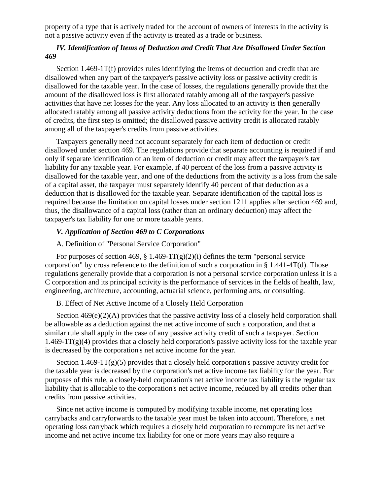property of a type that is actively traded for the account of owners of interests in the activity is not a passive activity even if the activity is treated as a trade or business.

## *IV. Identification of Items of Deduction and Credit That Are Disallowed Under Section 469*

Section 1.469-1T(f) provides rules identifying the items of deduction and credit that are disallowed when any part of the taxpayer's passive activity loss or passive activity credit is disallowed for the taxable year. In the case of losses, the regulations generally provide that the amount of the disallowed loss is first allocated ratably among all of the taxpayer's passive activities that have net losses for the year. Any loss allocated to an activity is then generally allocated ratably among all passive activity deductions from the activity for the year. In the case of credits, the first step is omitted; the disallowed passive activity credit is allocated ratably among all of the taxpayer's credits from passive activities.

Taxpayers generally need not account separately for each item of deduction or credit disallowed under section 469. The regulations provide that separate accounting is required if and only if separate identification of an item of deduction or credit may affect the taxpayer's tax liability for any taxable year. For example, if 40 percent of the loss from a passive activity is disallowed for the taxable year, and one of the deductions from the activity is a loss from the sale of a capital asset, the taxpayer must separately identify 40 percent of that deduction as a deduction that is disallowed for the taxable year. Separate identification of the capital loss is required because the limitation on capital losses under section 1211 applies after section 469 and, thus, the disallowance of a capital loss (rather than an ordinary deduction) may affect the taxpayer's tax liability for one or more taxable years.

## *V. Application of Section 469 to C Corporations*

### A. Definition of "Personal Service Corporation"

For purposes of section 469, § 1.469-1T(g)(2)(i) defines the term "personal service corporation" by cross reference to the definition of such a corporation in § 1.441-4T(d). Those regulations generally provide that a corporation is not a personal service corporation unless it is a C corporation and its principal activity is the performance of services in the fields of health, law, engineering, architecture, accounting, actuarial science, performing arts, or consulting.

#### B. Effect of Net Active Income of a Closely Held Corporation

Section  $469(e)(2)(A)$  provides that the passive activity loss of a closely held corporation shall be allowable as a deduction against the net active income of such a corporation, and that a similar rule shall apply in the case of any passive activity credit of such a taxpayer. Section  $1.469-1T(g)(4)$  provides that a closely held corporation's passive activity loss for the taxable year is decreased by the corporation's net active income for the year.

Section  $1.469 - 1T(g)(5)$  provides that a closely held corporation's passive activity credit for the taxable year is decreased by the corporation's net active income tax liability for the year. For purposes of this rule, a closely-held corporation's net active income tax liability is the regular tax liability that is allocable to the corporation's net active income, reduced by all credits other than credits from passive activities.

Since net active income is computed by modifying taxable income, net operating loss carrybacks and carryforwards to the taxable year must be taken into account. Therefore, a net operating loss carryback which requires a closely held corporation to recompute its net active income and net active income tax liability for one or more years may also require a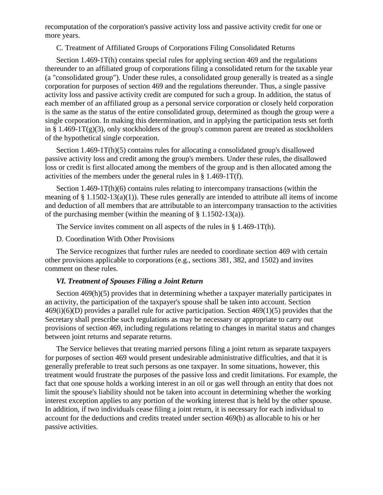recomputation of the corporation's passive activity loss and passive activity credit for one or more years.

C. Treatment of Affiliated Groups of Corporations Filing Consolidated Returns

Section 1.469-1T(h) contains special rules for applying section 469 and the regulations thereunder to an affiliated group of corporations filing a consolidated return for the taxable year (a "consolidated group"). Under these rules, a consolidated group generally is treated as a single corporation for purposes of section 469 and the regulations thereunder. Thus, a single passive activity loss and passive activity credit are computed for such a group. In addition, the status of each member of an affiliated group as a personal service corporation or closely held corporation is the same as the status of the entire consolidated group, determined as though the group were a single corporation. In making this determination, and in applying the participation tests set forth in § 1.469-1 $T(g)(3)$ , only stockholders of the group's common parent are treated as stockholders of the hypothetical single corporation.

Section 1.469-1T(h)(5) contains rules for allocating a consolidated group's disallowed passive activity loss and credit among the group's members. Under these rules, the disallowed loss or credit is first allocated among the members of the group and is then allocated among the activities of the members under the general rules in § 1.469-1T(f).

Section 1.469-1T(h)(6) contains rules relating to intercompany transactions (within the meaning of  $\S 1.1502-13(a)(1)$ . These rules generally are intended to attribute all items of income and deduction of all members that are attributable to an intercompany transaction to the activities of the purchasing member (within the meaning of  $\S$  1.1502-13(a)).

The Service invites comment on all aspects of the rules in § 1.469-1T(h).

D. Coordination With Other Provisions

The Service recognizes that further rules are needed to coordinate section 469 with certain other provisions applicable to corporations (e.g., sections 381, 382, and 1502) and invites comment on these rules.

#### *VI. Treatment of Spouses Filing a Joint Return*

Section 469(h)(5) provides that in determining whether a taxpayer materially participates in an activity, the participation of the taxpayer's spouse shall be taken into account. Section  $469(i)(6)(D)$  provides a parallel rule for active participation. Section  $469(1)(5)$  provides that the Secretary shall prescribe such regulations as may be necessary or appropriate to carry out provisions of section 469, including regulations relating to changes in marital status and changes between joint returns and separate returns.

The Service believes that treating married persons filing a joint return as separate taxpayers for purposes of section 469 would present undesirable administrative difficulties, and that it is generally preferable to treat such persons as one taxpayer. In some situations, however, this treatment would frustrate the purposes of the passive loss and credit limitations. For example, the fact that one spouse holds a working interest in an oil or gas well through an entity that does not limit the spouse's liability should not be taken into account in determining whether the working interest exception applies to any portion of the working interest that is held by the other spouse. In addition, if two individuals cease filing a joint return, it is necessary for each individual to account for the deductions and credits treated under section 469(b) as allocable to his or her passive activities.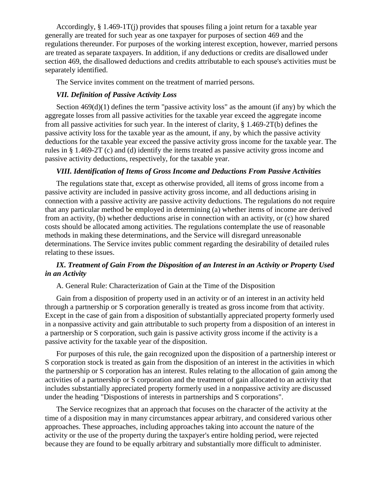Accordingly, § 1.469-1T(j) provides that spouses filing a joint return for a taxable year generally are treated for such year as one taxpayer for purposes of section 469 and the regulations thereunder. For purposes of the working interest exception, however, married persons are treated as separate taxpayers. In addition, if any deductions or credits are disallowed under section 469, the disallowed deductions and credits attributable to each spouse's activities must be separately identified.

The Service invites comment on the treatment of married persons.

## *VII. Definition of Passive Activity Loss*

Section  $469(d)(1)$  defines the term "passive activity loss" as the amount (if any) by which the aggregate losses from all passive activities for the taxable year exceed the aggregate income from all passive activities for such year. In the interest of clarity, § 1.469-2T(b) defines the passive activity loss for the taxable year as the amount, if any, by which the passive activity deductions for the taxable year exceed the passive activity gross income for the taxable year. The rules in § 1.469-2T (c) and (d) identify the items treated as passive activity gross income and passive activity deductions, respectively, for the taxable year.

#### *VIII. Identification of Items of Gross Income and Deductions From Passive Activities*

The regulations state that, except as otherwise provided, all items of gross income from a passive activity are included in passive activity gross income, and all deductions arising in connection with a passive activity are passive activity deductions. The regulations do not require that any particular method be employed in determining (a) whether items of income are derived from an activity, (b) whether deductions arise in connection with an activity, or (c) how shared costs should be allocated among activities. The regulations contemplate the use of reasonable methods in making these determinations, and the Service will disregard unreasonable determinations. The Service invites public comment regarding the desirability of detailed rules relating to these issues.

## *IX. Treatment of Gain From the Disposition of an Interest in an Activity or Property Used in an Activity*

A. General Rule: Characterization of Gain at the Time of the Disposition

Gain from a disposition of property used in an activity or of an interest in an activity held through a partnership or S corporation generally is treated as gross income from that activity. Except in the case of gain from a disposition of substantially appreciated property formerly used in a nonpassive activity and gain attributable to such property from a disposition of an interest in a partnership or S corporation, such gain is passive activity gross income if the activity is a passive activity for the taxable year of the disposition.

For purposes of this rule, the gain recognized upon the disposition of a partnership interest or S corporation stock is treated as gain from the disposition of an interest in the activities in which the partnership or S corporation has an interest. Rules relating to the allocation of gain among the activities of a partnership or S corporation and the treatment of gain allocated to an activity that includes substantially appreciated property formerly used in a nonpassive activity are discussed under the heading "Dispostions of interests in partnerships and S corporations".

The Service recognizes that an approach that focuses on the character of the activity at the time of a disposition may in many circumstances appear arbitrary, and considered various other approaches. These approaches, including approaches taking into account the nature of the activity or the use of the property during the taxpayer's entire holding period, were rejected because they are found to be equally arbitrary and substantially more difficult to administer.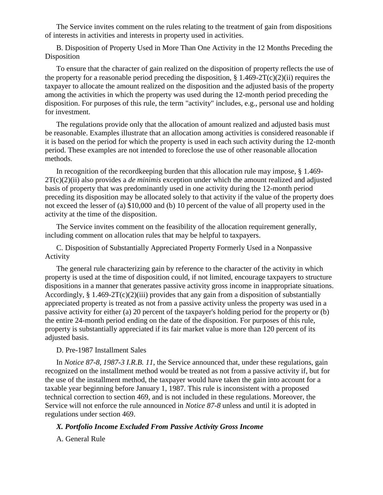The Service invites comment on the rules relating to the treatment of gain from dispositions of interests in activities and interests in property used in activities.

B. Disposition of Property Used in More Than One Activity in the 12 Months Preceding the Disposition

To ensure that the character of gain realized on the disposition of property reflects the use of the property for a reasonable period preceding the disposition,  $\S 1.469-2T(c)(2)(ii)$  requires the taxpayer to allocate the amount realized on the disposition and the adjusted basis of the property among the activities in which the property was used during the 12-month period preceding the disposition. For purposes of this rule, the term "activity" includes, e.g., personal use and holding for investment.

The regulations provide only that the allocation of amount realized and adjusted basis must be reasonable. Examples illustrate that an allocation among activities is considered reasonable if it is based on the period for which the property is used in each such activity during the 12-month period. These examples are not intended to foreclose the use of other reasonable allocation methods.

In recognition of the recordkeeping burden that this allocation rule may impose, § 1.469- 2T(c)(2)(ii) also provides a *de minimis* exception under which the amount realized and adjusted basis of property that was predominantly used in one activity during the 12-month period preceding its disposition may be allocated solely to that activity if the value of the property does not exceed the lesser of (a) \$10,000 and (b) 10 percent of the value of all property used in the activity at the time of the disposition.

The Service invites comment on the feasibility of the allocation requirement generally, including comment on allocation rules that may be helpful to taxpayers.

C. Disposition of Substantially Appreciated Property Formerly Used in a Nonpassive Activity

The general rule characterizing gain by reference to the character of the activity in which property is used at the time of disposition could, if not limited, encourage taxpayers to structure dispositions in a manner that generates passive activity gross income in inappropriate situations. Accordingly,  $\S 1.469-2T(c)(2)(iii)$  provides that any gain from a disposition of substantially appreciated property is treated as not from a passive activity unless the property was used in a passive activity for either (a) 20 percent of the taxpayer's holding period for the property or (b) the entire 24-month period ending on the date of the disposition. For purposes of this rule, property is substantially appreciated if its fair market value is more than 120 percent of its adjusted basis.

#### D. Pre-1987 Installment Sales

In *Notice 87-8, 1987-3 I.R.B. 11,* the Service announced that, under these regulations, gain recognized on the installment method would be treated as not from a passive activity if, but for the use of the installment method, the taxpayer would have taken the gain into account for a taxable year beginning before January 1, 1987. This rule is inconsistent with a proposed technical correction to section 469, and is not included in these regulations. Moreover, the Service will not enforce the rule announced in *Notice 87-8* unless and until it is adopted in regulations under section 469.

## *X. Portfolio Income Excluded From Passive Activity Gross Income*

A. General Rule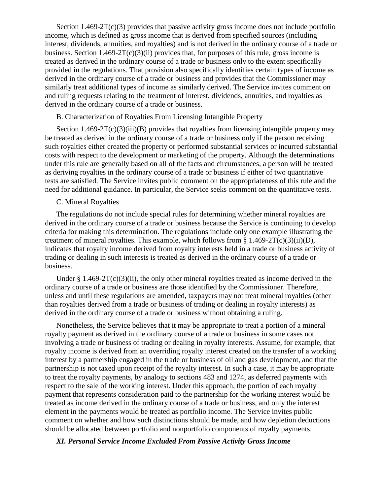Section  $1.469-2T(c)(3)$  provides that passive activity gross income does not include portfolio income, which is defined as gross income that is derived from specified sources (including interest, dividends, annuities, and royalties) and is not derived in the ordinary course of a trade or business. Section 1.469-2T(c)(3)(ii) provides that, for purposes of this rule, gross income is treated as derived in the ordinary course of a trade or business only to the extent specifically provided in the regulations. That provision also specifically identifies certain types of income as derived in the ordinary course of a trade or business and provides that the Commissioner may similarly treat additional types of income as similarly derived. The Service invites comment on and ruling requests relating to the treatment of interest, dividends, annuities, and royalties as derived in the ordinary course of a trade or business.

#### B. Characterization of Royalties From Licensing Intangible Property

Section  $1.469-2T(c)(3)(iii)(B)$  provides that royalties from licensing intangible property may be treated as derived in the ordinary course of a trade or business only if the person receiving such royalties either created the property or performed substantial services or incurred substantial costs with respect to the development or marketing of the property. Although the determinations under this rule are generally based on all of the facts and circumstances, a person will be treated as deriving royalties in the ordinary course of a trade or business if either of two quantitative tests are satisfied. The Service invites public comment on the appropriateness of this rule and the need for additional guidance. In particular, the Service seeks comment on the quantitative tests.

#### C. Mineral Royalties

The regulations do not include special rules for determining whether mineral royalties are derived in the ordinary course of a trade or business because the Service is continuing to develop criteria for making this determination. The regulations include only one example illustrating the treatment of mineral royalties. This example, which follows from § 1.469-2T(c)(3)(ii)(D), indicates that royalty income derived from royalty interests held in a trade or business activity of trading or dealing in such interests is treated as derived in the ordinary course of a trade or business.

Under  $\S 1.469-2T(c)(3)(ii)$ , the only other mineral royalties treated as income derived in the ordinary course of a trade or business are those identified by the Commissioner. Therefore, unless and until these regulations are amended, taxpayers may not treat mineral royalties (other than royalties derived from a trade or business of trading or dealing in royalty interests) as derived in the ordinary course of a trade or business without obtaining a ruling.

Nonetheless, the Service believes that it may be appropriate to treat a portion of a mineral royalty payment as derived in the ordinary course of a trade or business in some cases not involving a trade or business of trading or dealing in royalty interests. Assume, for example, that royalty income is derived from an overriding royalty interest created on the transfer of a working interest by a partnership engaged in the trade or business of oil and gas development, and that the partnership is not taxed upon receipt of the royalty interest. In such a case, it may be appropriate to treat the royalty payments, by analogy to sections 483 and 1274, as deferred payments with respect to the sale of the working interest. Under this approach, the portion of each royalty payment that represents consideration paid to the partnership for the working interest would be treated as income derived in the ordinary course of a trade or business, and only the interest element in the payments would be treated as portfolio income. The Service invites public comment on whether and how such distinctions should be made, and how depletion deductions should be allocated between portfolio and nonportfolio components of royalty payments.

#### *XI. Personal Service Income Excluded From Passive Activity Gross Income*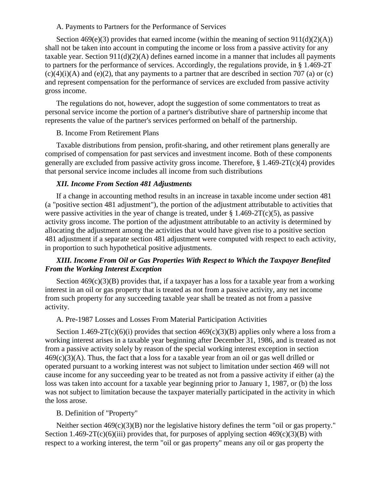#### A. Payments to Partners for the Performance of Services

Section  $469(e)(3)$  provides that earned income (within the meaning of section  $911(d)(2)(A)$ ) shall not be taken into account in computing the income or loss from a passive activity for any taxable year. Section 911(d)(2)(A) defines earned income in a manner that includes all payments to partners for the performance of services. Accordingly, the regulations provide, in § 1.469-2T  $(c)(4)(i)(A)$  and  $(e)(2)$ , that any payments to a partner that are described in section 707 (a) or (c) and represent compensation for the performance of services are excluded from passive activity gross income.

The regulations do not, however, adopt the suggestion of some commentators to treat as personal service income the portion of a partner's distributive share of partnership income that represents the value of the partner's services performed on behalf of the partnership.

#### B. Income From Retirement Plans

Taxable distributions from pension, profit-sharing, and other retirement plans generally are comprised of compensation for past services and investment income. Both of these components generally are excluded from passive activity gross income. Therefore, § 1.469-2T(c)(4) provides that personal service income includes all income from such distributions

#### *XII. Income From Section 481 Adjustments*

If a change in accounting method results in an increase in taxable income under section 481 (a "positive section 481 adjustment"), the portion of the adjustment attributable to activities that were passive activities in the year of change is treated, under  $\S 1.469-2T(c)(5)$ , as passive activity gross income. The portion of the adjustment attributable to an activity is determined by allocating the adjustment among the activities that would have given rise to a positive section 481 adjustment if a separate section 481 adjustment were computed with respect to each activity, in proportion to such hypothetical positive adjustments.

## *XIII. Income From Oil or Gas Properties With Respect to Which the Taxpayer Benefited From the Working Interest Exception*

Section  $469(c)(3)(B)$  provides that, if a taxpayer has a loss for a taxable year from a working interest in an oil or gas property that is treated as not from a passive activity, any net income from such property for any succeeding taxable year shall be treated as not from a passive activity.

#### A. Pre-1987 Losses and Losses From Material Participation Activities

Section 1.469-2T(c)(6)(i) provides that section  $469(c)(3)(B)$  applies only where a loss from a working interest arises in a taxable year beginning after December 31, 1986, and is treated as not from a passive activity solely by reason of the special working interest exception in section  $469(c)(3)(A)$ . Thus, the fact that a loss for a taxable year from an oil or gas well drilled or operated pursuant to a working interest was not subject to limitation under section 469 will not cause income for any succeeding year to be treated as not from a passive activity if either (a) the loss was taken into account for a taxable year beginning prior to January 1, 1987, or (b) the loss was not subject to limitation because the taxpayer materially participated in the activity in which the loss arose.

## B. Definition of "Property"

Neither section  $469(c)(3)(B)$  nor the legislative history defines the term "oil or gas property." Section 1.469-2T(c)(6)(iii) provides that, for purposes of applying section  $469(c)(3)(B)$  with respect to a working interest, the term "oil or gas property" means any oil or gas property the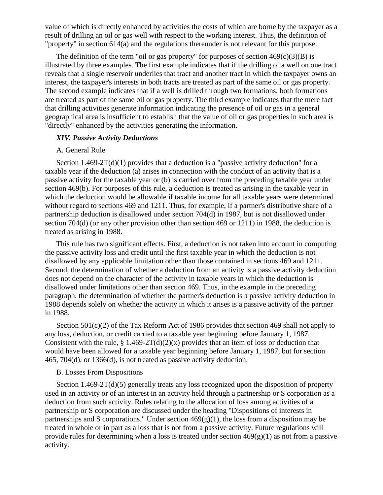value of which is directly enhanced by activities the costs of which are borne by the taxpayer as a result of drilling an oil or gas well with respect to the working interest. Thus, the definition of "property" in section 614(a) and the regulations thereunder is not relevant for this purpose.

The definition of the term "oil or gas property" for purposes of section  $469(c)(3)(B)$  is illustrated by three examples. The first example indicates that if the drilling of a well on one tract reveals that a single reservoir underlies that tract and another tract in which the taxpayer owns an interest, the taxpayer's interests in both tracts are treated as part of the same oil or gas property. The second example indicates that if a well is drilled through two formations, both formations are treated as part of the same oil or gas property. The third example indicates that the mere fact that drilling activities generate information indicating the presence of oil or gas in a general geographical area is insufficient to establish that the value of oil or gas properties in such area is "directly" enhanced by the activities generating the information.

#### *XIV. Passive Activity Deductions*

#### A. General Rule

Section  $1.469-2T(d)(1)$  provides that a deduction is a "passive activity deduction" for a taxable year if the deduction (a) arises in connection with the conduct of an activity that is a passive activity for the taxable year or (b) is carried over from the preceding taxable year under section 469(b). For purposes of this rule, a deduction is treated as arising in the taxable year in which the deduction would be allowable if taxable income for all taxable years were determined without regard to sections 469 and 1211. Thus, for example, if a partner's distributive share of a partnership deduction is disallowed under section 704(d) in 1987, but is not disallowed under section 704(d) (or any other provision other than section 469 or 1211) in 1988, the deduction is treated as arising in 1988.

This rule has two significant effects. First, a deduction is not taken into account in computing the passive activity loss and credit until the first taxable year in which the deduction is not disallowed by any applicable limitation other than those contained in sections 469 and 1211. Second, the determination of whether a deduction from an activity is a passive activity deduction does not depend on the character of the activity in taxable years in which the deduction is disallowed under limitations other than section 469. Thus, in the example in the preceding paragraph, the determination of whether the partner's deduction is a passive activity deduction in 1988 depends solely on whether the activity in which it arises is a passive activity of the partner in 1988.

Section 501(c)(2) of the Tax Reform Act of 1986 provides that section 469 shall not apply to any loss, deduction, or credit carried to a taxable year beginning before January 1, 1987. Consistent with the rule,  $\S 1.469-2T(d)(2)(x)$  provides that an item of loss or deduction that would have been allowed for a taxable year beginning before January 1, 1987, but for section 465, 704(d), or 1366(d), is not treated as passive activity deduction.

## B. Losses From Dispositions

Section 1.469-2T(d)(5) generally treats any loss recognized upon the disposition of property used in an activity or of an interest in an activity held through a partnership or S corporation as a deduction from such activity. Rules relating to the allocation of loss among activities of a partnership or S corporation are discussed under the heading "Dispositions of interests in partnerships and S corporations." Under section 469(g)(1), the loss from a disposition may be treated in whole or in part as a loss that is not from a passive activity. Future regulations will provide rules for determining when a loss is treated under section  $469(g)(1)$  as not from a passive activity.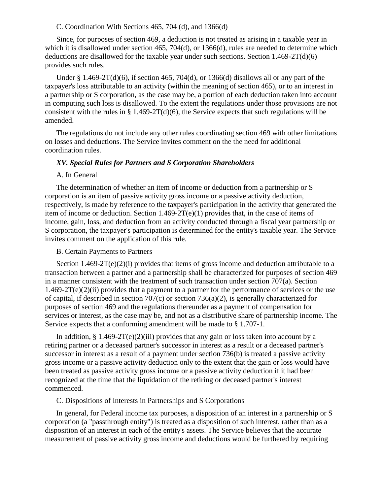#### C. Coordination With Sections 465, 704 (d), and 1366(d)

Since, for purposes of section 469, a deduction is not treated as arising in a taxable year in which it is disallowed under section 465, 704(d), or 1366(d), rules are needed to determine which deductions are disallowed for the taxable year under such sections. Section 1.469-2T(d)(6) provides such rules.

Under § 1.469-2T(d)(6), if section 465, 704(d), or 1366(d) disallows all or any part of the taxpayer's loss attributable to an activity (within the meaning of section 465), or to an interest in a partnership or S corporation, as the case may be, a portion of each deduction taken into account in computing such loss is disallowed. To the extent the regulations under those provisions are not consistent with the rules in  $\S$  1.469-2T(d)(6), the Service expects that such regulations will be amended.

The regulations do not include any other rules coordinating section 469 with other limitations on losses and deductions. The Service invites comment on the the need for additional coordination rules.

## *XV. Special Rules for Partners and S Corporation Shareholders*

## A. In General

The determination of whether an item of income or deduction from a partnership or S corporation is an item of passive activity gross income or a passive activity deduction, respectively, is made by reference to the taxpayer's participation in the activity that generated the item of income or deduction. Section 1.469-2T(e)(1) provides that, in the case of items of income, gain, loss, and deduction from an activity conducted through a fiscal year partnership or S corporation, the taxpayer's participation is determined for the entity's taxable year. The Service invites comment on the application of this rule.

## B. Certain Payments to Partners

Section  $1.469-2T(e)(2)(i)$  provides that items of gross income and deduction attributable to a transaction between a partner and a partnership shall be characterized for purposes of section 469 in a manner consistent with the treatment of such transaction under section 707(a). Section  $1.469-2T(e)(2)(ii)$  provides that a payment to a partner for the performance of services or the use of capital, if described in section 707(c) or section 736(a)(2), is generally characterized for purposes of section 469 and the regulations thereunder as a payment of compensation for services or interest, as the case may be, and not as a distributive share of partnership income. The Service expects that a conforming amendment will be made to § 1.707-1.

In addition,  $\S 1.469-2T(e)(2)(iii)$  provides that any gain or loss taken into account by a retiring partner or a deceased partner's successor in interest as a result or a deceased partner's successor in interest as a result of a payment under section 736(b) is treated a passive activity gross income or a passive activity deduction only to the extent that the gain or loss would have been treated as passive activity gross income or a passive activity deduction if it had been recognized at the time that the liquidation of the retiring or deceased partner's interest commenced.

C. Dispositions of Interests in Partnerships and S Corporations

In general, for Federal income tax purposes, a disposition of an interest in a partnership or S corporation (a "passthrough entity") is treated as a disposition of such interest, rather than as a disposition of an interest in each of the entity's assets. The Service believes that the accurate measurement of passive activity gross income and deductions would be furthered by requiring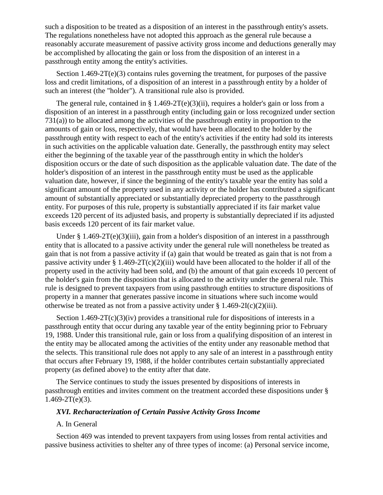such a disposition to be treated as a disposition of an interest in the passthrough entity's assets. The regulations nonetheless have not adopted this approach as the general rule because a reasonably accurate measurement of passive activity gross income and deductions generally may be accomplished by allocating the gain or loss from the disposition of an interest in a passthrough entity among the entity's activities.

Section 1.469-2T(e)(3) contains rules governing the treatment, for purposes of the passive loss and credit limitations, of a disposition of an interest in a passthrough entity by a holder of such an interest (the "holder"). A transitional rule also is provided.

The general rule, contained in § 1.469-2T(e)(3)(ii), requires a holder's gain or loss from a disposition of an interest in a passthrough entity (including gain or loss recognized under section 731(a)) to be allocated among the activities of the passthrough entity in proportion to the amounts of gain or loss, respectively, that would have been allocated to the holder by the passthrough entity with respect to each of the entity's activities if the entity had sold its interests in such activities on the applicable valuation date. Generally, the passthrough entity may select either the beginning of the taxable year of the passthrough entity in which the holder's disposition occurs or the date of such disposition as the applicable valuation date. The date of the holder's disposition of an interest in the passthrough entity must be used as the applicable valuation date, however, if since the beginning of the entity's taxable year the entity has sold a significant amount of the property used in any activity or the holder has contributed a significant amount of substantially appreciated or substantially depreciated property to the passthrough entity. For purposes of this rule, property is substantially appreciated if its fair market value exceeds 120 percent of its adjusted basis, and property is substantially depreciated if its adjusted basis exceeds 120 percent of its fair market value.

Under § 1.469-2T(e)(3)(iii), gain from a holder's disposition of an interest in a passthrough entity that is allocated to a passive activity under the general rule will nonetheless be treated as gain that is not from a passive activity if (a) gain that would be treated as gain that is not from a passive activity under  $\S 1.469-2T(c)(2)(iii)$  would have been allocated to the holder if all of the property used in the activity had been sold, and (b) the amount of that gain exceeds 10 percent of the holder's gain from the disposition that is allocated to the activity under the general rule. This rule is designed to prevent taxpayers from using passthrough entities to structure dispositions of property in a manner that generates passive income in situations where such income would otherwise be treated as not from a passive activity under  $\S 1.469-2I(c)(2)(iii)$ .

Section  $1.469-2T(c)(3)(iv)$  provides a transitional rule for dispositions of interests in a passthrough entity that occur during any taxable year of the entity beginning prior to February 19, 1988. Under this transitional rule, gain or loss from a qualifying disposition of an interest in the entity may be allocated among the activities of the entity under any reasonable method that the selects. This transitional rule does not apply to any sale of an interest in a passthrough entity that occurs after February 19, 1988, if the holder contributes certain substantially appreciated property (as defined above) to the entity after that date.

The Service continues to study the issues presented by dispositions of interests in passthrough entities and invites comment on the treatment accorded these dispositions under §  $1.469 - 2T(e)(3)$ .

#### *XVI. Recharacterization of Certain Passive Activity Gross Income*

## A. In General

Section 469 was intended to prevent taxpayers from using losses from rental activities and passive business activities to shelter any of three types of income: (a) Personal service income,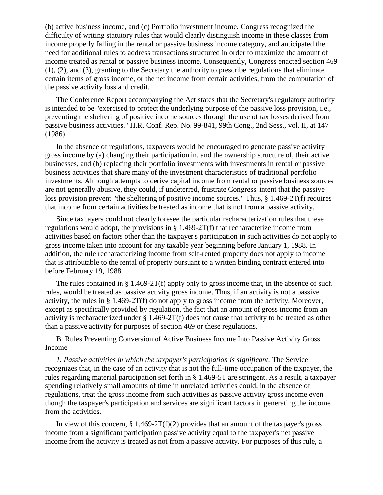(b) active business income, and (c) Portfolio investment income. Congress recognized the difficulty of writing statutory rules that would clearly distinguish income in these classes from income properly falling in the rental or passive business income category, and anticipated the need for additional rules to address transactions structured in order to maximize the amount of income treated as rental or passive business income. Consequently, Congress enacted section 469 (1), (2), and (3), granting to the Secretary the authority to prescribe regulations that eliminate certain items of gross income, or the net income from certain activities, from the computation of the passive activity loss and credit.

The Conference Report accompanying the Act states that the Secretary's regulatory authority is intended to be "exercised to protect the underlying purpose of the passive loss provision, i.e., preventing the sheltering of positive income sources through the use of tax losses derived from passive business activities." H.R. Conf. Rep. No. 99-841, 99th Cong., 2nd Sess., vol. II, at 147 (1986).

In the absence of regulations, taxpayers would be encouraged to generate passive activity gross income by (a) changing their participation in, and the ownership structure of, their active businesses, and (b) replacing their portfolio investments with investments in rental or passive business activities that share many of the investment characteristics of traditional portfolio investments. Although attempts to derive capital income from rental or passive business sources are not generally abusive, they could, if undeterred, frustrate Congress' intent that the passive loss provision prevent "the sheltering of positive income sources." Thus, § 1.469-2T(f) requires that income from certain activities be treated as income that is not from a passive activity.

Since taxpayers could not clearly foresee the particular recharacterization rules that these regulations would adopt, the provisions in § 1.469-2T(f) that recharacterize income from activities based on factors other than the taxpayer's participation in such activities do not apply to gross income taken into account for any taxable year beginning before January 1, 1988. In addition, the rule recharacterizing income from self-rented property does not apply to income that is attributable to the rental of property pursuant to a written binding contract entered into before February 19, 1988.

The rules contained in § 1.469-2T(f) apply only to gross income that, in the absence of such rules, would be treated as passive activity gross income. Thus, if an activity is not a passive activity, the rules in § 1.469-2T(f) do not apply to gross income from the activity. Moreover, except as specifically provided by regulation, the fact that an amount of gross income from an activity is recharacterized under § 1.469-2T(f) does not cause that activity to be treated as other than a passive activity for purposes of section 469 or these regulations.

B. Rules Preventing Conversion of Active Business Income Into Passive Activity Gross Income

*1. Passive activities in which the taxpayer's participation is significant.* The Service recognizes that, in the case of an activity that is not the full-time occupation of the taxpayer, the rules regarding material participation set forth in § 1.469-5T are stringent. As a result, a taxpayer spending relatively small amounts of time in unrelated activities could, in the absence of regulations, treat the gross income from such activities as passive activity gross income even though the taxpayer's participation and services are significant factors in generating the income from the activities.

In view of this concern,  $\S 1.469-2T(f)(2)$  provides that an amount of the taxpayer's gross income from a significant participation passive activity equal to the taxpayer's net passive income from the activity is treated as not from a passive activity. For purposes of this rule, a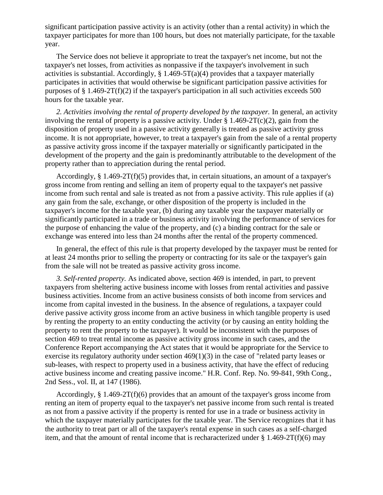significant participation passive activity is an activity (other than a rental activity) in which the taxpayer participates for more than 100 hours, but does not materially participate, for the taxable year.

The Service does not believe it appropriate to treat the taxpayer's net income, but not the taxpayer's net losses, from activities as nonpassive if the taxpayer's involvement in such activities is substantial. Accordingly,  $\S 1.469-5T(a)(4)$  provides that a taxpayer materially participates in activities that would otherwise be significant participation passive activities for purposes of  $\S 1.469-2T(f)(2)$  if the taxpayer's participation in all such activities exceeds 500 hours for the taxable year.

2. Activities involving the rental of property developed by the taxpayer. In general, an activity involving the rental of property is a passive activity. Under  $\S 1.469-2T(c)(2)$ , gain from the disposition of property used in a passive activity generally is treated as passive activity gross income. It is not appropriate, however, to treat a taxpayer's gain from the sale of a rental property as passive activity gross income if the taxpayer materially or significantly participated in the development of the property and the gain is predominantly attributable to the development of the property rather than to appreciation during the rental period.

Accordingly, § 1.469-2T(f)(5) provides that, in certain situations, an amount of a taxpayer's gross income from renting and selling an item of property equal to the taxpayer's net passive income from such rental and sale is treated as not from a passive activity. This rule applies if (a) any gain from the sale, exchange, or other disposition of the property is included in the taxpayer's income for the taxable year, (b) during any taxable year the taxpayer materially or significantly participated in a trade or business activity involving the performance of services for the purpose of enhancing the value of the property, and (c) a binding contract for the sale or exchange was entered into less than 24 months after the rental of the property commenced.

In general, the effect of this rule is that property developed by the taxpayer must be rented for at least 24 months prior to selling the property or contracting for its sale or the taxpayer's gain from the sale will not be treated as passive activity gross income.

*3. Self-rented property.* As indicated above, section 469 is intended, in part, to prevent taxpayers from sheltering active business income with losses from rental activities and passive business activities. Income from an active business consists of both income from services and income from capital invested in the business. In the absence of regulations, a taxpayer could derive passive activity gross income from an active business in which tangible property is used by renting the property to an entity conducting the activity (or by causing an entity holding the property to rent the property to the taxpayer). It would be inconsistent with the purposes of section 469 to treat rental income as passive activity gross income in such cases, and the Conference Report accompanying the Act states that it would be appropriate for the Service to exercise its regulatory authority under section 469(1)(3) in the case of "related party leases or sub-leases, with respect to property used in a business activity, that have the effect of reducing active business income and creating passive income." H.R. Conf. Rep. No. 99-841, 99th Cong., 2nd Sess., vol. II, at 147 (1986).

Accordingly,  $\S 1.469-2T(f)(6)$  provides that an amount of the taxpayer's gross income from renting an item of property equal to the taxpayer's net passive income from such rental is treated as not from a passive activity if the property is rented for use in a trade or business activity in which the taxpayer materially participates for the taxable year. The Service recognizes that it has the authority to treat part or all of the taxpayer's rental expense in such cases as a self-charged item, and that the amount of rental income that is recharacterized under  $\S 1.469-2T(f)(6)$  may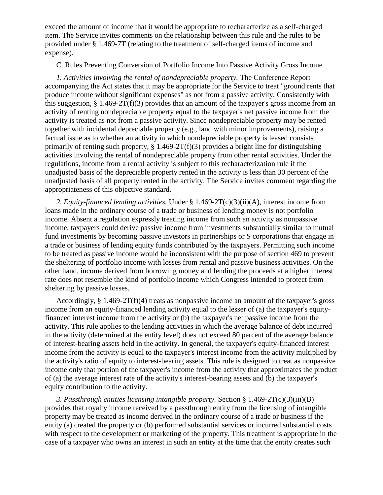exceed the amount of income that it would be appropriate to recharacterize as a self-charged item. The Service invites comments on the relationship between this rule and the rules to be provided under § 1.469-7T (relating to the treatment of self-charged items of income and expense).

C. Rules Preventing Conversion of Portfolio Income Into Passive Activity Gross Income

*1. Activities involving the rental of nondepreciable property.* The Conference Report accompanying the Act states that it may be appropriate for the Service to treat "ground rents that produce income without significant expenses" as not from a passive activity. Consistently with this suggestion,  $\S 1.469-2T(f)(3)$  provides that an amount of the taxpayer's gross income from an activity of renting nondepreciable property equal to the taxpayer's net passive income from the activity is treated as not from a passive activity. Since nondepreciable property may be rented together with incidental depreciable property (e.g., land with minor improvements), raising a factual issue as to whether an activity in which nondepreciable property is leased consists primarily of renting such property,  $\S 1.469-2T(f)(3)$  provides a bright line for distinguishing activities involving the rental of nondepreciable property from other rental activities. Under the regulations, income from a rental activity is subject to this recharacterization rule if the unadjusted basis of the depreciable property rented in the activity is less than 30 percent of the unadjusted basis of all property rented in the activity. The Service invites comment regarding the appropriateness of this objective standard.

*2. Equity-financed lending activities.* Under § 1.469-2T(c)(3)(ii)(A), interest income from loans made in the ordinary course of a trade or business of lending money is not portfolio income. Absent a regulation expressly treating income from such an activity as nonpassive income, taxpayers could derive passive income from investments substantially similar to mutual fund investments by becoming passive investors in partnerships or S corporations that engage in a trade or business of lending equity funds contributed by the taxpayers. Permitting such income to be treated as passive income would be inconsistent with the purpose of section 469 to prevent the sheltering of portfolio income with losses from rental and passive business activities. On the other hand, income derived from borrowing money and lending the proceeds at a higher interest rate does not resemble the kind of portfolio income which Congress intended to protect from sheltering by passive losses.

Accordingly,  $\S 1.469-2T(f)(4)$  treats as nonpassive income an amount of the taxpayer's gross income from an equity-financed lending activity equal to the lesser of (a) the taxpayer's equityfinanced interest income from the activity or (b) the taxpayer's net passive income from the activity. This rule applies to the lending activities in which the average balance of debt incurred in the activity (determined at the entity level) does not exceed 80 percent of the average balance of interest-bearing assets held in the activity. In general, the taxpayer's equity-financed interest income from the activity is equal to the taxpayer's interest income from the activity multiplied by the activity's ratio of equity to interest-bearing assets. This rule is designed to treat as nonpassive income only that portion of the taxpayer's income from the activity that approximates the product of (a) the average interest rate of the activity's interest-bearing assets and (b) the taxpayer's equity contribution to the activity.

*3. Passthrough entities licensing intangible property.* Section § 1.469-2T(c)(3)(iii)(B) provides that royalty income received by a passthrough entity from the licensing of intangible property may be treated as income derived in the ordinary course of a trade or business if the entity (a) created the property or (b) performed substantial services or incurred substantial costs with respect to the development or marketing of the property. This treatment is appropriate in the case of a taxpayer who owns an interest in such an entity at the time that the entity creates such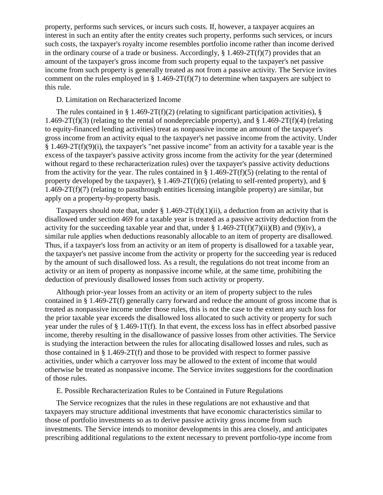property, performs such services, or incurs such costs. If, however, a taxpayer acquires an interest in such an entity after the entity creates such property, performs such services, or incurs such costs, the taxpayer's royalty income resembles portfolio income rather than income derived in the ordinary course of a trade or business. Accordingly,  $\S 1.469-2T(f)(7)$  provides that an amount of the taxpayer's gross income from such property equal to the taxpayer's net passive income from such property is generally treated as not from a passive activity. The Service invites comment on the rules employed in  $\S 1.469-2T(f)(7)$  to determine when taxpayers are subject to this rule.

## D. Limitation on Recharacterized Income

The rules contained in § 1.469-2T(f)(2) (relating to significant participation activities), § 1.469-2T(f)(3) (relating to the rental of nondepreciable property), and § 1.469-2T(f)(4) (relating to equity-financed lending activities) treat as nonpassive income an amount of the taxpayer's gross income from an activity equal to the taxpayer's net passive income from the activity. Under § 1.469-2T(f)(9)(i), the taxpayer's "net passive income" from an activity for a taxable year is the excess of the taxpayer's passive activity gross income from the activity for the year (determined without regard to these recharacterization rules) over the taxpayer's passive activity deductions from the activity for the year. The rules contained in  $\S 1.469-2T(f)(5)$  (relating to the rental of property developed by the taxpayer),  $\S$  1.469-2T(f)(6) (relating to self-rented property), and  $\S$  $1.469-2T(f)(7)$  (relating to passthrough entities licensing intangible property) are similar, but apply on a property-by-property basis.

Taxpayers should note that, under  $\S 1.469-2T(d)(1)(ii)$ , a deduction from an activity that is disallowed under section 469 for a taxable year is treated as a passive activity deduction from the activity for the succeeding taxable year and that, under  $\S 1.469-2T(f)(7)(ii)(B)$  and (9)(iv), a similar rule applies when deductions reasonably allocable to an item of property are disallowed. Thus, if a taxpayer's loss from an activity or an item of property is disallowed for a taxable year, the taxpayer's net passive income from the activity or property for the succeeding year is reduced by the amount of such disallowed loss. As a result, the regulations do not treat income from an activity or an item of property as nonpassive income while, at the same time, prohibiting the deduction of previously disallowed losses from such activity or property.

Although prior-year losses from an activity or an item of property subject to the rules contained in § 1.469-2T(f) generally carry forward and reduce the amount of gross income that is treated as nonpassive income under those rules, this is not the case to the extent any such loss for the prior taxable year exceeds the disallowed loss allocated to such activity or property for such year under the rules of § 1.469-1T(f). In that event, the excess loss has in effect absorbed passive income, thereby resulting in the disallowance of passive losses from other activities. The Service is studying the interaction between the rules for allocating disallowed losses and rules, such as those contained in § 1.469-2T(f) and those to be provided with respect to former passive activities, under which a carryover loss may be allowed to the extent of income that would otherwise be treated as nonpassive income. The Service invites suggestions for the coordination of those rules.

## E. Possible Recharacterization Rules to be Contained in Future Regulations

The Service recognizes that the rules in these regulations are not exhaustive and that taxpayers may structure additional investments that have economic characteristics similar to those of portfolio investments so as to derive passive activity gross income from such investments. The Service intends to monitor developments in this area closely, and anticipates prescribing additional regulations to the extent necessary to prevent portfolio-type income from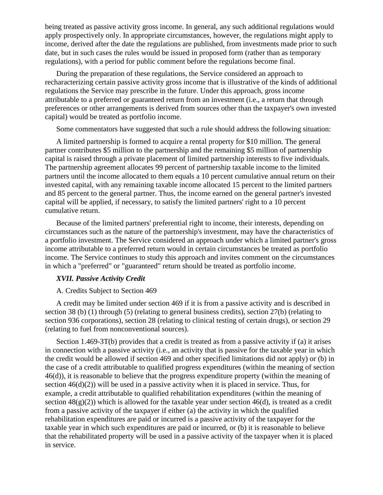being treated as passive activity gross income. In general, any such additional regulations would apply prospectively only. In appropriate circumstances, however, the regulations might apply to income, derived after the date the regulations are published, from investments made prior to such date, but in such cases the rules would be issued in proposed form (rather than as temporary regulations), with a period for public comment before the regulations become final.

During the preparation of these regulations, the Service considered an approach to recharacterizing certain passive activity gross income that is illustrative of the kinds of additional regulations the Service may prescribe in the future. Under this approach, gross income attributable to a preferred or guaranteed return from an investment (i.e., a return that through preferences or other arrangements is derived from sources other than the taxpayer's own invested capital) would be treated as portfolio income.

Some commentators have suggested that such a rule should address the following situation:

A limited partnership is formed to acquire a rental property for \$10 million. The general partner contributes \$5 million to the partnership and the remaining \$5 million of partnership capital is raised through a private placement of limited partnership interests to five individuals. The partnership agreement allocates 99 percent of partnership taxable income to the limited partners until the income allocated to them equals a 10 percent cumulative annual return on their invested capital, with any remaining taxable income allocated 15 percent to the limited partners and 85 percent to the general partner. Thus, the income earned on the general partner's invested capital will be applied, if necessary, to satisfy the limited partners' right to a 10 percent cumulative return.

Because of the limited partners' preferential right to income, their interests, depending on circumstances such as the nature of the partnership's investment, may have the characteristics of a portfolio investment. The Service considered an approach under which a limited partner's gross income attributable to a preferred return would in certain circumstances be treated as portfolio income. The Service continues to study this approach and invites comment on the circumstances in which a "preferred" or "guaranteed" return should be treated as portfolio income.

## *XVII. Passive Activity Credit*

#### A. Credits Subject to Section 469

A credit may be limited under section 469 if it is from a passive activity and is described in section 38 (b) (1) through (5) (relating to general business credits), section 27(b) (relating to section 936 corporations), section 28 (relating to clinical testing of certain drugs), or section 29 (relating to fuel from nonconventional sources).

Section 1.469-3T(b) provides that a credit is treated as from a passive activity if (a) it arises in connection with a passive activity (i.e., an activity that is passive for the taxable year in which the credit would be allowed if section 469 and other specified limitations did not apply) or (b) in the case of a credit attributable to qualified progress expenditures (within the meaning of section 46(d)), it is reasonable to believe that the progress expenditure property (within the meaning of section  $46(d)(2)$ ) will be used in a passive activity when it is placed in service. Thus, for example, a credit attributable to qualified rehabilitation expenditures (within the meaning of section  $48(g)(2)$ ) which is allowed for the taxable year under section  $46(d)$ , is treated as a credit from a passive activity of the taxpayer if either (a) the activity in which the qualified rehabilitation expenditures are paid or incurred is a passive activity of the taxpayer for the taxable year in which such expenditures are paid or incurred, or (b) it is reasonable to believe that the rehabilitated property will be used in a passive activity of the taxpayer when it is placed in service.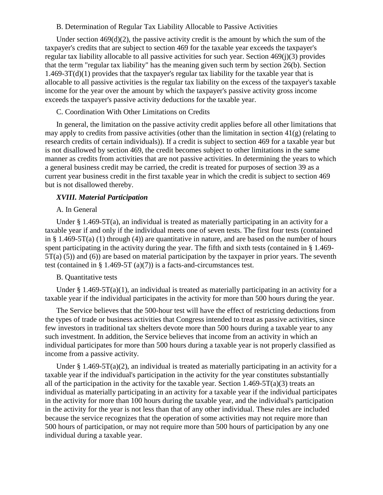#### B. Determination of Regular Tax Liability Allocable to Passive Activities

Under section 469(d)(2), the passive activity credit is the amount by which the sum of the taxpayer's credits that are subject to section 469 for the taxable year exceeds the taxpayer's regular tax liability allocable to all passive activities for such year. Section 469(j)(3) provides that the term "regular tax liability" has the meaning given such term by section 26(b). Section  $1.469-3T(d)(1)$  provides that the taxpayer's regular tax liability for the taxable year that is allocable to all passive activities is the regular tax liability on the excess of the taxpayer's taxable income for the year over the amount by which the taxpayer's passive activity gross income exceeds the taxpayer's passive activity deductions for the taxable year.

## C. Coordination With Other Limitations on Credits

In general, the limitation on the passive activity credit applies before all other limitations that may apply to credits from passive activities (other than the limitation in section 41(g) (relating to research credits of certain individuals)). If a credit is subject to section 469 for a taxable year but is not disallowed by section 469, the credit becomes subject to other limitations in the same manner as credits from activities that are not passive activities. In determining the years to which a general business credit may be carried, the credit is treated for purposes of section 39 as a current year business credit in the first taxable year in which the credit is subject to section 469 but is not disallowed thereby.

## *XVIII. Material Participation*

#### A. In General

Under § 1.469-5T(a), an individual is treated as materially participating in an activity for a taxable year if and only if the individual meets one of seven tests. The first four tests (contained in § 1.469-5T(a) (1) through (4)) are quantitative in nature, and are based on the number of hours spent participating in the activity during the year. The fifth and sixth tests (contained in § 1.469- 5T(a) (5)) and (6)) are based on material participation by the taxpayer in prior years. The seventh test (contained in  $\S$  1.469-5T (a)(7)) is a facts-and-circumstances test.

#### B. Quantitative tests

Under § 1.469-5T(a)(1), an individual is treated as materially participating in an activity for a taxable year if the individual participates in the activity for more than 500 hours during the year.

The Service believes that the 500-hour test will have the effect of restricting deductions from the types of trade or business activities that Congress intended to treat as passive activities, since few investors in traditional tax shelters devote more than 500 hours during a taxable year to any such investment. In addition, the Service believes that income from an activity in which an individual participates for more than 500 hours during a taxable year is not properly classified as income from a passive activity.

Under  $\S 1.469-5T(a)(2)$ , an individual is treated as materially participating in an activity for a taxable year if the individual's participation in the activity for the year constitutes substantially all of the participation in the activity for the taxable year. Section  $1.469-5T(a)(3)$  treats an individual as materially participating in an activity for a taxable year if the individual participates in the activity for more than 100 hours during the taxable year, and the individual's participation in the activity for the year is not less than that of any other individual. These rules are included because the service recognizes that the operation of some activities may not require more than 500 hours of participation, or may not require more than 500 hours of participation by any one individual during a taxable year.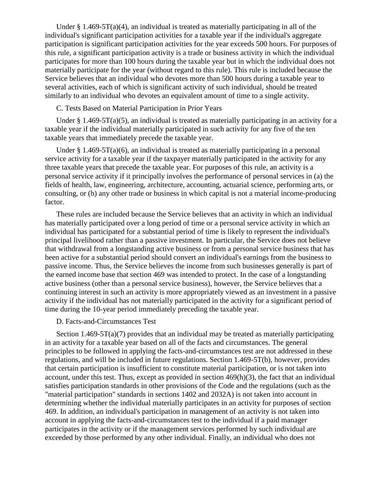Under  $\S 1.469-5T(a)(4)$ , an individual is treated as materially participating in all of the individual's significant participation activities for a taxable year if the individual's aggregate participation is significant participation activities for the year exceeds 500 hours. For purposes of this rule, a significant participation activity is a trade or business activity in which the individual participates for more than 100 hours during the taxable year but in which the individual does not materially participate for the year (without regard to this rule). This rule is included because the Service believes that an individual who devotes more than 500 hours during a taxable year to several activities, each of which is significant activity of such individual, should be treated similarly to an individual who devotes an equivalent amount of time to a single activity.

## C. Tests Based on Material Participation in Prior Years

Under § 1.469-5T(a)(5), an individual is treated as materially participating in an activity for a taxable year if the individual materially participated in such activity for any five of the ten taxable years that immediately precede the taxable year.

Under  $\S 1.469-5T(a)(6)$ , an individual is treated as materially participating in a personal service activity for a taxable year if the taxpayer materially participated in the activity for any three taxable years that precede the taxable year. For purposes of this rule, an activity is a personal service activity if it principally involves the performance of personal services in (a) the fields of health, law, engineering, architecture, accounting, actuarial science, performing arts, or consulting, or (b) any other trade or business in which capital is not a material income-producing factor.

These rules are included because the Service believes that an activity in which an individual has materially participated over a long period of time or a personal service activity in which an individual has participated for a substantial period of time is likely to represent the individual's principal livelihood rather than a passive investment. In particular, the Service does not believe that withdrawal from a longstanding active business or from a personal service business that has been active for a substantial period should convert an individual's earnings from the business to passive income. Thus, the Service believes the income from such businesses generally is part of the earned income base that section 469 was intended to protect. In the case of a longstanding active business (other than a personal service business), however, the Service believes that a continuing interest in such an activity is more appropriately viewed as an investment in a passive activity if the individual has not materially participated in the activity for a significant period of time during the 10-year period immediately preceding the taxable year.

### D. Facts-and-Circumstances Test

Section 1.469-5T(a)(7) provides that an individual may be treated as materially participating in an activity for a taxable year based on all of the facts and circumstances. The general principles to be followed in applying the facts-and-circumstances test are not addressed in these regulations, and will be included in future regulations. Section 1.469-5T(b), however, provides that certain participation is insufficient to constitute material participation, or is not taken into account, under this test. Thus, except as provided in section  $469(h)(3)$ , the fact that an individual satisfies participation standards in other provisions of the Code and the regulations (such as the "material participation" standards in sections 1402 and 2032A) is not taken into account in determining whether the individual materially participates in an activity for purposes of section 469. In addition, an individual's participation in management of an activity is not taken into account in applying the facts-and-circumstances test to the individual if a paid manager participates in the activity or if the management services performed by such individual are exceeded by those performed by any other individual. Finally, an individual who does not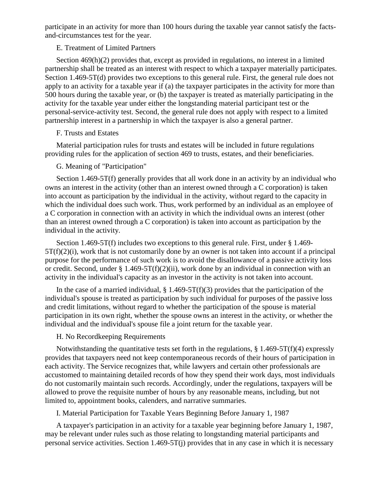participate in an activity for more than 100 hours during the taxable year cannot satisfy the factsand-circumstances test for the year.

## E. Treatment of Limited Partners

Section 469(h)(2) provides that, except as provided in regulations, no interest in a limited partnership shall be treated as an interest with respect to which a taxpayer materially participates. Section 1.469-5T(d) provides two exceptions to this general rule. First, the general rule does not apply to an activity for a taxable year if (a) the taxpayer participates in the activity for more than 500 hours during the taxable year, or (b) the taxpayer is treated as materially participating in the activity for the taxable year under either the longstanding material participant test or the personal-service-activity test. Second, the general rule does not apply with respect to a limited partnership interest in a partnership in which the taxpayer is also a general partner.

## F. Trusts and Estates

Material participation rules for trusts and estates will be included in future regulations providing rules for the application of section 469 to trusts, estates, and their beneficiaries.

## G. Meaning of "Participation"

Section 1.469-5T(f) generally provides that all work done in an activity by an individual who owns an interest in the activity (other than an interest owned through a C corporation) is taken into account as participation by the individual in the activity, without regard to the capacity in which the individual does such work. Thus, work performed by an individual as an employee of a C corporation in connection with an activity in which the individual owns an interest (other than an interest owned through a C corporation) is taken into account as participation by the individual in the activity.

Section 1.469-5T(f) includes two exceptions to this general rule. First, under § 1.469-  $5T(f)(2)(i)$ , work that is not customarily done by an owner is not taken into account if a principal purpose for the performance of such work is to avoid the disallowance of a passive activity loss or credit. Second, under § 1.469-5T(f)(2)(ii), work done by an individual in connection with an activity in the individual's capacity as an investor in the activity is not taken into account.

In the case of a married individual,  $\S$  1.469-5T(f)(3) provides that the participation of the individual's spouse is treated as participation by such individual for purposes of the passive loss and credit limitations, without regard to whether the participation of the spouse is material participation in its own right, whether the spouse owns an interest in the activity, or whether the individual and the individual's spouse file a joint return for the taxable year.

## H. No Recordkeeping Requirements

Notwithstanding the quantitative tests set forth in the regulations,  $\S$  1.469-5T(f)(4) expressly provides that taxpayers need not keep contemporaneous records of their hours of participation in each activity. The Service recognizes that, while lawyers and certain other professionals are accustomed to maintaining detailed records of how they spend their work days, most individuals do not customarily maintain such records. Accordingly, under the regulations, taxpayers will be allowed to prove the requisite number of hours by any reasonable means, including, but not limited to, appointment books, calenders, and narrative summaries.

I. Material Participation for Taxable Years Beginning Before January 1, 1987

A taxpayer's participation in an activity for a taxable year beginning before January 1, 1987, may be relevant under rules such as those relating to longstanding material participants and personal service activities. Section 1.469-5T(j) provides that in any case in which it is necessary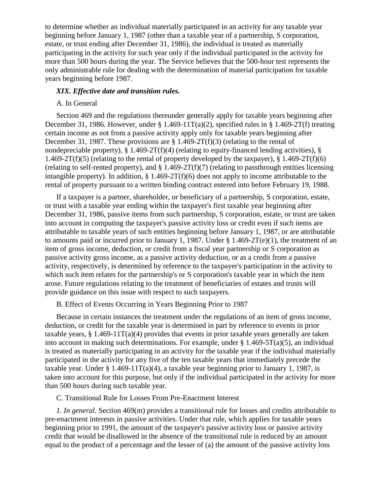to determine whether an individual materially participated in an activity for any taxable year beginning before January 1, 1987 (other than a taxable year of a partnership, S corporation, estate, or trust ending after December 31, 1986), the individual is treated as materially participating in the activity for such year only if the individual participated in the activity for more than 500 hours during the year. The Service believes that the 500-hour test represents the only administrable rule for dealing with the determination of material participation for taxable years beginning before 1987.

### *XIX. Effective date and transition rules.*

## A. In General

Section 469 and the regulations thereunder generally apply for taxable years beginning after December 31, 1986. However, under § 1.469-11T(a)(2), specified rules in § 1.469-2T(f) treating certain income as not from a passive activity apply only for taxable years beginning after December 31, 1987. These provisions are  $\S 1.469-2T(f)(3)$  (relating to the rental of nondepreciable property),  $\S$  1.469-2T(f)(4) (relating to equity-financed lending activities),  $\S$ 1.469-2T(f)(5) (relating to the rental of property developed by the taxpayer),  $\S$  1.469-2T(f)(6) (relating to self-rented property), and  $\S 1.469-2T(f)(7)$  (relating to passthrough entities licensing intangible property). In addition,  $\frac{1469-2T(f)(6)}{60}$  does not apply to income attributable to the rental of property pursuant to a written binding contract entered into before February 19, 1988.

If a taxpayer is a partner, shareholder, or beneficiary of a partnership, S corporation, estate, or trust with a taxable year ending within the taxpayer's first taxable year beginning after December 31, 1986, passive items from such partnership, S corporation, estate, or trust are taken into account in computing the taxpayer's passive activity loss or credit even if such items are attributable to taxable years of such entities beginning before January 1, 1987, or are attributable to amounts paid or incurred prior to January 1, 1987. Under § 1.469-2T(e)(1), the treatment of an item of gross income, deduction, or credit from a fiscal year partnership or S corporation as passive activity gross income, as a passive activity deduction, or as a credit from a passive activity, respectively, is determined by reference to the taxpayer's participation in the activity to which such item relates for the partnership's or S corporation's taxable year in which the item arose. Future regulations relating to the treatment of beneficiaries of estates and trusts will provide guidance on this issue with respect to such taxpayers.

B. Effect of Events Occurring in Years Beginning Prior to 1987

Because in certain instances the treatment under the regulations of an item of gross income, deduction, or credit for the taxable year is determined in part by reference to events in prior taxable years,  $\S 1.469-11T(a)(4)$  provides that events in prior taxable years generally are taken into account in making such determinations. For example, under  $\S 1.469-5T(a)(5)$ , an individual is treated as materially participating in an activity for the taxable year if the individual materially participated in the activity for any five of the ten taxable years that immediately precede the taxable year. Under § 1.469-11T(a)(4), a taxable year beginning prior to January 1, 1987, is taken into account for this purpose, but only if the individual participated in the activity for more than 500 hours during such taxable year.

C. Transitional Rule for Losses From Pre-Enactment Interest

*1. In general.* Section 469(m) provides a transitional rule for losses and credits attributable to pre-enactment interests in passive activities. Under that rule, which applies for taxable years beginning prior to 1991, the amount of the taxpayer's passive activity loss or passive activity credit that would be disallowed in the absence of the transitional rule is reduced by an amount equal to the product of a percentage and the lesser of (a) the amount of the passive activity loss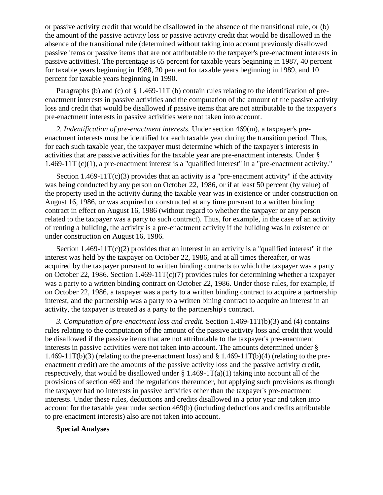or passive activity credit that would be disallowed in the absence of the transitional rule, or (b) the amount of the passive activity loss or passive activity credit that would be disallowed in the absence of the transitional rule (determined without taking into account previously disallowed passive items or passive items that are not attributable to the taxpayer's pre-enactment interests in passive activities). The percentage is 65 percent for taxable years beginning in 1987, 40 percent for taxable years beginning in 1988, 20 percent for taxable years beginning in 1989, and 10 percent for taxable years beginning in 1990.

Paragraphs (b) and (c) of § 1.469-11T (b) contain rules relating to the identification of preenactment interests in passive activities and the computation of the amount of the passive activity loss and credit that would be disallowed if passive items that are not attributable to the taxpayer's pre-enactment interests in passive activities were not taken into account.

*2. Indentification of pre-enactment interests.* Under section 469(m), a taxpayer's preenactment interests must be identified for each taxable year during the transition period. Thus, for each such taxable year, the taxpayer must determine which of the taxpayer's interests in activities that are passive activities for the taxable year are pre-enactment interests. Under § 1.469-11T (c)(1), a pre-enactment interest is a "qualified interest" in a "pre-enactment activity."

Section  $1.469-11T(c)(3)$  provides that an activity is a "pre-enactment activity" if the activity was being conducted by any person on October 22, 1986, or if at least 50 percent (by value) of the property used in the activity during the taxable year was in existence or under construction on August 16, 1986, or was acquired or constructed at any time pursuant to a written binding contract in effect on August 16, 1986 (without regard to whether the taxpayer or any person related to the taxpayer was a party to such contract). Thus, for example, in the case of an activity of renting a building, the activity is a pre-enactment activity if the building was in existence or under construction on August 16, 1986.

Section  $1.469-11T(c)(2)$  provides that an interest in an activity is a "qualified interest" if the interest was held by the taxpayer on October 22, 1986, and at all times thereafter, or was acquired by the taxpayer pursuant to written binding contracts to which the taxpayer was a party on October 22, 1986. Section 1.469-11T(c)(7) provides rules for determining whether a taxpayer was a party to a written binding contract on October 22, 1986. Under those rules, for example, if on October 22, 1986, a taxpayer was a party to a written binding contract to acquire a partnership interest, and the partnership was a party to a written bining contract to acquire an interest in an activity, the taxpayer is treated as a party to the partnership's contract.

*3. Computation of pre-enactment loss and credit.* Section 1.469-11T(b)(3) and (4) contains rules relating to the computation of the amount of the passive activity loss and credit that would be disallowed if the passive items that are not attributable to the taxpayer's pre-enactment interests in passive activities were not taken into account. The amounts determined under § 1.469-11T(b)(3) (relating to the pre-enactment loss) and  $\S$  1.469-11T(b)(4) (relating to the preenactment credit) are the amounts of the passive activity loss and the passive activity credit, respectively, that would be disallowed under § 1.469-1T(a)(1) taking into account all of the provisions of section 469 and the regulations thereunder, but applying such provisions as though the taxpayer had no interests in passive activities other than the taxpayer's pre-enactment interests. Under these rules, deductions and credits disallowed in a prior year and taken into account for the taxable year under section 469(b) (including deductions and credits attributable to pre-enactment interests) also are not taken into account.

#### **Special Analyses**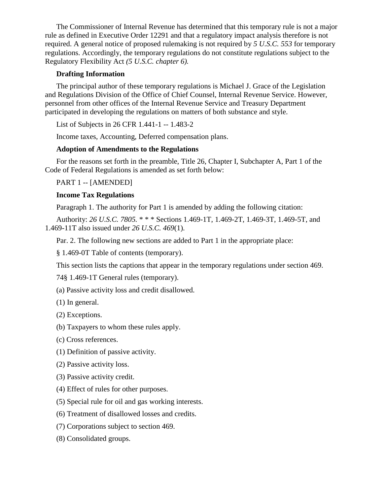The Commissioner of Internal Revenue has determined that this temporary rule is not a major rule as defined in Executive Order 12291 and that a regulatory impact analysis therefore is not required. A general notice of proposed rulemaking is not required by *5 U.S.C. 553* for temporary regulations. Accordingly, the temporary regulations do not constitute regulations subject to the Regulatory Flexibility Act *(5 U.S.C. chapter 6).*

## **Drafting Information**

The principal author of these temporary regulations is Michael J. Grace of the Legislation and Regulations Division of the Office of Chief Counsel, Internal Revenue Service. However, personnel from other offices of the Internal Revenue Service and Treasury Department participated in developing the regulations on matters of both substance and style.

List of Subjects in 26 CFR 1.441-1 -- 1.483-2

Income taxes, Accounting, Deferred compensation plans.

## **Adoption of Amendments to the Regulations**

For the reasons set forth in the preamble, Title 26, Chapter I, Subchapter A, Part 1 of the Code of Federal Regulations is amended as set forth below:

PART 1 -- [AMENDED]

## **Income Tax Regulations**

Paragraph 1. The authority for Part 1 is amended by adding the following citation:

Authority: *26 U.S.C. 7805.* \* \* \* Sections 1.469-1T, 1.469-2T, 1.469-3T, 1.469-5T, and 1.469-11T also issued under *26 U.S.C. 469*(1).

Par. 2. The following new sections are added to Part 1 in the appropriate place:

§ 1.469-0T Table of contents (temporary).

This section lists the captions that appear in the temporary regulations under section 469.

74§ 1.469-1T General rules (temporary).

(a) Passive activity loss and credit disallowed.

(1) In general.

(2) Exceptions.

- (b) Taxpayers to whom these rules apply.
- (c) Cross references.
- (1) Definition of passive activity.
- (2) Passive activity loss.
- (3) Passive activity credit.
- (4) Effect of rules for other purposes.
- (5) Special rule for oil and gas working interests.
- (6) Treatment of disallowed losses and credits.
- (7) Corporations subject to section 469.
- (8) Consolidated groups.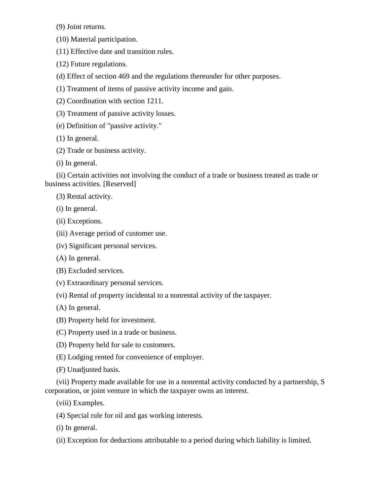(9) Joint returns.

(10) Material participation.

(11) Effective date and transition rules.

(12) Future regulations.

(d) Effect of section 469 and the regulations thereunder for other purposes.

(1) Treatment of items of passive activity income and gain.

(2) Coordination with section 1211.

(3) Treatment of passive activity losses.

(e) Definition of "passive activity."

(1) In general.

(2) Trade or business activity.

(i) In general.

(ii) Certain activities not involving the conduct of a trade or business treated as trade or business activities. [Reserved]

(3) Rental activity.

(i) In general.

(ii) Exceptions.

- (iii) Average period of customer use.
- (iv) Significant personal services.
- (A) In general.

(B) Excluded services.

(v) Extraordinary personal services.

(vi) Rental of property incidental to a nonrental activity of the taxpayer.

(A) In general.

(B) Property held for investment.

- (C) Property used in a trade or business.
- (D) Property held for sale to customers.

(E) Lodging rented for convenience of employer.

(F) Unadjusted basis.

(vii) Property made available for use in a nonrental activity conducted by a partnership, S corporation, or joint venture in which the taxpayer owns an interest.

(viii) Examples.

(4) Special rule for oil and gas working interests.

(i) In general.

(ii) Exception for deductions attributable to a period during which liability is limited.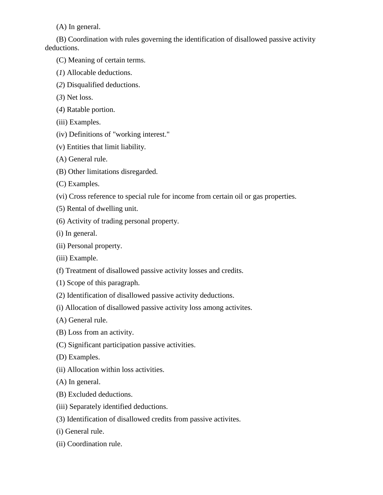(A) In general.

(B) Coordination with rules governing the identification of disallowed passive activity deductions.

- (C) Meaning of certain terms.
- (*1*) Allocable deductions.
- (*2*) Disqualified deductions.
- (*3*) Net loss.
- (*4*) Ratable portion.
- (iii) Examples.
- (iv) Definitions of "working interest."
- (v) Entities that limit liability.
- (A) General rule.
- (B) Other limitations disregarded.
- (C) Examples.
- (vi) Cross reference to special rule for income from certain oil or gas properties.
- (5) Rental of dwelling unit.
- (6) Activity of trading personal property.
- (i) In general.
- (ii) Personal property.
- (iii) Example.
- (f) Treatment of disallowed passive activity losses and credits.
- (1) Scope of this paragraph.
- (2) Identification of disallowed passive activity deductions.
- (i) Allocation of disallowed passive activity loss among activites.
- (A) General rule.
- (B) Loss from an activity.
- (C) Significant participation passive activities.
- (D) Examples.
- (ii) Allocation within loss activities.
- (A) In general.
- (B) Excluded deductions.
- (iii) Separately identified deductions.
- (3) Identification of disallowed credits from passive activites.
- (i) General rule.
- (ii) Coordination rule.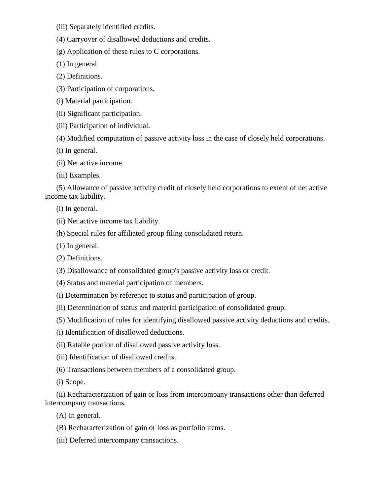(iii) Separately identified credits.

(4) Carryover of disallowed deductions and credits.

(g) Application of these rules to C corporations.

(1) In general.

(2) Definitions.

(3) Participation of corporations.

(i) Material participation.

(ii) Significant participation.

(iii) Participation of individual.

(4) Modified computation of passive activity loss in the case of closely held corporations.

(i) In general.

(ii) Net active income.

(iii) Examples.

(5) Allowance of passive activity credit of closely held corporations to extent of net active income tax liability.

(i) In general.

(ii) Net active income tax liability.

(h) Special rules for affiliated group filing consolidated return.

(1) In general.

(2) Definitions.

(3) Disallowance of consolidated group's passive activity loss or credit.

(4) Status and material participation of members.

(i) Determination by reference to status and participation of group.

(ii) Determination of status and material participation of consolidated group.

(5) Modification of rules for identifying disallowed passive activity deductions and credits.

(i) Identification of disallowed deductions.

(ii) Ratable portion of disallowed passive activity loss.

(iii) Identification of disallowed credits.

(6) Transactions between members of a consolidated group.

(i) Scope.

(ii) Recharacterization of gain or loss from intercompany transactions other than deferred intercompany transactions.

(A) In general.

(B) Recharacterization of gain or loss as portfolio items.

(iii) Deferred intercompany transactions.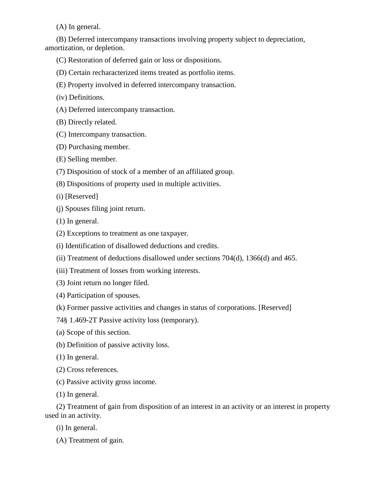(A) In general.

(B) Deferred intercompany transactions involving property subject to depreciation, amortization, or depletion.

- (C) Restoration of deferred gain or loss or dispositions.
- (D) Certain recharacterized items treated as portfolio items.
- (E) Property involved in deferred intercompany transaction.
- (iv) Definitions.
- (A) Deferred intercompany transaction.
- (B) Directly related.
- (C) Intercompany transaction.
- (D) Purchasing member.
- (E) Selling member.
- (7) Disposition of stock of a member of an affiliated group.
- (8) Dispositions of property used in multiple activities.
- (i) [Reserved]
- (j) Spouses filing joint return.
- (1) In general.
- (2) Exceptions to treatment as one taxpayer.
- (i) Identification of disallowed deductions and credits.
- (ii) Treatment of deductions disallowed under sections 704(d), 1366(d) and 465.
- (iii) Treatment of losses from working interests.
- (3) Joint return no longer filed.
- (4) Participation of spouses.
- (k) Former passive activities and changes in status of corporations. [Reserved]
- 74§ 1.469-2T Passive activity loss (temporary).
- (a) Scope of this section.
- (b) Definition of passive activity loss.
- (1) In general.
- (2) Cross references.
- (c) Passive activity gross income.
- (1) In general.

(2) Treatment of gain from disposition of an interest in an activity or an interest in property used in an activity.

- (i) In general.
- (A) Treatment of gain.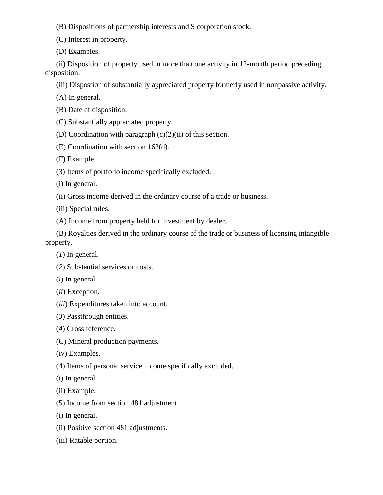- (B) Dispositions of partnership interests and S corporation stock.
- (C) Interest in property.
- (D) Examples.

(ii) Disposition of property used in more than one activity in 12-month period preceding disposition.

(iii) Dispostion of substantially appreciated property formerly used in nonpassive activity.

(A) In general.

- (B) Date of disposition.
- (C) Substantially appreciated property.
- (D) Coordination with paragraph  $(c)(2)(ii)$  of this section.
- (E) Coordination with section 163(d).

(F) Example.

- (3) Items of portfolio income specifically excluded.
- (i) In general.
- (ii) Gross income derived in the ordinary course of a trade or business.
- (iii) Special rules.
- (A) Income from property held for investment by dealer.
- (B) Royalties derived in the ordinary course of the trade or business of licensing intangible property.
	- (*1*) In general.
	- (*2*) Substantial services or costs.
	- (*i*) In general.
	- (*ii*) Exception.
	- (*iii*) Expenditures taken into account.
	- (*3*) Passthrough entities.
	- (*4*) Cross reference.
	- (C) Mineral production payments.
	- (iv) Examples.
	- (4) Items of personal service income specifically excluded.
	- (i) In general.
	- (ii) Example.
	- (5) Income from section 481 adjustment.
	- (i) In general.
	- (ii) Positive section 481 adjustments.
	- (iii) Ratable portion.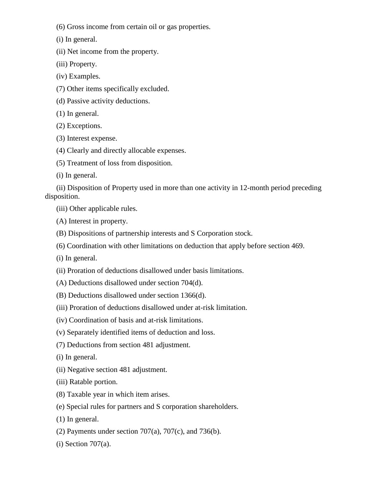(6) Gross income from certain oil or gas properties.

(i) In general.

(ii) Net income from the property.

(iii) Property.

(iv) Examples.

(7) Other items specifically excluded.

(d) Passive activity deductions.

(1) In general.

(2) Exceptions.

(3) Interest expense.

(4) Clearly and directly allocable expenses.

(5) Treatment of loss from disposition.

(i) In general.

(ii) Disposition of Property used in more than one activity in 12-month period preceding disposition.

(iii) Other applicable rules.

(A) Interest in property.

(B) Dispositions of partnership interests and S Corporation stock.

(6) Coordination with other limitations on deduction that apply before section 469.

(i) In general.

(ii) Proration of deductions disallowed under basis limitations.

(A) Deductions disallowed under section 704(d).

(B) Deductions disallowed under section 1366(d).

(iii) Proration of deductions disallowed under at-risk limitation.

(iv) Coordination of basis and at-risk limitations.

(v) Separately identified items of deduction and loss.

(7) Deductions from section 481 adjustment.

(i) In general.

(ii) Negative section 481 adjustment.

(iii) Ratable portion.

(8) Taxable year in which item arises.

(e) Special rules for partners and S corporation shareholders.

(1) In general.

(2) Payments under section  $707(a)$ ,  $707(c)$ , and  $736(b)$ .

 $(i)$  Section 707 $(a)$ .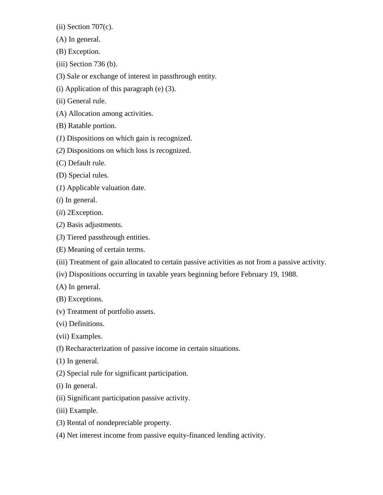$(ii)$  Section 707 $(c)$ .

- (A) In general.
- (B) Exception.
- (iii) Section 736 (b).
- (3) Sale or exchange of interest in passthrough entity.
- (i) Application of this paragraph (e) (3).
- (ii) General rule.
- (A) Allocation among activities.
- (B) Ratable portion.
- (*1*) Dispositions on which gain is recognized.
- (*2*) Dispositions on which loss is recognized.
- (C) Default rule.
- (D) Special rules.
- (*1*) Applicable valuation date.
- (*i*) In general.
- (*ii*) 2Exception.
- (*2*) Basis adjustments.
- (*3*) Tiered passthrough entities.
- (E) Meaning of certain terms.
- (iii) Treatment of gain allocated to certain passive activities as not from a passive activity.
- (iv) Dispositions occurring in taxable years beginning before February 19, 1988.
- (A) In general.
- (B) Exceptions.
- (v) Treatment of portfolio assets.
- (vi) Definitions.
- (vii) Examples.
- (f) Recharacterization of passive income in certain situations.
- (1) In general.
- (2) Special rule for significant participation.
- (i) In general.
- (ii) Significant participation passive activity.
- (iii) Example.
- (3) Rental of nondepreciable property.
- (4) Net interest income from passive equity-financed lending activity.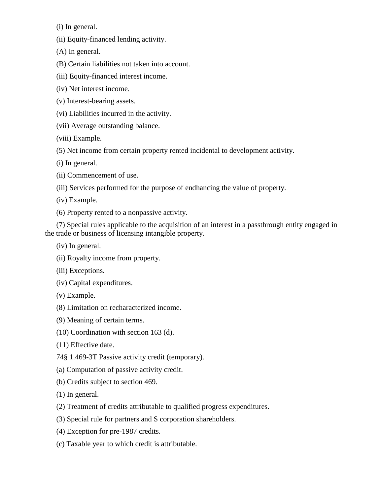(i) In general.

(ii) Equity-financed lending activity.

(A) In general.

(B) Certain liabilities not taken into account.

(iii) Equity-financed interest income.

(iv) Net interest income.

- (v) Interest-bearing assets.
- (vi) Liabilities incurred in the activity.
- (vii) Average outstanding balance.
- (viii) Example.

(5) Net income from certain property rented incidental to development activity.

- (i) In general.
- (ii) Commencement of use.
- (iii) Services performed for the purpose of endhancing the value of property.
- (iv) Example.
- (6) Property rented to a nonpassive activity.

(7) Special rules applicable to the acquisition of an interest in a passthrough entity engaged in the trade or business of licensing intangible property.

- (iv) In general.
- (ii) Royalty income from property.
- (iii) Exceptions.
- (iv) Capital expenditures.
- (v) Example.
- (8) Limitation on recharacterized income.
- (9) Meaning of certain terms.
- (10) Coordination with section 163 (d).
- (11) Effective date.
- 74§ 1.469-3T Passive activity credit (temporary).
- (a) Computation of passive activity credit.
- (b) Credits subject to section 469.
- (1) In general.
- (2) Treatment of credits attributable to qualified progress expenditures.
- (3) Special rule for partners and S corporation shareholders.
- (4) Exception for pre-1987 credits.
- (c) Taxable year to which credit is attributable.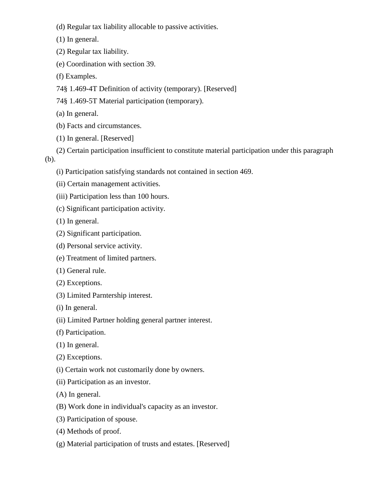- (d) Regular tax liability allocable to passive activities.
- (1) In general.
- (2) Regular tax liability.
- (e) Coordination with section 39.
- (f) Examples.
- 74§ 1.469-4T Definition of activity (temporary). [Reserved]
- 74§ 1.469-5T Material participation (temporary).
- (a) In general.
- (b) Facts and circumstances.
- (1) In general. [Reserved]
- (2) Certain participation insufficient to constitute material participation under this paragraph (b).
	- (i) Participation satisfying standards not contained in section 469.
	- (ii) Certain management activities.
	- (iii) Participation less than 100 hours.
	- (c) Significant participation activity.
	- (1) In general.
	- (2) Significant participation.
	- (d) Personal service activity.
	- (e) Treatment of limited partners.
	- (1) General rule.
	- (2) Exceptions.
	- (3) Limited Parntership interest.
	- (i) In general.
	- (ii) Limited Partner holding general partner interest.
	- (f) Participation.
	- (1) In general.
	- (2) Exceptions.
	- (i) Certain work not customarily done by owners.
	- (ii) Participation as an investor.
	- (A) In general.
	- (B) Work done in individual's capacity as an investor.
	- (3) Participation of spouse.
	- (4) Methods of proof.
	- (g) Material participation of trusts and estates. [Reserved]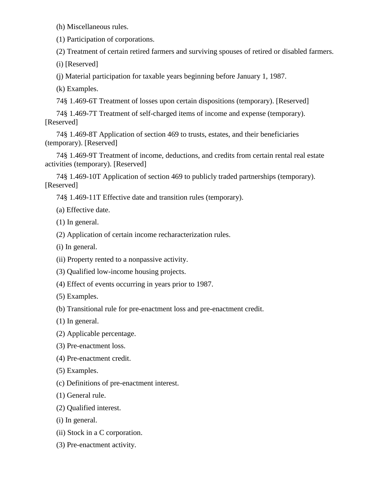(h) Miscellaneous rules.

(1) Participation of corporations.

(2) Treatment of certain retired farmers and surviving spouses of retired or disabled farmers.

(i) [Reserved]

(j) Material participation for taxable years beginning before January 1, 1987.

(k) Examples.

74§ 1.469-6T Treatment of losses upon certain dispositions (temporary). [Reserved]

74§ 1.469-7T Treatment of self-charged items of income and expense (temporary). [Reserved]

74§ 1.469-8T Application of section 469 to trusts, estates, and their beneficiaries (temporary). [Reserved]

74§ 1.469-9T Treatment of income, deductions, and credits from certain rental real estate activities (temporary). [Reserved]

74§ 1.469-10T Application of section 469 to publicly traded partnerships (temporary). [Reserved]

74§ 1.469-11T Effective date and transition rules (temporary).

(a) Effective date.

(1) In general.

(2) Application of certain income recharacterization rules.

(i) In general.

(ii) Property rented to a nonpassive activity.

(3) Qualified low-income housing projects.

(4) Effect of events occurring in years prior to 1987.

(5) Examples.

(b) Transitional rule for pre-enactment loss and pre-enactment credit.

(1) In general.

(2) Applicable percentage.

(3) Pre-enactment loss.

(4) Pre-enactment credit.

(5) Examples.

(c) Definitions of pre-enactment interest.

(1) General rule.

(2) Qualified interest.

(i) In general.

(ii) Stock in a C corporation.

(3) Pre-enactment activity.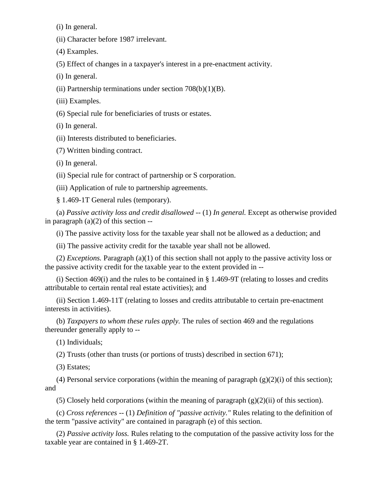(i) In general.

(ii) Character before 1987 irrelevant.

(4) Examples.

(5) Effect of changes in a taxpayer's interest in a pre-enactment activity.

(i) In general.

(ii) Partnership terminations under section  $708(b)(1)(B)$ .

(iii) Examples.

(6) Special rule for beneficiaries of trusts or estates.

(i) In general.

(ii) Interests distributed to beneficiaries.

(7) Written binding contract.

(i) In general.

(ii) Special rule for contract of partnership or S corporation.

(iii) Application of rule to partnership agreements.

§ 1.469-1T General rules (temporary).

(a) *Passive activity loss and credit disallowed --* (1) *In general.* Except as otherwise provided in paragraph  $(a)(2)$  of this section  $-$ 

(i) The passive activity loss for the taxable year shall not be allowed as a deduction; and

(ii) The passive activity credit for the taxable year shall not be allowed.

(2) *Exceptions.* Paragraph (a)(1) of this section shall not apply to the passive activity loss or the passive activity credit for the taxable year to the extent provided in --

(i) Section 469(i) and the rules to be contained in  $\S$  1.469-9T (relating to losses and credits attributable to certain rental real estate activities); and

(ii) Section 1.469-11T (relating to losses and credits attributable to certain pre-enactment interests in activities).

(b) *Taxpayers to whom these rules apply.* The rules of section 469 and the regulations thereunder generally apply to --

(1) Individuals;

(2) Trusts (other than trusts (or portions of trusts) described in section 671);

(3) Estates;

(4) Personal service corporations (within the meaning of paragraph  $(g)(2)(i)$  of this section); and

(5) Closely held corporations (within the meaning of paragraph  $(g)(2)(ii)$  of this section).

(c) *Cross references --* (1) *Definition of "passive activity."* Rules relating to the definition of the term "passive activity" are contained in paragraph (e) of this section.

(2) *Passive activity loss.* Rules relating to the computation of the passive activity loss for the taxable year are contained in § 1.469-2T.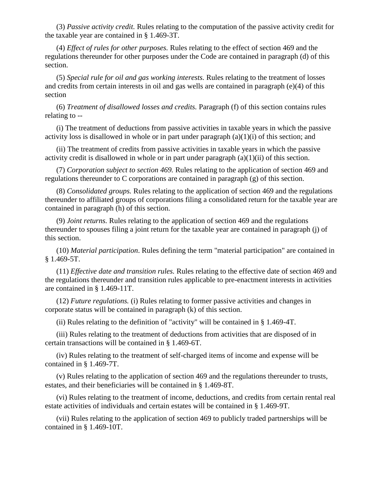(3) *Passive activity credit.* Rules relating to the computation of the passive activity credit for the taxable year are contained in § 1.469-3T.

(4) *Effect of rules for other purposes.* Rules relating to the effect of section 469 and the regulations thereunder for other purposes under the Code are contained in paragraph (d) of this section.

(5) *Special rule for oil and gas working interests.* Rules relating to the treatment of losses and credits from certain interests in oil and gas wells are contained in paragraph (e)(4) of this section

(6) *Treatment of disallowed losses and credits.* Paragraph (f) of this section contains rules relating to --

(i) The treatment of deductions from passive activities in taxable years in which the passive activity loss is disallowed in whole or in part under paragraph (a)(1)(i) of this section; and

(ii) The treatment of credits from passive activities in taxable years in which the passive activity credit is disallowed in whole or in part under paragraph  $(a)(1)(ii)$  of this section.

(7) *Corporation subject to section 469.* Rules relating to the application of section 469 and regulations thereunder to C corporations are contained in paragraph (g) of this section.

(8) *Consolidated groups.* Rules relating to the application of section 469 and the regulations thereunder to affiliated groups of corporations filing a consolidated return for the taxable year are contained in paragraph (h) of this section.

(9) *Joint returns.* Rules relating to the application of section 469 and the regulations thereunder to spouses filing a joint return for the taxable year are contained in paragraph (j) of this section.

(10) *Material participation*. Rules defining the term "material participation" are contained in § 1.469-5T.

(11) *Effective date and transition rules.* Rules relating to the effective date of section 469 and the regulations thereunder and transition rules applicable to pre-enactment interests in activities are contained in § 1.469-11T.

(12) *Future regulations.* (i) Rules relating to former passive activities and changes in corporate status will be contained in paragraph (k) of this section.

(ii) Rules relating to the definition of "activity" will be contained in § 1.469-4T.

(iii) Rules relating to the treatment of deductions from activities that are disposed of in certain transactions will be contained in § 1.469-6T.

(iv) Rules relating to the treatment of self-charged items of income and expense will be contained in § 1.469-7T.

(v) Rules relating to the application of section 469 and the regulations thereunder to trusts, estates, and their beneficiaries will be contained in § 1.469-8T.

(vi) Rules relating to the treatment of income, deductions, and credits from certain rental real estate activities of individuals and certain estates will be contained in § 1.469-9T.

(vii) Rules relating to the application of section 469 to publicly traded partnerships will be contained in § 1.469-10T.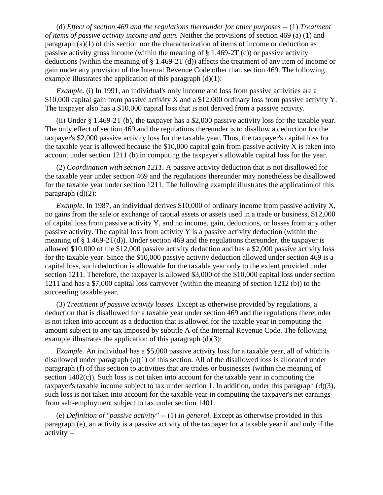(d) *Effect of section 469 and the regulations thereunder for other purposes --* (1) *Treatment of items of passive activity income and gain.* Neither the provisions of section 469 (a) (1) and paragraph (a)(1) of this section nor the characterization of items of income or deduction as passive activity gross income (within the meaning of § 1.469-2T (c)) or passive activity deductions (within the meaning of § 1.469-2T (d)) affects the treatment of any item of income or gain under any provision of the Internal Revenue Code other than section 469. The following example illustrates the application of this paragraph  $(d)(1)$ :

*Example.* (i) In 1991, an individual's only income and loss from passive activities are a \$10,000 capital gain from passive activity X and a \$12,000 ordinary loss from passive activity Y. The taxpayer also has a \$10,000 capital loss that is not derived from a passive activity.

(ii) Under § 1.469-2T (b), the taxpayer has a \$2,000 passive activity loss for the taxable year. The only effect of section 469 and the regulations thereunder is to disallow a deduction for the taxpayer's \$2,000 passive activity loss for the taxable year. Thus, the taxpayer's capital loss for the taxable year is allowed because the  $$10,000$  capital gain from passive activity X is taken into account under section 1211 (b) in computing the taxpayer's allowable capital loss for the year.

(2) *Coordination with section 1211.* A passive activity deduction that is not disallowed for the taxable year under section 469 and the regulations thereunder may nonetheless be disallowed for the taxable year under section 1211. The following example illustrates the application of this paragraph  $(d)(2)$ :

*Example.* In 1987, an individual derives \$10,000 of ordinary income from passive activity X, no gains from the sale or exchange of captial assets or assets used in a trade or business, \$12,000 of capital loss from passive activity Y, and no income, gain, deductions, or losses from any other passive activity. The capital loss from activity  $Y$  is a passive activity deduction (within the meaning of § 1.469-2T(d)). Under section 469 and the regulations thereunder, the taxpayer is allowed \$10,000 of the \$12,000 passive activity deduction and has a \$2,000 passive activity loss for the taxable year. Since the \$10,000 passive activity deduction allowed under section 469 is a capital loss, such deduction is allowable for the taxable year only to the extent provided under section 1211. Therefore, the taxpayer is allowed \$3,000 of the \$10,000 capital loss under section 1211 and has a \$7,000 capital loss carryover (within the meaning of section 1212 (b)) to the succeeding taxable year.

(3) *Treatment of passive activity losses.* Except as otherwise provided by regulations, a deduction that is disallowed for a taxable year under section 469 and the regulations thereunder is not taken into account as a deduction that is allowed for the taxable year in computing the amount subject to any tax imposed by subtitle A of the Internal Revenue Code. The following example illustrates the application of this paragraph  $(d)(3)$ :

*Example.* An individual has a \$5,000 passive activity loss for a taxable year, all of which is disallowed under paragraph  $(a)(1)$  of this section. All of the disallowed loss is allocated under paragraph (f) of this section to activities that are trades or businesses (within the meaning of section  $1402(c)$ ). Such loss is not taken into account for the taxable year in computing the taxpayer's taxable income subject to tax under section 1. In addition, under this paragraph (d)(3), such loss is not taken into account for the taxable year in computing the taxpayer's net earnings from self-employment subject to tax under section 1401.

(e) *Definition of "passive activity" --* (1) *In general.* Except as otherwise provided in this paragraph (e), an activity is a passive activity of the taxpayer for a taxable year if and only if the activity --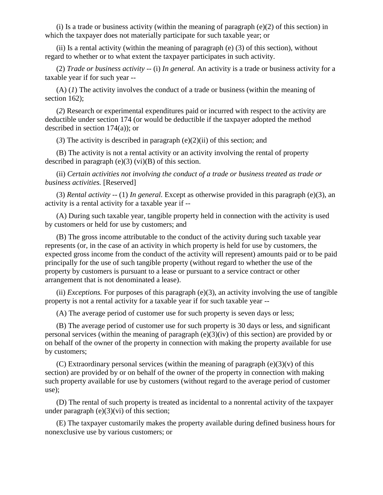(i) Is a trade or business activity (within the meaning of paragraph  $(e)(2)$  of this section) in which the taxpayer does not materially participate for such taxable year; or

(ii) Is a rental activity (within the meaning of paragraph  $(e)$  (3) of this section), without regard to whether or to what extent the taxpayer participates in such activity.

(2) *Trade or business activity --* (i) *In general.* An activity is a trade or business activity for a taxable year if for such year --

(A) (*1*) The activity involves the conduct of a trade or business (within the meaning of section 162);

(*2*) Research or experimental expenditures paid or incurred with respect to the activity are deductible under section 174 (or would be deductible if the taxpayer adopted the method described in section 174(a)); or

(*3*) The activity is described in paragraph (e)(2)(ii) of this section; and

(B) The activity is not a rental activity or an activity involving the rental of property described in paragraph  $(e)(3)$  (vi) $(B)$  of this section.

(ii) *Certain activities not involving the conduct of a trade or business treated as trade or business activities.* [Reserved]

(3) *Rental activity --* (1) *In general.* Except as otherwise provided in this paragraph (e)(3), an activity is a rental activity for a taxable year if --

(A) During such taxable year, tangible property held in connection with the activity is used by customers or held for use by customers; and

(B) The gross income attributable to the conduct of the activity during such taxable year represents (or, in the case of an activity in which property is held for use by customers, the expected gross income from the conduct of the activity will represent) amounts paid or to be paid principally for the use of such tangible property (without regard to whether the use of the property by customers is pursuant to a lease or pursuant to a service contract or other arrangement that is not denominated a lease).

(ii) *Exceptions.* For purposes of this paragraph (e)(3), an activity involving the use of tangible property is not a rental activity for a taxable year if for such taxable year --

(A) The average period of customer use for such property is seven days or less;

(B) The average period of customer use for such property is 30 days or less, and significant personal services (within the meaning of paragraph  $(e)(3)(iv)$  of this section) are provided by or on behalf of the owner of the property in connection with making the property available for use by customers;

(C) Extraordinary personal services (within the meaning of paragraph  $(e)(3)(v)$  of this section) are provided by or on behalf of the owner of the property in connection with making such property available for use by customers (without regard to the average period of customer use);

(D) The rental of such property is treated as incidental to a nonrental activity of the taxpayer under paragraph  $(e)(3)(vi)$  of this section;

(E) The taxpayer customarily makes the property available during defined business hours for nonexclusive use by various customers; or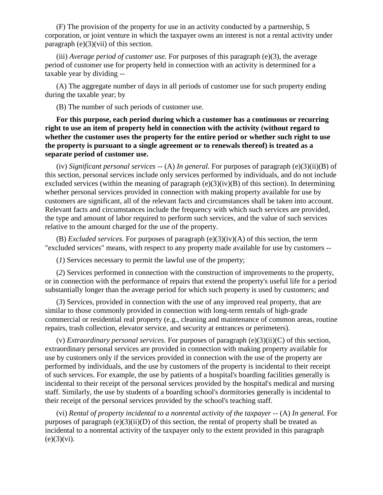(F) The provision of the property for use in an activity conducted by a partnership, S corporation, or joint venture in which the taxpayer owns an interest is not a rental activity under paragraph  $(e)(3)(vi)$  of this section.

(iii) *Average period of customer use.* For purposes of this paragraph (e)(3), the average period of customer use for property held in connection with an activity is determined for a taxable year by dividing --

(A) The aggregate number of days in all periods of customer use for such property ending during the taxable year; by

(B) The number of such periods of customer use.

**For this purpose, each period during which a customer has a continuous or recurring right to use an item of property held in connection with the activity (without regard to whether the customer uses the property for the entire period or whether such right to use the property is pursuant to a single agreement or to renewals thereof) is treated as a separate period of customer use.** 

(iv) *Significant personal services --* (A) *In general.* For purposes of paragraph (e)(3)(ii)(B) of this section, personal services include only services performed by individuals, and do not include excluded services (within the meaning of paragraph  $(e)(3)(iv)(B)$  of this section). In determining whether personal services provided in connection with making property available for use by customers are significant, all of the relevant facts and circumstances shall be taken into account. Relevant facts and circumstances include the frequency with which such services are provided, the type and amount of labor required to perform such services, and the value of such services relative to the amount charged for the use of the property.

(B) *Excluded services.* For purposes of paragraph (e)(3)(iv)(A) of this section, the term "excluded services" means, with respect to any property made available for use by customers --

(*1*) Services necessary to permit the lawful use of the property;

(*2*) Services performed in connection with the construction of improvements to the property, or in connection with the performance of repairs that extend the property's useful life for a period substantially longer than the average period for which such property is used by customers; and

(*3*) Services, provided in connection with the use of any improved real property, that are similar to those commonly provided in connection with long-term rentals of high-grade commercial or residential real property (e.g., cleaning and maintenance of common areas, routine repairs, trash collection, elevator service, and security at entrances or perimeters).

(v) *Extraordinary personal services.* For purposes of paragraph (e)(3)(ii)(C) of this section, extraordinary personal services are provided in connection with making property available for use by customers only if the services provided in connection with the use of the property are performed by individuals, and the use by customers of the property is incidental to their receipt of such services. For example, the use by patients of a hospital's boarding facilities generally is incidental to their receipt of the personal services provided by the hospital's medical and nursing staff. Similarly, the use by students of a boarding school's dormitories generally is incidental to their receipt of the personal services provided by the school's teaching staff.

(vi) *Rental of property incidental to a nonrental activity of the taxpayer* -- (A) *In general.* For purposes of paragraph  $(e)(3)(ii)(D)$  of this section, the rental of property shall be treated as incidental to a nonrental activity of the taxpayer only to the extent provided in this paragraph  $(e)(3)(vi)$ .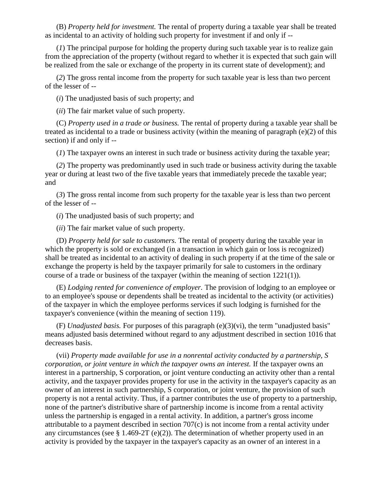(B) *Property held for investment.* The rental of property during a taxable year shall be treated as incidental to an activity of holding such property for investment if and only if --

(*1*) The principal purpose for holding the property during such taxable year is to realize gain from the appreciation of the property (without regard to whether it is expected that such gain will be realized from the sale or exchange of the property in its current state of development); and

(*2*) The gross rental income from the property for such taxable year is less than two percent of the lesser of --

(*i*) The unadjusted basis of such property; and

(*ii*) The fair market value of such property.

(C) *Property used in a trade or business.* The rental of property during a taxable year shall be treated as incidental to a trade or business activity (within the meaning of paragraph (e)(2) of this section) if and only if --

(*1*) The taxpayer owns an interest in such trade or business activity during the taxable year;

(*2*) The property was predominantly used in such trade or business activity during the taxable year or during at least two of the five taxable years that immediately precede the taxable year; and

(*3*) The gross rental income from such property for the taxable year is less than two percent of the lesser of --

(*i*) The unadjusted basis of such property; and

(*ii*) The fair market value of such property.

(D) *Property held for sale to customers.* The rental of property during the taxable year in which the property is sold or exchanged (in a transaction in which gain or loss is recognized) shall be treated as incidental to an activity of dealing in such property if at the time of the sale or exchange the property is held by the taxpayer primarily for sale to customers in the ordinary course of a trade or business of the taxpayer (within the meaning of section 1221(1)).

(E) *Lodging rented for convenience of employer.* The provision of lodging to an employee or to an employee's spouse or dependents shall be treated as incidental to the activity (or activities) of the taxpayer in which the employee performs services if such lodging is furnished for the taxpayer's convenience (within the meaning of section 119).

(F) *Unadjusted basis.* For purposes of this paragraph (e)(3)(vi), the term "unadjusted basis" means adjusted basis determined without regard to any adjustment described in section 1016 that decreases basis.

(vii) *Property made available for use in a nonrental activity conducted by a partnership, S corporation, or joint venture in which the taxpayer owns an interest.* If the taxpayer owns an interest in a partnership, S corporation, or joint venture conducting an activity other than a rental activity, and the taxpayer provides property for use in the activity in the taxpayer's capacity as an owner of an interest in such partnership, S corporation, or joint venture, the provision of such property is not a rental activity. Thus, if a partner contributes the use of property to a partnership, none of the partner's distributive share of partnership income is income from a rental activity unless the partnership is engaged in a rental activity. In addition, a partner's gross income attributable to a payment described in section 707(c) is not income from a rental activity under any circumstances (see  $\S$  1.469-2T (e)(2)). The determination of whether property used in an activity is provided by the taxpayer in the taxpayer's capacity as an owner of an interest in a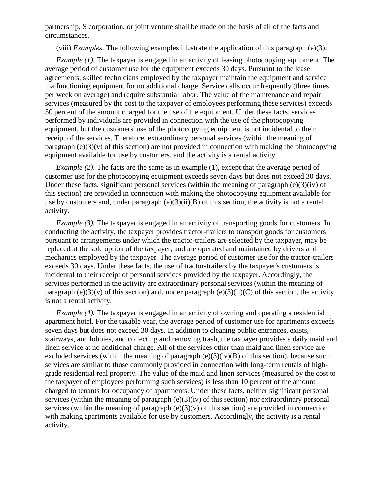partnership, S corporation, or joint venture shall be made on the basis of all of the facts and circumstances.

(viii) *Examples.* The following examples illustrate the application of this paragraph (e)(3):

*Example (1).* The taxpayer is engaged in an activity of leasing photocopying equipment. The average period of customer use for the equipment exceeds 30 days. Pursuant to the lease agreements, skilled technicians employed by the taxpayer maintain the equipment and service malfunctioning equipment for no additional charge. Service calls occur frequently (three times per week on average) and require substantial labor. The value of the maintenance and repair services (measured by the cost to the taxpayer of employees performing these services) exceeds 50 percent of the amount charged for the use of the equipment. Under these facts, services performed by individuals are provided in connection with the use of the photocopying equipment, but the customers' use of the photocopying equipment is not incidental to their receipt of the services. Therefore, extraordinary personal services (within the meaning of paragraph  $(e)(3)(v)$  of this section) are not provided in connection with making the photocopying equipment available for use by customers, and the activity is a rental activity.

*Example (2)*. The facts are the same as in example (1), except that the average period of customer use for the photocopying equipment exceeds seven days but does not exceed 30 days. Under these facts, significant personal services (within the meaning of paragraph  $(e)(3)(iv)$  of this section) are provided in connection with making the photocopying equipment available for use by customers and, under paragraph  $(e)(3)(ii)(B)$  of this section, the activity is not a rental activity.

*Example (3).* The taxpayer is engaged in an activity of transporting goods for customers. In conducting the activity, the taxpayer provides tractor-trailers to transport goods for customers pursuant to arrangements under which the tractor-trailers are selected by the taxpayer, may be replaced at the sole option of the taxpayer, and are operated and maintained by drivers and mechanics employed by the taxpayer. The average period of customer use for the tractor-trailers exceeds 30 days. Under these facts, the use of tractor-trailers by the taxpayer's customers is incidental to their receipt of personal services provided by the taxpayer. Accordingly, the services performed in the activity are extraordinary personal services (within the meaning of paragraph (e)(3)(v) of this section) and, under paragraph (e)(3)(ii)(C) of this section, the activity is not a rental activity.

*Example (4).* The taxpayer is engaged in an activity of owning and operating a residential apartment hotel. For the taxable year, the average period of customer use for apartments exceeds seven days but does not exceed 30 days. In addition to cleaning public entrances, exists, stairways, and lobbies, and collecting and removing trash, the taxpayer provides a daily maid and linen service at no additional charge. All of the services other than maid and linen service are excluded services (within the meaning of paragraph  $(e)(3)(iv)(B)$  of this section), because such services are similar to those commonly provided in connection with long-term rentals of highgrade residential real property. The value of the maid and linen services (measured by the cost to the taxpayer of employees performing such services) is less than 10 percent of the amount charged to tenants for occupancy of apartments. Under these facts, neither significant personal services (within the meaning of paragraph (e)(3)(iv) of this section) nor extraordinary personal services (within the meaning of paragraph  $(e)(3)(v)$  of this section) are provided in connection with making apartments available for use by customers. Accordingly, the activity is a rental activity.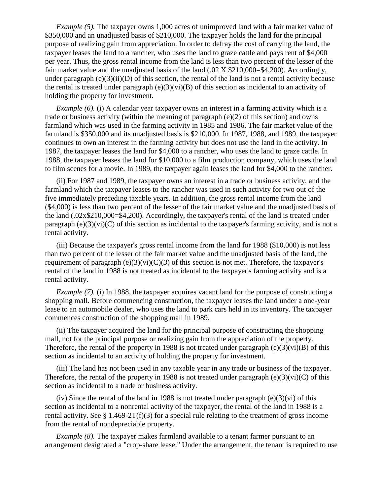*Example (5).* The taxpayer owns 1,000 acres of unimproved land with a fair market value of \$350,000 and an unadjusted basis of \$210,000. The taxpayer holds the land for the principal purpose of realizing gain from appreciation. In order to defray the cost of carrying the land, the taxpayer leases the land to a rancher, who uses the land to graze cattle and pays rent of \$4,000 per year. Thus, the gross rental income from the land is less than two percent of the lesser of the fair market value and the unadjusted basis of the land (.02 X \$210,000=\$4,200). Accordingly, under paragraph (e)(3)(ii)(D) of this section, the rental of the land is not a rental activity because the rental is treated under paragraph  $(e)(3)(vi)(B)$  of this section as incidental to an activity of holding the property for investment.

*Example (6).* (i) A calendar year taxpayer owns an interest in a farming activity which is a trade or business activity (within the meaning of paragraph (e)(2) of this section) and owns farmland which was used in the farming activity in 1985 and 1986. The fair market value of the farmland is \$350,000 and its unadjusted basis is \$210,000. In 1987, 1988, and 1989, the taxpayer continues to own an interest in the farming activity but does not use the land in the activity. In 1987, the taxpayer leases the land for \$4,000 to a rancher, who uses the land to graze cattle. In 1988, the taxpayer leases the land for \$10,000 to a film production company, which uses the land to film scenes for a movie. In 1989, the taxpayer again leases the land for \$4,000 to the rancher.

(ii) For 1987 and 1989, the taxpayer owns an interest in a trade or business activity, and the farmland which the taxpayer leases to the rancher was used in such activity for two out of the five immediately preceding taxable years. In addition, the gross rental income from the land (\$4,000) is less than two percent of the lesser of the fair market value and the unadjusted basis of the land (.02x\$210,000=\$4,200). Accordingly, the taxpayer's rental of the land is treated under paragraph (e)(3)(vi)(C) of this section as incidental to the taxpayer's farming activity, and is not a rental activity.

(iii) Because the taxpayer's gross rental income from the land for 1988 (\$10,000) is not less than two percent of the lesser of the fair market value and the unadjusted basis of the land, the requirement of paragraph  $(e)(3)(vi)(C)(3)$  of this section is not met. Therefore, the taxpayer's rental of the land in 1988 is not treated as incidental to the taxpayer's farming activity and is a rental activity.

*Example (7).* (i) In 1988, the taxpayer acquires vacant land for the purpose of constructing a shopping mall. Before commencing construction, the taxpayer leases the land under a one-year lease to an automobile dealer, who uses the land to park cars held in its inventory. The taxpayer commences construction of the shopping mall in 1989.

(ii) The taxpayer acquired the land for the principal purpose of constructing the shopping mall, not for the principal purpose or realizing gain from the appreciation of the property. Therefore, the rental of the property in 1988 is not treated under paragraph  $(e)(3)(vi)(B)$  of this section as incidental to an activity of holding the property for investment.

(iii) The land has not been used in any taxable year in any trade or business of the taxpayer. Therefore, the rental of the property in 1988 is not treated under paragraph  $(e)(3)(vi)(C)$  of this section as incidental to a trade or business activity.

(iv) Since the rental of the land in 1988 is not treated under paragraph  $(e)(3)(vi)$  of this section as incidental to a nonrental activity of the taxpayer, the rental of the land in 1988 is a rental activity. See  $\S$  1.469-2T(f)(3) for a special rule relating to the treatment of gross income from the rental of nondepreciable property.

*Example (8).* The taxpayer makes farmland available to a tenant farmer pursuant to an arrangement designated a "crop-share lease." Under the arrangement, the tenant is required to use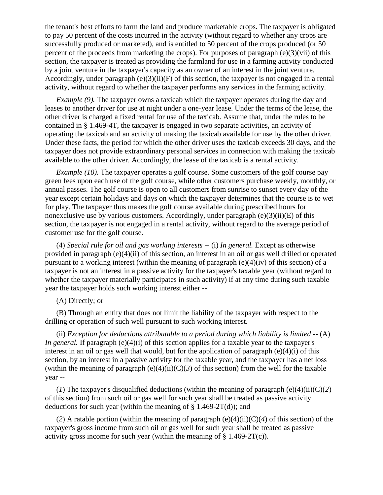the tenant's best efforts to farm the land and produce marketable crops. The taxpayer is obligated to pay 50 percent of the costs incurred in the activity (without regard to whether any crops are successfully produced or marketed), and is entitled to 50 percent of the crops produced (or 50 percent of the proceeds from marketing the crops). For purposes of paragraph (e)(3)(vii) of this section, the taxpayer is treated as providing the farmland for use in a farming activity conducted by a joint venture in the taxpayer's capacity as an owner of an interest in the joint venture. Accordingly, under paragraph  $(e)(3)(ii)(F)$  of this section, the taxpayer is not engaged in a rental activity, without regard to whether the taxpayer performs any services in the farming activity.

*Example (9).* The taxpayer owns a taxicab which the taxpayer operates during the day and leases to another driver for use at night under a one-year lease. Under the terms of the lease, the other driver is charged a fixed rental for use of the taxicab. Assume that, under the rules to be contained in § 1.469-4T, the taxpayer is engaged in two separate activities, an activity of operating the taxicab and an activity of making the taxicab available for use by the other driver. Under these facts, the period for which the other driver uses the taxicab exceeds 30 days, and the taxpayer does not provide extraordinary personal services in connection with making the taxicab available to the other driver. Accordingly, the lease of the taxicab is a rental activity.

*Example (10).* The taxpayer operates a golf course. Some customers of the golf course pay green fees upon each use of the golf course, while other customers purchase weekly, monthly, or annual passes. The golf course is open to all customers from sunrise to sunset every day of the year except certain holidays and days on which the taxpayer determines that the course is to wet for play. The taxpayer thus makes the golf course available during prescribed hours for nonexclusive use by various customers. Accordingly, under paragraph  $(e)(3)(ii)(E)$  of this section, the taxpayer is not engaged in a rental activity, without regard to the average period of customer use for the golf course.

(4) *Special rule for oil and gas working interests* -- (i) *In general.* Except as otherwise provided in paragraph (e)(4)(ii) of this section, an interest in an oil or gas well drilled or operated pursuant to a working interest (within the meaning of paragraph (e)(4)(iv) of this section) of a taxpayer is not an interest in a passive activity for the taxpayer's taxable year (without regard to whether the taxpayer materially participates in such activity) if at any time during such taxable year the taxpayer holds such working interest either --

(A) Directly; or

(B) Through an entity that does not limit the liability of the taxpayer with respect to the drilling or operation of such well pursuant to such working interest.

(ii) *Exception for deductions attributable to a period during which liability is limited* -- (A) *In general.* If paragraph  $(e)(4)(i)$  of this section applies for a taxable year to the taxpayer's interest in an oil or gas well that would, but for the application of paragraph (e)(4)(i) of this section, by an interest in a passive activity for the taxable year, and the taxpayer has a net loss (within the meaning of paragraph  $(e)(4)(ii)(C)(3)$  of this section) from the well for the taxable year --

(*I*) The taxpayer's disqualified deductions (within the meaning of paragraph (e)(4)(ii)( $C(2)$ ) of this section) from such oil or gas well for such year shall be treated as passive activity deductions for such year (within the meaning of  $\S$  1.469-2T(d)); and

(2) A ratable portion (within the meaning of paragraph  $(e)(4)(ii)(C)(4)$  of this section) of the taxpayer's gross income from such oil or gas well for such year shall be treated as passive activity gross income for such year (within the meaning of  $\S 1.469-2T(c)$ ).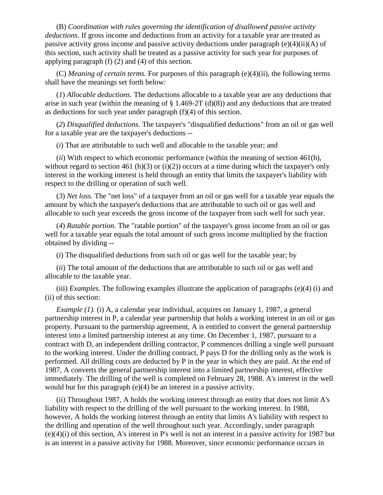(B) *Coordination with rules governing the identification of disallowed passive activity deductions.* If gross income and deductions from an activity for a taxable year are treated as passive activity gross income and passive activity deductions under paragraph (e)(4)(ii)(A) of this section, such activity shall be treated as a passive activity for such year for purposes of applying paragraph (f) (2) and (4) of this section.

(C) *Meaning of certain terms.* For purposes of this paragraph (e)(4)(ii), the following terms shall have the meanings set forth below:

(*1*) *Allocable deductions.* The deductions allocable to a taxable year are any deductions that arise in such year (within the meaning of  $\S$  1.469-2T (d)(8)) and any deductions that are treated as deductions for such year under paragraph (f)(4) of this section.

(*2*) *Disqualified deductions.* The taxpayer's "disqualified deductions" from an oil or gas well for a taxable year are the taxpayer's deductions --

(*i*) That are attributable to such well and allocable to the taxable year; and

(*ii*) With respect to which economic performance (within the meaning of section 461(h), without regard to section 461 (h)(3) or (i)(2)) occurs at a time during which the taxpayer's only interest in the working interest is held through an entity that limits the taxpayer's liability with respect to the drilling or operation of such well.

(*3*) *Net loss.* The "net loss" of a taxpayer from an oil or gas well for a taxable year equals the amount by which the taxpayer's deductions that are attributable to such oil or gas well and allocable to such year exceeds the gross income of the taxpayer from such well for such year.

(*4*) *Ratable portion.* The "ratable portion" of the taxpayer's gross income from an oil or gas well for a taxable year equals the total amount of such gross income multiplied by the fraction obtained by dividing --

(*i*) The disqualified deductions from such oil or gas well for the taxable year; by

(*ii*) The total amount of the deductions that are attributable to such oil or gas well and allocable to the taxable year.

(iii) *Examples.* The following examples illustrate the application of paragraphs (e)(4) (i) and (ii) of this section:

*Example (1).* (i) A, a calendar year individual, acquires on January 1, 1987, a general partnership interest in P, a calendar year partnership that holds a working interest in an oil or gas property. Pursuant to the partnership agreement, A is entitled to convert the general partnership interest into a limited partnership interest at any time. On December 1, 1987, pursuant to a contract with D, an independent drilling contractor, P commences drilling a single well pursuant to the working interest. Under the drilling contract, P pays D for the drilling only as the work is performed. All drilling costs are deducted by P in the year in which they are paid. At the end of 1987, A converts the general partnership interest into a limited partnership interest, effective immediately. The drilling of the well is completed on February 28, 1988. A's interest in the well would but for this paragraph (e)(4) be an interest in a passive activity.

(ii) Throughout 1987, A holds the working interest through an entity that does not limit A's liability with respect to the drilling of the well pursuant to the working interest. In 1988, however, A holds the working interest through an entity that limits A's liability with respect to the drilling and operation of the well throughout such year. Accordingly, under paragraph (e)(4)(i) of this section, A's interest in P's well is not an interest in a passive activity for 1987 but is an interest in a passive activity for 1988. Moreover, since economic performance occurs in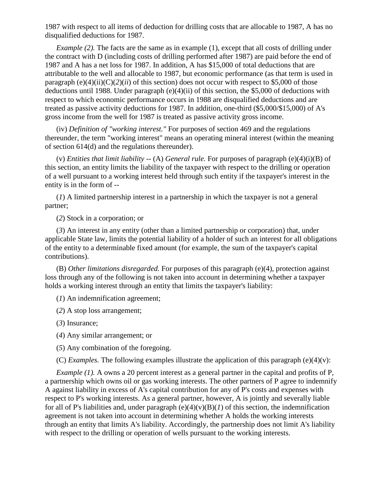1987 with respect to all items of deduction for drilling costs that are allocable to 1987, A has no disqualified deductions for 1987.

*Example (2).* The facts are the same as in example (1), except that all costs of drilling under the contract with D (including costs of drilling performed after 1987) are paid before the end of 1987 and A has a net loss for 1987. In addition, A has \$15,000 of total deductions that are attributable to the well and allocable to 1987, but economic performance (as that term is used in paragraph  $(e)(4)(ii)(C)(2)(ii)$  of this section) does not occur with respect to \$5,000 of those deductions until 1988. Under paragraph (e)(4)(ii) of this section, the \$5,000 of deductions with respect to which economic performance occurs in 1988 are disqualified deductions and are treated as passive activity deductions for 1987. In addition, one-third (\$5,000/\$15,000) of A's gross income from the well for 1987 is treated as passive activity gross income.

(iv) *Definition of "working interest."* For purposes of section 469 and the regulations thereunder, the term "working interest" means an operating mineral interest (within the meaning of section 614(d) and the regulations thereunder).

(v) *Entities that limit liability --* (A) *General rule.* For purposes of paragraph (e)(4)(i)(B) of this section, an entity limits the liability of the taxpayer with respect to the drilling or operation of a well pursuant to a working interest held through such entity if the taxpayer's interest in the entity is in the form of --

(*1*) A limited partnership interest in a partnership in which the taxpayer is not a general partner;

(*2*) Stock in a corporation; or

(*3*) An interest in any entity (other than a limited partnership or corporation) that, under applicable State law, limits the potential liability of a holder of such an interest for all obligations of the entity to a determinable fixed amount (for example, the sum of the taxpayer's capital contributions).

(B) *Other limitations disregarded.* For purposes of this paragraph (e)(4), protection against loss through any of the following is not taken into account in determining whether a taxpayer holds a working interest through an entity that limits the taxpayer's liability:

(*1*) An indemnification agreement;

(*2*) A stop loss arrangement;

(*3*) Insurance;

(*4*) Any similar arrangement; or

(*5*) Any combination of the foregoing.

(C) *Examples.* The following examples illustrate the application of this paragraph (e)(4)(v):

*Example (1).* A owns a 20 percent interest as a general partner in the capital and profits of P, a partnership which owns oil or gas working interests. The other partners of P agree to indemnify A against liability in excess of A's capital contribution for any of P's costs and expenses with respect to P's working interests. As a general partner, however, A is jointly and severally liable for all of P's liabilities and, under paragraph  $(e)(4)(v)(B)(I)$  of this section, the indemnification agreement is not taken into account in determining whether A holds the working interests through an entity that limits A's liability. Accordingly, the partnership does not limit A's liability with respect to the drilling or operation of wells pursuant to the working interests.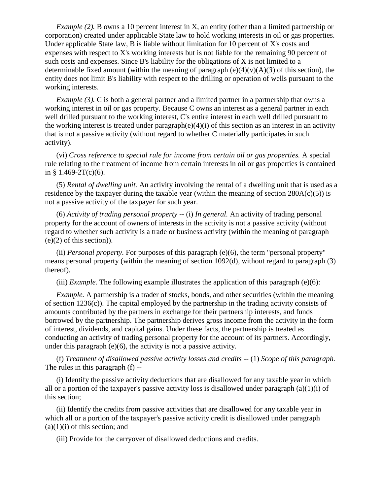*Example (2).* B owns a 10 percent interest in X, an entity (other than a limited partnership or corporation) created under applicable State law to hold working interests in oil or gas properties. Under applicable State law, B is liable without limitation for 10 percent of X's costs and expenses with respect to X's working interests but is not liable for the remaining 90 percent of such costs and expenses. Since B's liability for the obligations of X is not limited to a determinable fixed amount (within the meaning of paragraph  $(e)(4)(v)(A)(3)$  of this section), the entity does not limit B's liability with respect to the drilling or operation of wells pursuant to the working interests.

*Example (3).* C is both a general partner and a limited partner in a partnership that owns a working interest in oil or gas property. Because C owns an interest as a general partner in each well drilled pursuant to the working interest, C's entire interest in each well drilled pursuant to the working interest is treated under paragraph(e)(4)(i) of this section as an interest in an activity that is not a passive activity (without regard to whether C materially participates in such activity).

(vi) *Cross reference to special rule for income from certain oil or gas properties.* A special rule relating to the treatment of income from certain interests in oil or gas properties is contained in §  $1.469-2T(c)(6)$ .

(5) *Rental of dwelling unit.* An activity involving the rental of a dwelling unit that is used as a residence by the taxpayer during the taxable year (within the meaning of section  $280A(c)(5)$ ) is not a passive activity of the taxpayer for such year.

(6) *Activity of trading personal property* -- (i) *In general.* An activity of trading personal property for the account of owners of interests in the activity is not a passive activity (without regard to whether such activity is a trade or business activity (within the meaning of paragraph  $(e)(2)$  of this section)).

(ii) *Personal property.* For purposes of this paragraph (e)(6), the term "personal property" means personal property (within the meaning of section 1092(d), without regard to paragraph (3) thereof).

(iii) *Example*. The following example illustrates the application of this paragraph  $(e)(6)$ :

*Example.* A partnership is a trader of stocks, bonds, and other securities (within the meaning of section 1236(c)). The capital employed by the partnership in the trading activity consists of amounts contributed by the partners in exchange for their partnership interests, and funds borrowed by the partnership. The partnership derives gross income from the activity in the form of interest, dividends, and capital gains. Under these facts, the partnership is treated as conducting an activity of trading personal property for the account of its partners. Accordingly, under this paragraph (e)(6), the activity is not a passive activity.

(f) *Treatment of disallowed passive activity losses and credits* -- (1) *Scope of this paragraph.*  The rules in this paragraph (f) --

(i) Identify the passive activity deductions that are disallowed for any taxable year in which all or a portion of the taxpayer's passive activity loss is disallowed under paragraph  $(a)(1)(i)$  of this section;

(ii) Identify the credits from passive activities that are disallowed for any taxable year in which all or a portion of the taxpayer's passive activity credit is disallowed under paragraph  $(a)(1)(i)$  of this section; and

(iii) Provide for the carryover of disallowed deductions and credits.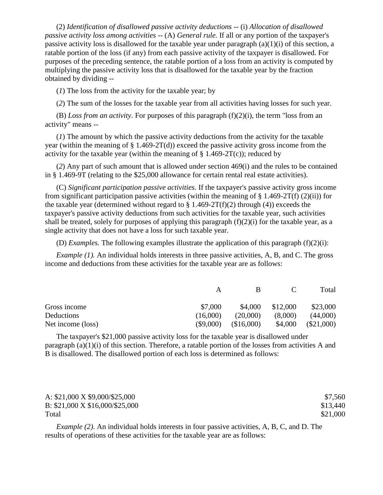(2) *Identification of disallowed passive activity deductions* -- (i) *Allocation of disallowed passive activity loss among activities* -- (A) *General rule.* If all or any portion of the taxpayer's passive activity loss is disallowed for the taxable year under paragraph  $(a)(1)(i)$  of this section, a ratable portion of the loss (if any) from each passive activity of the taxpayer is disallowed. For purposes of the preceding sentence, the ratable portion of a loss from an activity is computed by multiplying the passive activity loss that is disallowed for the taxable year by the fraction obtained by dividing --

(*1*) The loss from the activity for the taxable year; by

(*2*) The sum of the losses for the taxable year from all activities having losses for such year.

(B) *Loss from an activity.* For purposes of this paragraph (f)(2)(i), the term "loss from an activity" means --

(*1*) The amount by which the passive activity deductions from the activity for the taxable year (within the meaning of  $\S$  1.469-2T(d)) exceed the passive activity gross income from the activity for the taxable year (within the meaning of  $\S 1.469-2T(c)$ ); reduced by

(*2*) Any part of such amount that is allowed under section 469(i) and the rules to be contained in § 1.469-9T (relating to the \$25,000 allowance for certain rental real estate activities).

(C) *Significant participation passive activities.* If the taxpayer's passive activity gross income from significant participation passive activities (within the meaning of  $\S 1.469-2T(f) (2)(ii)$ ) for the taxable year (determined without regard to  $\S 1.469-2T(f)(2)$  through (4)) exceeds the taxpayer's passive activity deductions from such activities for the taxable year, such activities shall be treated, solely for purposes of applying this paragraph  $(f)(2)(i)$  for the taxable year, as a single activity that does not have a loss for such taxable year.

(D) *Examples*. The following examples illustrate the application of this paragraph  $(f)(2)(i)$ :

*Example (1).* An individual holds interests in three passive activities, A, B, and C. The gross income and deductions from these activities for the taxable year are as follows:

|                   | A           | в          | $\mathbf{C}$ | Total        |
|-------------------|-------------|------------|--------------|--------------|
| Gross income      | \$7,000     | \$4,000    | \$12,000     | \$23,000     |
| Deductions        | (16,000)    | (20,000)   | (8,000)      | (44,000)     |
| Net income (loss) | $(\$9,000)$ | (\$16,000) | \$4,000      | $(\$21,000)$ |

The taxpayer's \$21,000 passive activity loss for the taxable year is disallowed under paragraph (a)(1)(i) of this section. Therefore, a ratable portion of the losses from activities A and B is disallowed. The disallowed portion of each loss is determined as follows:

| A: $$21,000 \text{ X } $9,000 \text{/} $25,000$  | \$7,560  |
|--------------------------------------------------|----------|
| B: $$21,000 \text{ X } $16,000 \text{/} $25,000$ | \$13,440 |
| Total                                            | \$21,000 |

*Example (2)*. An individual holds interests in four passive activities, A, B, C, and D. The results of operations of these activities for the taxable year are as follows: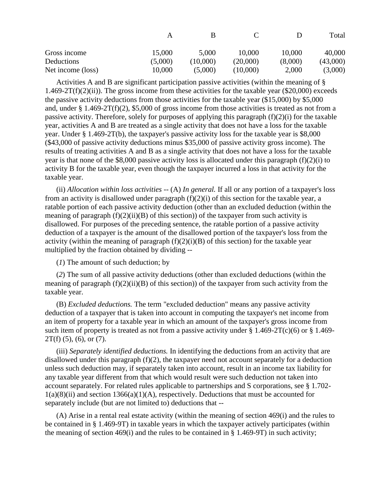|                   |         | к        |          |         | Total    |
|-------------------|---------|----------|----------|---------|----------|
| Gross income      | 15,000  | 5,000    | 10,000   | 10,000  | 40,000   |
| Deductions        | (5,000) | (10,000) | (20,000) | (8,000) | (43,000) |
| Net income (loss) | 10,000  | (5,000)  | (10,000) | 2,000   | (3,000)  |

Activities A and B are significant participation passive activities (within the meaning of § 1.469-2T(f)(2)(ii)). The gross income from these activities for the taxable year (\$20,000) exceeds the passive activity deductions from those activities for the taxable year (\$15,000) by \$5,000 and, under § 1.469-2T(f)(2), \$5,000 of gross income from those activities is treated as not from a passive activity. Therefore, solely for purposes of applying this paragraph  $(f)(2)(i)$  for the taxable year, activities A and B are treated as a single activity that does not have a loss for the taxable year. Under § 1.469-2T(b), the taxpayer's passive activity loss for the taxable year is \$8,000 (\$43,000 of passive activity deductions minus \$35,000 of passive activity gross income). The results of treating activities A and B as a single activity that does not have a loss for the taxable year is that none of the \$8,000 passive activity loss is allocated under this paragraph (f)(2)(i) to activity B for the taxable year, even though the taxpayer incurred a loss in that activity for the taxable year.

(ii) *Allocation within loss activities* -- (A) *In general.* If all or any portion of a taxpayer's loss from an activity is disallowed under paragraph  $(f)(2)(i)$  of this section for the taxable year, a ratable portion of each passive activity deduction (other than an excluded deduction (within the meaning of paragraph  $(f)(2)(ii)(B)$  of this section)) of the taxpayer from such activity is disallowed. For purposes of the preceding sentence, the ratable portion of a passive activity deduction of a taxpayer is the amount of the disallowed portion of the taxpayer's loss from the activity (within the meaning of paragraph  $(f)(2)(i)(B)$  of this section) for the taxable year multiplied by the fraction obtained by dividing --

(*1*) The amount of such deduction; by

(*2*) The sum of all passive activity deductions (other than excluded deductions (within the meaning of paragraph  $(f)(2)(ii)(B)$  of this section)) of the taxpayer from such activity from the taxable year.

(B) *Excluded deductions.* The term "excluded deduction" means any passive activity deduction of a taxpayer that is taken into account in computing the taxpayer's net income from an item of property for a taxable year in which an amount of the taxpayer's gross income from such item of property is treated as not from a passive activity under  $\S 1.469-2T(c)(6)$  or  $\S 1.469 2T(f)$  (5), (6), or (7).

(iii) *Separately identified deductions.* In identifying the deductions from an activity that are disallowed under this paragraph (f)(2), the taxpayer need not account separately for a deduction unless such deduction may, if separately taken into account, result in an income tax liability for any taxable year different from that which would result were such deduction not taken into account separately. For related rules applicable to partnerships and S corporations, see § 1.702-  $1(a)(8)(ii)$  and section  $1366(a)(1)(A)$ , respectively. Deductions that must be accounted for separately include (but are not limited to) deductions that --

(A) Arise in a rental real estate activity (within the meaning of section 469(i) and the rules to be contained in § 1.469-9T) in taxable years in which the taxpayer actively participates (within the meaning of section 469(i) and the rules to be contained in  $\S$  1.469-9T) in such activity;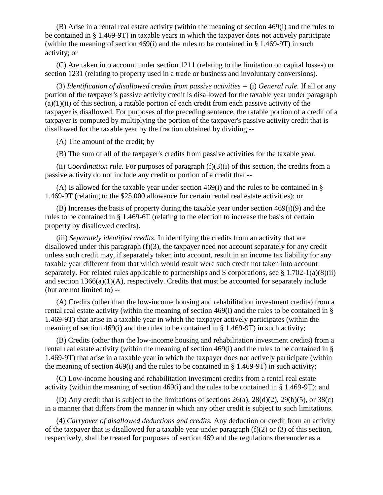(B) Arise in a rental real estate activity (within the meaning of section 469(i) and the rules to be contained in § 1.469-9T) in taxable years in which the taxpayer does not actively participate (within the meaning of section 469(i) and the rules to be contained in  $\S$  1.469-9T) in such activity; or

(C) Are taken into account under section 1211 (relating to the limitation on capital losses) or section 1231 (relating to property used in a trade or business and involuntary conversions).

(3) *Identification of disallowed credits from passive activities* -- (i) *General rule.* If all or any portion of the taxpayer's passive activity credit is disallowed for the taxable year under paragraph  $(a)(1)(ii)$  of this section, a ratable portion of each credit from each passive activity of the taxpayer is disallowed. For purposes of the preceding sentence, the ratable portion of a credit of a taxpayer is computed by multiplying the portion of the taxpayer's passive activity credit that is disallowed for the taxable year by the fraction obtained by dividing --

(A) The amount of the credit; by

(B) The sum of all of the taxpayer's credits from passive activities for the taxable year.

(ii) *Coordination rule.* For purposes of paragraph (f)(3)(i) of this section, the credits from a passive activity do not include any credit or portion of a credit that --

(A) Is allowed for the taxable year under section 469(i) and the rules to be contained in § 1.469-9T (relating to the \$25,000 allowance for certain rental real estate activities); or

(B) Increases the basis of property during the taxable year under section  $469(i)(9)$  and the rules to be contained in § 1.469-6T (relating to the election to increase the basis of certain property by disallowed credits).

(iii) *Separately identified credits.* In identifying the credits from an activity that are disallowed under this paragraph (f)(3), the taxpayer need not account separately for any credit unless such credit may, if separately taken into account, result in an income tax liability for any taxable year different from that which would result were such credit not taken into account separately. For related rules applicable to partnerships and S corporations, see  $\S 1.702-1(a)(8)(ii)$ and section  $1366(a)(1)(A)$ , respectively. Credits that must be accounted for separately include (but are not limited to) --

(A) Credits (other than the low-income housing and rehabilitation investment credits) from a rental real estate activity (within the meaning of section 469(i) and the rules to be contained in § 1.469-9T) that arise in a taxable year in which the taxpayer actively participates (within the meaning of section 469(i) and the rules to be contained in  $\S$  1.469-9T) in such activity;

(B) Credits (other than the low-income housing and rehabilitation investment credits) from a rental real estate activity (within the meaning of section 469(i) and the rules to be contained in § 1.469-9T) that arise in a taxable year in which the taxpayer does not actively participate (within the meaning of section 469(i) and the rules to be contained in  $\S 1.469$ -9T) in such activity;

(C) Low-income housing and rehabilitation investment credits from a rental real estate activity (within the meaning of section  $469(i)$  and the rules to be contained in § 1.469-9T); and

(D) Any credit that is subject to the limitations of sections 26(a), 28(d)(2), 29(b)(5), or 38(c) in a manner that differs from the manner in which any other credit is subject to such limitations.

(4) *Carryover of disallowed deductions and credits.* Any deduction or credit from an activity of the taxpayer that is disallowed for a taxable year under paragraph (f)(2) or (3) of this section, respectively, shall be treated for purposes of section 469 and the regulations thereunder as a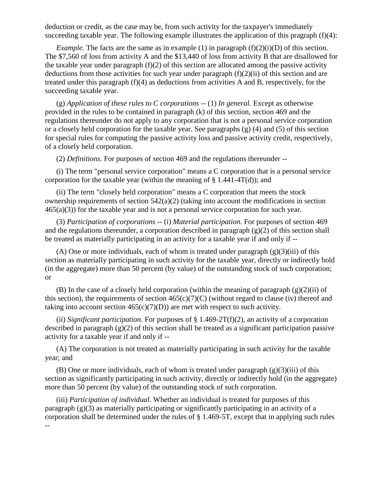deduction or credit, as the case may be, from such activity for the taxpayer's immediately succeeding taxable year. The following example illustrates the application of this pragraph (f)(4):

*Example.* The facts are the same as in example (1) in paragraph  $(f)(2)(i)(D)$  of this section. The \$7,560 of loss from activity A and the \$13,440 of loss from activity B that are disallowed for the taxable year under paragraph  $(f)(2)$  of this section are allocated among the passive activity deductions from those activities for such year under paragraph  $(f)(2)(ii)$  of this section and are treated under this paragraph (f)(4) as deductions from activities A and B, respectively, for the succeeding taxable year.

(g) *Application of these rules to C corporations* -- (1) *In general.* Except as otherwise provided in the rules to be contained in paragraph (k) of this section, section 469 and the regulations thereunder do not apply to any corporation that is not a personal service corporation or a closely held corporation for the taxable year. See paragraphs  $(g)$  (4) and (5) of this section for special rules for computing the passive activity loss and passive activity credit, respectively, of a closely held corporation.

(2) *Definitions.* For purposes of section 469 and the regulations thereunder --

(i) The term "personal service corporation" means a C corporation that is a personal service corporation for the taxable year (within the meaning of  $\S$  1.441-4T(d)); and

(ii) The term "closely held corporation" means a C corporation that meets the stock ownership requirements of section 542(a)(2) (taking into account the modifications in section  $465(a)(3)$ ) for the taxable year and is not a personal service corporation for such year.

(3) *Participation of corporations* -- (i) *Material participation.* For purposes of section 469 and the regulations thereunder, a corporation described in paragraph  $(g)(2)$  of this section shall be treated as materially participating in an activity for a taxable year if and only if --

(A) One or more individuals, each of whom is treated under paragraph  $(g)(3)(iii)$  of this section as materially participating in such activity for the taxable year, directly or indirectly hold (in the aggregate) more than 50 percent (by value) of the outstanding stock of such corporation; or

(B) In the case of a closely held corporation (within the meaning of paragraph  $(g)(2)(ii)$  of this section), the requirements of section  $465(c)(7)(C)$  (without regard to clause (iv) thereof and taking into account section  $465(c)(7)(D)$  are met with respect to such activity.

(ii) *Significant participation.* For purposes of § 1.469-2T(f)(2), an activity of a corporation described in paragraph (g)(2) of this section shall be treated as a significant participation passive activity for a taxable year if and only if --

(A) The corporation is not treated as materially participating in such activity for the taxable year; and

(B) One or more individuals, each of whom is treated under paragraph  $(g)(3)(iii)$  of this section as significantly participating in such activity, directly or indirectly hold (in the aggregate) more than 50 percent (by value) of the outstanding stock of such corporation.

(iii) *Participation of individual.* Whether an individual is treated for purposes of this paragraph (g)(3) as materially participating or significantly participating in an activity of a corporation shall be determined under the rules of § 1.469-5T, except that in applying such rules --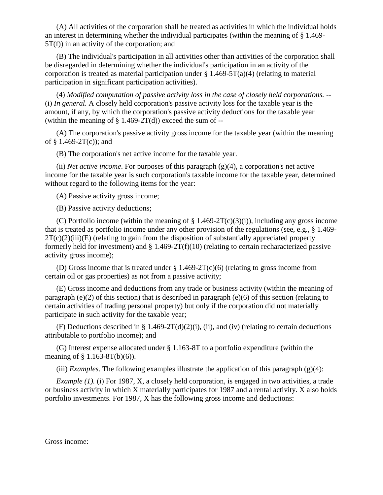(A) All activities of the corporation shall be treated as activities in which the individual holds an interest in determining whether the individual participates (within the meaning of § 1.469- 5T(f)) in an activity of the corporation; and

(B) The individual's participation in all activities other than activities of the corporation shall be disregarded in determining whether the individual's participation in an activity of the corporation is treated as material participation under  $\S 1.469-5T(a)(4)$  (relating to material participation in significant participation activities).

(4) *Modified computation of passive activity loss in the case of closely held corporations.* -- (i) *In general.* A closely held corporation's passive activity loss for the taxable year is the amount, if any, by which the corporation's passive activity deductions for the taxable year (within the meaning of  $\S$  1.469-2T(d)) exceed the sum of --

(A) The corporation's passive activity gross income for the taxable year (within the meaning of  $§$  1.469-2T(c)); and

(B) The corporation's net active income for the taxable year.

(ii) *Net active income*. For purposes of this paragraph (g)(4), a corporation's net active income for the taxable year is such corporation's taxable income for the taxable year, determined without regard to the following items for the year:

(A) Passive activity gross income;

(B) Passive activity deductions;

(C) Portfolio income (within the meaning of  $\S$  1.469-2T(c)(3)(i)), including any gross income that is treated as portfolio income under any other provision of the regulations (see, e.g., § 1.469-  $2T(c)(2)(iii)$ (E) (relating to gain from the disposition of substantially appreciated property formerly held for investment) and  $\S$  1.469-2T(f)(10) (relating to certain recharacterized passive activity gross income);

(D) Gross income that is treated under  $\S 1.469-2T(c)(6)$  (relating to gross income from certain oil or gas properties) as not from a passive activity;

(E) Gross income and deductions from any trade or business activity (within the meaning of paragraph (e)(2) of this section) that is described in paragraph (e)(6) of this section (relating to certain activities of trading personal property) but only if the corporation did not materially participate in such activity for the taxable year;

(F) Deductions described in § 1.469-2T(d)(2)(i), (ii), and (iv) (relating to certain deductions attributable to portfolio income); and

(G) Interest expense allocated under § 1.163-8T to a portfolio expenditure (within the meaning of § 1.163-8T(b)(6)).

(iii) *Examples*. The following examples illustrate the application of this paragraph (g)(4):

*Example (1).* (i) For 1987, X, a closely held corporation, is engaged in two activities, a trade or business activity in which X materially participates for 1987 and a rental activity. X also holds portfolio investments. For 1987, X has the following gross income and deductions:

Gross income: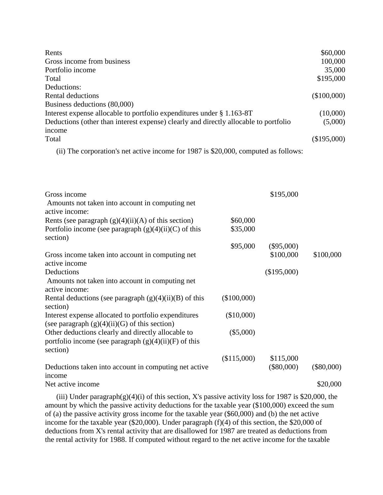| Rents                                                                                | \$60,000    |
|--------------------------------------------------------------------------------------|-------------|
| Gross income from business                                                           | 100,000     |
| Portfolio income                                                                     | 35,000      |
| Total                                                                                | \$195,000   |
| Deductions:                                                                          |             |
| Rental deductions                                                                    | (\$100,000) |
| Business deductions (80,000)                                                         |             |
| Interest expense allocable to portfolio expenditures under § 1.163-8T                | (10,000)    |
| Deductions (other than interest expense) clearly and directly allocable to portfolio | (5,000)     |
| income                                                                               |             |
| Total                                                                                | (\$195,000) |

(ii) The corporation's net active income for 1987 is \$20,000, computed as follows:

| Gross income<br>Amounts not taken into account in computing net<br>active income:                                         |             | \$195,000    |              |
|---------------------------------------------------------------------------------------------------------------------------|-------------|--------------|--------------|
| Rents (see paragraph $(g)(4)(ii)(A)$ of this section)                                                                     | \$60,000    |              |              |
| Portfolio income (see paragraph $(g)(4)(ii)(C)$ of this<br>section)                                                       | \$35,000    |              |              |
|                                                                                                                           | \$95,000    | $(\$95,000)$ |              |
| Gross income taken into account in computing net                                                                          |             | \$100,000    | \$100,000    |
| active income                                                                                                             |             |              |              |
| Deductions<br>Amounts not taken into account in computing net                                                             |             | (\$195,000)  |              |
| active income:                                                                                                            |             |              |              |
| Rental deductions (see paragraph $(g)(4)(ii)(B)$ of this<br>section)                                                      | (\$100,000) |              |              |
| Interest expense allocated to portfolio expenditures<br>(see paragraph $(g)(4)(ii)(G)$ of this section)                   | (\$10,000)  |              |              |
| Other deductions clearly and directly allocable to<br>portfolio income (see paragraph $(g)(4)(ii)(F)$ of this<br>section) | $(\$5,000)$ |              |              |
|                                                                                                                           | (\$115,000) | \$115,000    |              |
| Deductions taken into account in computing net active<br>income                                                           |             | $(\$80,000)$ | $(\$80,000)$ |
| Net active income                                                                                                         |             |              | \$20,000     |
|                                                                                                                           |             |              |              |

(iii) Under paragraph $(g)(4)(i)$  of this section, X's passive activity loss for 1987 is \$20,000, the amount by which the passive activity deductions for the taxable year (\$100,000) exceed the sum of (a) the passive activity gross income for the taxable year (\$60,000) and (b) the net active income for the taxable year (\$20,000). Under paragraph (f)(4) of this section, the \$20,000 of deductions from X's rental activity that are disallowed for 1987 are treated as deductions from the rental activity for 1988. If computed without regard to the net active income for the taxable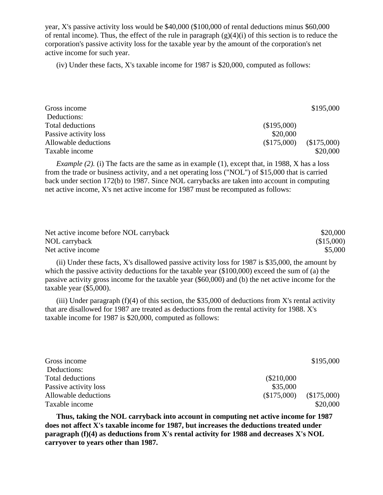year, X's passive activity loss would be \$40,000 (\$100,000 of rental deductions minus \$60,000 of rental income). Thus, the effect of the rule in paragraph  $(g)(4)(i)$  of this section is to reduce the corporation's passive activity loss for the taxable year by the amount of the corporation's net active income for such year.

(iv) Under these facts, X's taxable income for 1987 is \$20,000, computed as follows:

| Gross income          |             | \$195,000   |
|-----------------------|-------------|-------------|
| Deductions:           |             |             |
| Total deductions      | (\$195,000) |             |
| Passive activity loss | \$20,000    |             |
| Allowable deductions  | (\$175,000) | (\$175,000) |
| Taxable income        |             | \$20,000    |

*Example (2).* (i) The facts are the same as in example (1), except that, in 1988, X has a loss from the trade or business activity, and a net operating loss ("NOL") of \$15,000 that is carried back under section 172(b) to 1987. Since NOL carrybacks are taken into account in computing net active income, X's net active income for 1987 must be recomputed as follows:

| Net active income before NOL carryback | \$20,000   |
|----------------------------------------|------------|
| NOL carryback                          | (\$15,000) |
| Net active income                      | \$5,000    |

(ii) Under these facts, X's disallowed passive activity loss for 1987 is \$35,000, the amount by which the passive activity deductions for the taxable year (\$100,000) exceed the sum of (a) the passive activity gross income for the taxable year (\$60,000) and (b) the net active income for the taxable year (\$5,000).

(iii) Under paragraph  $(f)(4)$  of this section, the \$35,000 of deductions from X's rental activity that are disallowed for 1987 are treated as deductions from the rental activity for 1988. X's taxable income for 1987 is \$20,000, computed as follows:

| Gross income          |             | \$195,000   |
|-----------------------|-------------|-------------|
| Deductions:           |             |             |
| Total deductions      | (\$210,000  |             |
| Passive activity loss | \$35,000    |             |
| Allowable deductions  | (\$175,000) | (\$175,000) |
| Taxable income        |             | \$20,000    |

**Thus, taking the NOL carryback into account in computing net active income for 1987 does not affect X's taxable income for 1987, but increases the deductions treated under paragraph (f)(4) as deductions from X's rental activity for 1988 and decreases X's NOL carryover to years other than 1987.**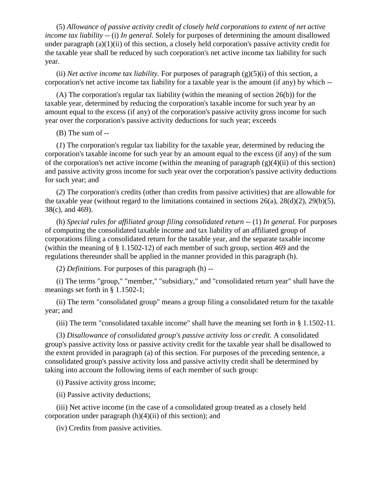(5) *Allowance of passive activity credit of closely held corporations to extent of net active income tax liability* -- (*i*) *In general.* Solely for purposes of determining the amount disallowed under paragraph (a)(1)(ii) of this section, a closely held corporation's passive activity credit for the taxable year shall be reduced by such corporation's net active income tax liability for such year.

(ii) *Net active income tax liability.* For purposes of paragraph (g)(5)(i) of this section, a corporation's net active income tax liability for a taxable year is the amount (if any) by which --

(A) The corporation's regular tax liability (within the meaning of section 26(b)) for the taxable year, determined by reducing the corporation's taxable income for such year by an amount equal to the excess (if any) of the corporation's passive activity gross income for such year over the corporation's passive activity deductions for such year; exceeds

(B) The sum of --

(*1*) The corporation's regular tax liability for the taxable year, determined by reducing the corporation's taxable income for such year by an amount equal to the excess (if any) of the sum of the corporation's net active income (within the meaning of paragraph  $(g)(4)(ii)$  of this section) and passive activity gross income for such year over the corporation's passive activity deductions for such year; and

(*2*) The corporation's credits (other than credits from passive activities) that are allowable for the taxable year (without regard to the limitations contained in sections  $26(a)$ ,  $28(d)(2)$ ,  $29(b)(5)$ , 38(c), and 469).

(h) *Special rules for affiliated group filing consolidated return* -- (1) *In general.* For purposes of computing the consolidated taxable income and tax liability of an affiliated group of corporations filing a consolidated return for the taxable year, and the separate taxable income (within the meaning of § 1.1502-12) of each member of such group, section 469 and the regulations thereunder shall be applied in the manner provided in this paragraph (h).

(2) *Definitions.* For purposes of this paragraph (h) --

(i) The terms "group," "member," "subsidiary," and "consolidated return year" shall have the meanings set forth in § 1.1502-1;

(ii) The term "consolidated group" means a group filing a consolidated return for the taxable year; and

(iii) The term "consolidated taxable income" shall have the meaning set forth in § 1.1502-11.

(3) *Disallowance of consolidated group's passive activity loss or credit.* A consolidated group's passive activity loss or passive activity credit for the taxable year shall be disallowed to the extent provided in paragraph (a) of this section. For purposes of the preceding sentence, a consolidated group's passive activity loss and passive activity credit shall be determined by taking into account the following items of each member of such group:

(i) Passive activity gross income;

(ii) Passive activity deductions;

(iii) Net active income (in the case of a consolidated group treated as a closely held corporation under paragraph (h)(4)(ii) of this section); and

(iv) Credits from passive activities.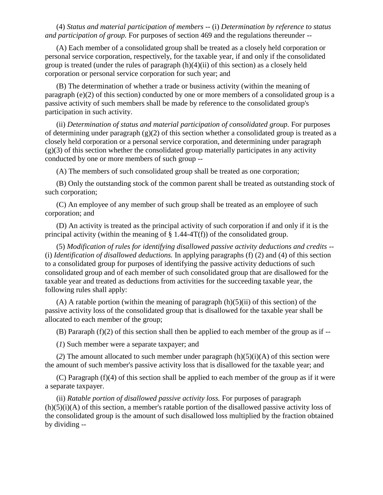(4) *Status and material participation of members --* (i) *Determination by reference to status and participation of group.* For purposes of section 469 and the regulations thereunder --

(A) Each member of a consolidated group shall be treated as a closely held corporation or personal service corporation, respectively, for the taxable year, if and only if the consolidated group is treated (under the rules of paragraph  $(h)(4)(ii)$  of this section) as a closely held corporation or personal service corporation for such year; and

(B) The determination of whether a trade or business activity (within the meaning of paragraph (e)(2) of this section) conducted by one or more members of a consolidated group is a passive activity of such members shall be made by reference to the consolidated group's participation in such activity.

(ii) *Determination of status and material participation of consolidated group.* For purposes of determining under paragraph  $(g)(2)$  of this section whether a consolidated group is treated as a closely held corporation or a personal service corporation, and determining under paragraph  $(g)(3)$  of this section whether the consolidated group materially participates in any activity conducted by one or more members of such group --

(A) The members of such consolidated group shall be treated as one corporation;

(B) Only the outstanding stock of the common parent shall be treated as outstanding stock of such corporation;

(C) An employee of any member of such group shall be treated as an employee of such corporation; and

(D) An activity is treated as the principal activity of such corporation if and only if it is the principal activity (within the meaning of  $\S$  1.44-4T(f)) of the consolidated group.

(5) *Modification of rules for identifying disallowed passive activity deductions and credits* -- (i) *Identification of disallowed deductions.* In applying paragraphs (f) (2) and (4) of this section to a consolidated group for purposes of identifying the passive activity deductions of such consolidated group and of each member of such consolidated group that are disallowed for the taxable year and treated as deductions from activities for the succeeding taxable year, the following rules shall apply:

 $(A)$  A ratable portion (within the meaning of paragraph  $(h)(5)(ii)$  of this section) of the passive activity loss of the consolidated group that is disallowed for the taxable year shall be allocated to each member of the group;

(B) Pararaph (f)(2) of this section shall then be applied to each member of the group as if --

(*1*) Such member were a separate taxpayer; and

(2) The amount allocated to such member under paragraph  $(h)(5)(i)(A)$  of this section were the amount of such member's passive activity loss that is disallowed for the taxable year; and

(C) Paragraph (f)(4) of this section shall be applied to each member of the group as if it were a separate taxpayer.

(ii) *Ratable portion of disallowed passive activity loss.* For purposes of paragraph  $(h)(5)(i)(A)$  of this section, a member's ratable portion of the disallowed passive activity loss of the consolidated group is the amount of such disallowed loss multiplied by the fraction obtained by dividing --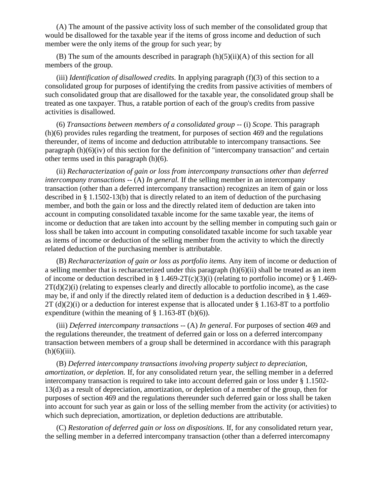(A) The amount of the passive activity loss of such member of the consolidated group that would be disallowed for the taxable year if the items of gross income and deduction of such member were the only items of the group for such year; by

(B) The sum of the amounts described in paragraph  $(h)(5)(ii)(A)$  of this section for all members of the group.

(iii) *Identification of disallowed credits.* In applying paragraph (f)(3) of this section to a consolidated group for purposes of identifying the credits from passive activities of members of such consolidated group that are disallowed for the taxable year, the consolidated group shall be treated as one taxpayer. Thus, a ratable portion of each of the group's credits from passive activities is disallowed.

(6) *Transactions between members of a consolidated group* -- (i) *Scope.* This paragraph (h)(6) provides rules regarding the treatment, for purposes of section 469 and the regulations thereunder, of items of income and deduction attributable to intercompany transactions. See paragraph  $(h)(6)(iv)$  of this section for the definition of "intercompany transaction" and certain other terms used in this paragraph (h)(6).

(ii) *Recharacterization of gain or loss from intercompany transactions other than deferred intercompany transactions* -- (A) *In general*. If the selling member in an intercompany transaction (other than a deferred intercompany transaction) recognizes an item of gain or loss described in § 1.1502-13(b) that is directly related to an item of deduction of the purchasing member, and both the gain or loss and the directly related item of deduction are taken into account in computing consolidated taxable income for the same taxable year, the items of income or deduction that are taken into account by the selling member in computing such gain or loss shall be taken into account in computing consolidated taxable income for such taxable year as items of income or deduction of the selling member from the activity to which the directly related deduction of the purchasing member is attributable.

(B) *Recharacterization of gain or loss as portfolio items.* Any item of income or deduction of a selling member that is recharacterized under this paragraph  $(h)(6)(ii)$  shall be treated as an item of income or deduction described in § 1.469-2T(c)(3)(i) (relating to portfolio income) or § 1.469- $2T(d)(2)(i)$  (relating to expenses clearly and directly allocable to portfolio income), as the case may be, if and only if the directly related item of deduction is a deduction described in § 1.469-  $2T$  (d)(2)(i) or a deduction for interest expense that is allocated under § 1.163-8T to a portfolio expenditure (within the meaning of  $\S$  1.163-8T (b)(6)).

(iii) *Deferred intercompany transactions* -- (A) *In general*. For purposes of section 469 and the regulations thereunder, the treatment of deferred gain or loss on a deferred intercompany transaction between members of a group shall be determined in accordance with this paragraph  $(h)(6)(iii)$ .

(B) *Deferred intercompany transactions involving property subject to depreciation, amortization, or depletion.* If, for any consolidated return year, the selling member in a deferred intercompany transaction is required to take into account deferred gain or loss under § 1.1502- 13(d) as a result of depreciation, amortization, or depletion of a member of the group, then for purposes of section 469 and the regulations thereunder such deferred gain or loss shall be taken into account for such year as gain or loss of the selling member from the activity (or activities) to which such depreciation, amortization, or depletion deductions are attributable.

(C) *Restoration of deferred gain or loss on dispositions.* If, for any consolidated return year, the selling member in a deferred intercompany transaction (other than a deferred intercomapny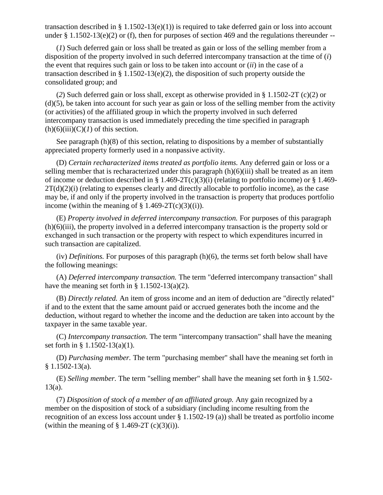transaction described in  $\S 1.1502-13(e)(1)$  is required to take deferred gain or loss into account under  $\S 1.1502-13(e)(2)$  or (f), then for purposes of section 469 and the regulations thereunder --

(*1*) Such deferred gain or loss shall be treated as gain or loss of the selling member from a disposition of the property involved in such deferred intercompany transaction at the time of (*i*) the event that requires such gain or loss to be taken into account or (*ii*) in the case of a transaction described in § 1.1502-13(e)(2), the disposition of such property outside the consolidated group; and

(*2*) Such deferred gain or loss shall, except as otherwise provided in § 1.1502-2T (c)(2) or (d)(5), be taken into account for such year as gain or loss of the selling member from the activity (or activities) of the affiliated group in which the property involved in such deferred intercompany transaction is used immediately preceding the time specified in paragraph  $(h)(6)(iii)(C)(I)$  of this section.

See paragraph (h)(8) of this section, relating to dispositions by a member of substantially appreciated property formerly used in a nonpassive activity.

(D) *Certain recharacterized items treated as portfolio items.* Any deferred gain or loss or a selling member that is recharacterized under this paragraph  $(h)(6)(iii)$  shall be treated as an item of income or deduction described in § 1.469-2T(c)(3)(i) (relating to portfolio income) or § 1.469- $2T(d)(2)(i)$  (relating to expenses clearly and directly allocable to portfolio income), as the case may be, if and only if the property involved in the transaction is property that produces portfolio income (within the meaning of  $\S$  1.469-2T(c)(3)((i)).

(E) *Property involved in deferred intercompany transaction.* For purposes of this paragraph (h)(6)(iii), the property involved in a deferred intercompany transaction is the property sold or exchanged in such transaction or the property with respect to which expenditures incurred in such transaction are capitalized.

(iv) *Definitions.* For purposes of this paragraph (h)(6), the terms set forth below shall have the following meanings:

(A) *Deferred intercompany transaction.* The term "deferred intercompany transaction" shall have the meaning set forth in  $\S$  1.1502-13(a)(2).

(B) *Directly related.* An item of gross income and an item of deduction are "directly related" if and to the extent that the same amount paid or accrued generates both the income and the deduction, without regard to whether the income and the deduction are taken into account by the taxpayer in the same taxable year.

(C) *Intercompany transaction.* The term "intercompany transaction" shall have the meaning set forth in § 1.1502-13(a)(1).

(D) *Purchasing member.* The term "purchasing member" shall have the meaning set forth in § 1.1502-13(a).

(E) *Selling member.* The term "selling member" shall have the meaning set forth in § 1.502-  $13(a)$ .

(7) *Disposition of stock of a member of an affiliated group.* Any gain recognized by a member on the disposition of stock of a subsidiary (including income resulting from the recognition of an excess loss account under § 1.1502-19 (a)) shall be treated as portfolio income (within the meaning of  $\S$  1.469-2T (c)(3)(i)).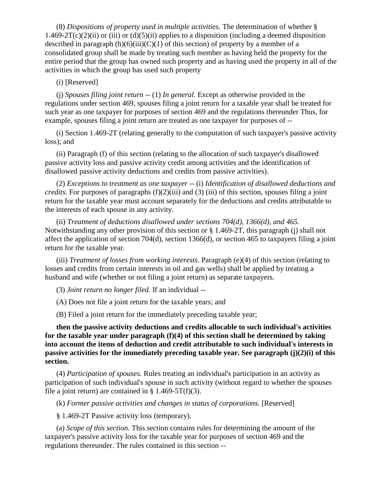(8) *Dispositions of property used in multiple activities.* The determination of whether § 1.469-2T(c)(2)(ii) or (iii) or (d)(5)(ii) applies to a disposition (including a deemed disposition described in paragraph  $(h)(6)(iii)(C)(I)$  of this section) of property by a member of a consolidated group shall be made by treating such member as having held the property for the entire period that the group has owned such property and as having used the property in all of the activities in which the group has used such property

### (i) [Reserved]

(j) *Spouses filing joint return --* (1) *In general.* Except as otherwise provided in the regulations under section 469, spouses filing a joint return for a taxable year shall be treated for such year as one taxpayer for purposes of section 469 and the regulations thereunder Thus, for example, spouses filing a joint return are treated as one taxpayer for purposes of --

(i) Section 1.469-2T (relating generally to the computation of such taxpayer's passive activity loss); and

(ii) Paragraph (f) of this section (relating to the allocation of such taxpayer's disallowed passive activity loss and passive activity credit among activities and the identification of disallowed passive activity deductions and credits from passive activities).

(2) *Exceptions to treatment as one taxpayer* -- (i) *Identification of disallowed deductions and credits.* For purposes of paragraphs (f)(2)(iii) and (3) (iii) of this section, spouses filing a joint return for the taxable year must account separately for the deductions and credits attributable to the interests of each spouse in any activity.

(ii) *Treatment of deductions disallowed under sections 704(d), 1366(d), and 465.*  Notwithstanding any other provision of this section or § 1.469-2T, this paragraph (j) shall not affect the application of section 704(d), section 1366(d), or section 465 to taxpayers filing a joint return for the taxable year.

(iii) *Treatment of losses from working interests.* Paragraph (e)(4) of this section (relating to losses and credits from certain interests in oil and gas wells) shall be applied by treating a husband and wife (whether or not filing a joint return) as separate taxpayers.

(3) *Joint return no longer filed.* If an individual --

(A) Does not file a joint return for the taxable years; and

(B) Filed a joint return for the immediately preceding taxable year;

**then the passive activity deductions and credits allocable to such individual's activities for the taxable year under paragraph (f)(4) of this section shall be determined by taking into account the items of deduction and credit attributable to such individual's interests in passive activities for the immediately preceding taxable year. See paragraph (j)(2)(i) of this section.** 

(4) *Participation of spouses.* Rules treating an individual's participation in an activity as participation of such individual's spouse in such activity (without regard to whether the spouses file a joint return) are contained in  $\S$  1.469-5T(f)(3).

(k) *Former passive activities and changes in status of corporations.* [Reserved]

§ 1.469-2T Passive activity loss (temporary).

(a) *Scope of this section.* This section contains rules for determining the amount of the taxpayer's passive activity loss for the taxable year for purposes of section 469 and the regulations thereunder. The rules contained in this section --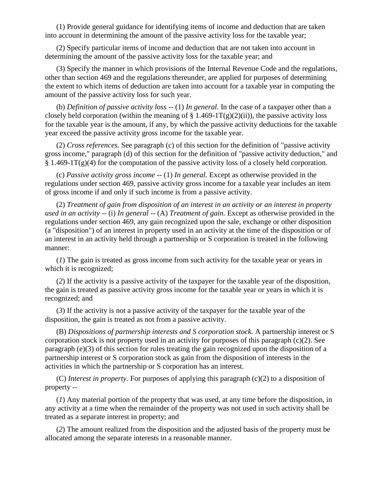(1) Provide general guidance for identifying items of income and deduction that are taken into account in determining the amount of the passive activity loss for the taxable year;

(2) Specify particular items of income and deduction that are not taken into account in determining the amount of the passive activity loss for the taxable year; and

(3) Specify the manner in which provisions of the Internal Revenue Code and the regulations, other than section 469 and the regulations thereunder, are applied for purposes of determining the extent to which items of deduction are taken into account for a taxable year in computing the amount of the passive activity loss for such year.

(b) *Definition of passive activity loss --* (1) *In general.* In the case of a taxpayer other than a closely held corporation (within the meaning of  $\S 1.469-1T(g)(2)(ii)$ ), the passive activity loss for the taxable year is the amount, if any, by which the passive activity deductions for the taxable year exceed the passive activity gross income for the taxable year.

(2) *Cross references.* See paragraph (c) of this section for the definition of "passive activity gross income," paragraph (d) of this section for the definition of "passive activity deduction," and  $§ 1.469-1T(g)(4)$  for the computation of the passive activity loss of a closely held corporation.

(c) *Passive activity gross income --* (1) *In general.* Except as otherwise provided in the regulations under section 469, passive activity gross income for a taxable year includes an item of gross income if and only if such income is from a passive activity.

(2) *Treatment of gain from disposition of an interest in an activity or an interest in property used in an activity --* (i) *In general* -- (A) *Treatment of gain.* Except as otherwise provided in the regulations under section 469, any gain recognized upon the sale, exchange or other disposition (a "disposition") of an interest in property used in an activity at the time of the disposition or of an interest in an activity held through a partnership or S corporation is treated in the following manner:

(*1*) The gain is treated as gross income from such activity for the taxable year or years in which it is recognized;

(*2*) If the activity is a passive activity of the taxpayer for the taxable year of the disposition, the gain is treated as passive activity gross income for the taxable year or years in which it is recognized; and

(*3*) If the activity is not a passive activity of the taxpayer for the taxable year of the disposition, the gain is treated as not from a passive activity.

(B) *Dispositions of partnership interests and S corporation stock.* A partnership interest or S corporation stock is not property used in an activity for purposes of this paragraph (c)(2). See paragraph (e)(3) of this section for rules treating the gain recognized upon the disposition of a partnership interest or S corporation stock as gain from the disposition of interests in the activities in which the partnership or S corporation has an interest.

(C) *Interest in property.* For purposes of applying this paragraph (c)(2) to a disposition of property --

(*1*) Any material portion of the property that was used, at any time before the disposition, in any activity at a time when the remainder of the property was not used in such activity shall be treated as a separate interest in property; and

(*2*) The amount realized from the disposition and the adjusted basis of the property must be allocated among the separate interests in a reasonable manner.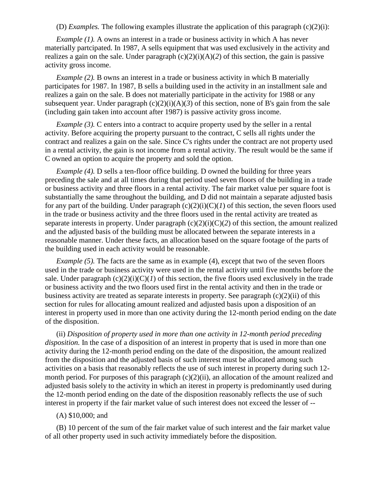(D) *Examples.* The following examples illustrate the application of this paragraph (c)(2)(i):

*Example (1).* A owns an interest in a trade or business activity in which A has never materially partcipated. In 1987, A sells equipment that was used exclusively in the activity and realizes a gain on the sale. Under paragraph  $(c)(2)(i)(A)(2)$  of this section, the gain is passive activity gross income.

*Example (2).* B owns an interest in a trade or business activity in which B materially participates for 1987. In 1987, B sells a building used in the activity in an installment sale and realizes a gain on the sale. B does not materially participate in the activity for 1988 or any subsequent year. Under paragraph  $(c)(2)(i)(A)(3)$  of this section, none of B's gain from the sale (including gain taken into account after 1987) is passive activity gross income.

*Example (3).* C enters into a contract to acquire property used by the seller in a rental activity. Before acquiring the property pursuant to the contract, C sells all rights under the contract and realizes a gain on the sale. Since C's rights under the contract are not property used in a rental activity, the gain is not income from a rental activity. The result would be the same if C owned an option to acquire the property and sold the option.

*Example (4).* D sells a ten-floor office building. D owned the building for three years preceding the sale and at all times during that period used seven floors of the building in a trade or business activity and three floors in a rental activity. The fair market value per square foot is substantially the same throughout the building, and D did not maintain a separate adjusted basis for any part of the building. Under paragraph  $(c)(2)(i)(C)(I)$  of this section, the seven floors used in the trade or business activity and the three floors used in the rental activity are treated as separate interests in property. Under paragraph  $(c)(2)(i)(C)(2)$  of this section, the amount realized and the adjusted basis of the building must be allocated between the separate interests in a reasonable manner. Under these facts, an allocation based on the square footage of the parts of the building used in each activity would be reasonable.

*Example (5).* The facts are the same as in example (4), except that two of the seven floors used in the trade or business activity were used in the rental activity until five months before the sale. Under paragraph  $(c)(2)(i)(C)(I)$  of this section, the five floors used exclusively in the trade or business activity and the two floors used first in the rental activity and then in the trade or business activity are treated as separate interests in property. See paragraph (c)(2)(ii) of this section for rules for allocating amount realized and adjusted basis upon a disposition of an interest in property used in more than one activity during the 12-month period ending on the date of the disposition.

(ii) *Disposition of property used in more than one activity in 12-month period preceding disposition.* In the case of a disposition of an interest in property that is used in more than one activity during the 12-month period ending on the date of the disposition, the amount realized from the disposition and the adjusted basis of such interest must be allocated among such activities on a basis that reasonably reflects the use of such interest in property during such 12 month period. For purposes of this paragraph  $(c)(2)(ii)$ , an allocation of the amount realized and adjusted basis solely to the activity in which an iterest in property is predominantly used during the 12-month period ending on the date of the disposition reasonably reflects the use of such interest in property if the fair market value of such interest does not exceed the lesser of --

#### (A) \$10,000; and

(B) 10 percent of the sum of the fair market value of such interest and the fair market value of all other property used in such activity immediately before the disposition.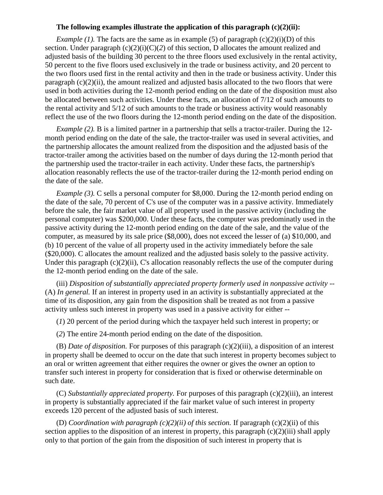### **The following examples illustrate the application of this paragraph (c)(2)(ii):**

*Example (1).* The facts are the same as in example (5) of paragraph  $(c)(2)(i)(D)$  of this section. Under paragraph  $(c)(2)(i)(C)(2)$  of this section, D allocates the amount realized and adjusted basis of the building 30 percent to the three floors used exclusively in the rental activity, 50 percent to the five floors used exclusively in the trade or business activity, and 20 percent to the two floors used first in the rental activity and then in the trade or business activity. Under this paragraph  $(c)(2)(ii)$ , the amount realized and adjusted basis allocated to the two floors that were used in both activities during the 12-month period ending on the date of the disposition must also be allocated between such activities. Under these facts, an allocation of 7/12 of such amounts to the rental activity and 5/12 of such amounts to the trade or business activity would reasonably reflect the use of the two floors during the 12-month period ending on the date of the disposition.

*Example (2).* B is a limited partner in a partnership that sells a tractor-trailer. During the 12 month period ending on the date of the sale, the tractor-trailer was used in several activities, and the partnership allocates the amount realized from the disposition and the adjusted basis of the tractor-trailer among the activities based on the number of days during the 12-month period that the partnership used the tractor-trailer in each activity. Under these facts, the partnership's allocation reasonably reflects the use of the tractor-trailer during the 12-month period ending on the date of the sale.

*Example (3).* C sells a personal computer for \$8,000. During the 12-month period ending on the date of the sale, 70 percent of C's use of the computer was in a passive activity. Immediately before the sale, the fair market value of all property used in the passive activity (including the personal computer) was \$200,000. Under these facts, the computer was predominatly used in the passive activity during the 12-month period ending on the date of the sale, and the value of the computer, as measured by its sale price (\$8,000), does not exceed the lesser of (a) \$10,000, and (b) 10 percent of the value of all property used in the activity immediately before the sale (\$20,000). C allocates the amount realized and the adjusted basis solely to the passive activity. Under this paragraph  $(c)(2)(ii)$ , C's allocation reasonably reflects the use of the computer during the 12-month period ending on the date of the sale.

(iii) *Disposition of substantially appreciated property formerly used in nonpassive activity* -- (A) *In general.* If an interest in property used in an activity is substantially appreciated at the time of its disposition, any gain from the disposition shall be treated as not from a passive activity unless such interest in property was used in a passive activity for either --

(*1*) 20 percent of the period during which the taxpayer held such interest in property; or

(*2*) The entire 24-month period ending on the date of the disposition.

(B) *Date of disposition.* For purposes of this paragraph (c)(2)(iii), a disposition of an interest in property shall be deemed to occur on the date that such interest in property becomes subject to an oral or written agreement that either requires the owner or gives the owner an option to transfer such interest in property for consideration that is fixed or otherwise determinable on such date.

(C) *Substantially appreciated property.* For purposes of this paragraph (c)(2)(iii), an interest in property is substantially appreciated if the fair market value of such interest in property exceeds 120 percent of the adjusted basis of such interest.

(D) *Coordination with paragraph (c)(2)(ii) of this section.* If paragraph (c)(2)(ii) of this section applies to the disposition of an interest in property, this paragraph (c)(2)(iii) shall apply only to that portion of the gain from the disposition of such interest in property that is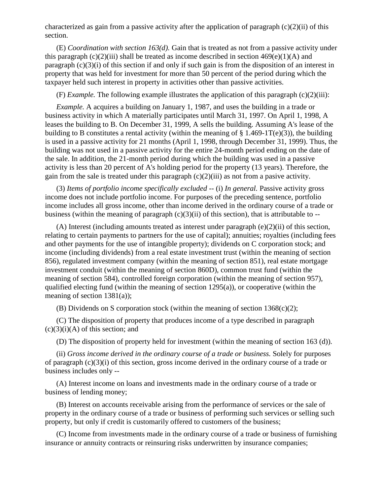characterized as gain from a passive activity after the application of paragraph  $(c)(2)(ii)$  of this section.

(E) *Coordination with section 163(d).* Gain that is treated as not from a passive activity under this paragraph (c)(2)(iii) shall be treated as income described in section  $469(e)(1)(A)$  and paragraph (c)(3)(i) of this section if and only if such gain is from the disposition of an interest in property that was held for investment for more than 50 percent of the period during which the taxpayer held such interest in property in activities other than passive activities.

(F) *Example.* The following example illustrates the application of this paragraph (c)(2)(iii):

*Example.* A acquires a building on January 1, 1987, and uses the building in a trade or business activity in which A materially participates until March 31, 1997. On April 1, 1998, A leases the building to B. On December 31, 1999, A sells the building. Assuming A's lease of the building to B constitutes a rental activity (within the meaning of  $\S 1.469-1T(e)(3)$ ), the building is used in a passive activity for 21 months (April 1, 1998, through December 31, 1999). Thus, the building was not used in a passive activity for the entire 24-month period ending on the date of the sale. In addition, the 21-month period during which the building was used in a passive activity is less than 20 percent of A's holding period for the property (13 years). Therefore, the gain from the sale is treated under this paragraph  $(c)(2)(iii)$  as not from a pasive activity.

(3) *Items of portfolio income specifically excluded --* (i) *In general.* Passive activity gross income does not include portfolio income. For purposes of the preceding sentence, portfolio income includes all gross income, other than income derived in the ordinary course of a trade or business (within the meaning of paragraph  $(c)(3)(ii)$  of this section), that is attributable to --

(A) Interest (including amounts treated as interest under paragraph (e)(2)(ii) of this section, relating to certain payments to partners for the use of capital); annuities; royalties (including fees and other payments for the use of intangible property); dividends on C corporation stock; and income (including dividends) from a real estate investment trust (within the meaning of section 856), regulated investment company (within the meaning of section 851), real estate mortgage investment conduit (within the meaning of section 860D), common trust fund (within the meaning of section 584), controlled foreign corporation (within the meaning of section 957), qualified electing fund (within the meaning of section 1295(a)), or cooperative (within the meaning of section 1381(a));

(B) Dividends on S corporation stock (within the meaning of section  $1368(c)(2)$ ;

(C) The disposition of property that produces income of a type described in paragraph  $(c)(3)(i)(A)$  of this section; and

(D) The disposition of property held for investment (within the meaning of section 163 (d)).

(ii) *Gross income derived in the ordinary course of a trade or business.* Solely for purposes of paragraph (c)(3)(i) of this section, gross income derived in the ordinary course of a trade or business includes only --

(A) Interest income on loans and investments made in the ordinary course of a trade or business of lending money;

(B) Interest on accounts receivable arising from the performance of services or the sale of property in the ordinary course of a trade or business of performing such services or selling such property, but only if credit is customarily offered to customers of the business;

(C) Income from investments made in the ordinary course of a trade or business of furnishing insurance or annuity contracts or reinsuring risks underwritten by insurance companies;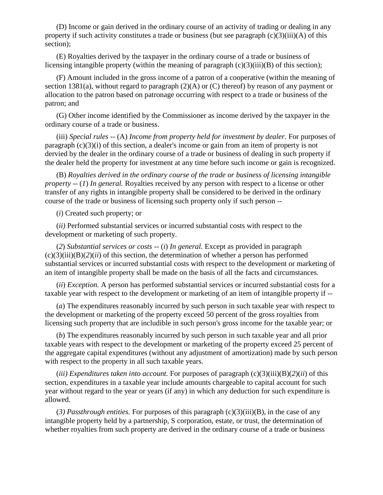(D) Income or gain derived in the ordinary course of an activity of trading or dealing in any property if such activity constitutes a trade or business (but see paragraph  $(c)(3)(iii)(A)$  of this section);

(E) Royalties derived by the taxpayer in the ordinary course of a trade or business of licensing intangible property (within the meaning of paragraph (c)(3)(iii)(B) of this section);

(F) Amount included in the gross income of a patron of a cooperative (within the meaning of section 1381(a), without regard to paragraph (2)(A) or (C) thereof) by reason of any payment or allocation to the patron based on patronage occurring with respect to a trade or business of the patron; and

(G) Other income identified by the Commissioner as income derived by the taxpayer in the ordinary course of a trade or business.

(iii) *Special rules* -- (A) *Income from property held for investment by dealer.* For purposes of paragraph (c)(3)(i) of this section, a dealer's income or gain from an item of property is not dervied by the dealer in the ordinary course of a trade or business of dealing in such property if the dealer held the property for investment at any time before such income or gain is recognized.

(B) *Royalties derived in the ordinary course of the trade or business of licensing intangible property --* (*1*) *In general.* Royalties received by any person with respect to a license or other transfer of any rights in intangible property shall be considered to be derived in the ordinary course of the trade or business of licensing such property only if such person --

(*i*) Created such property; or

(*ii)* Performed substantial services or incurred substantial costs with respect to the development or marketing of such property.

(*2*) *Substantial services or costs --* (*i*) *In general.* Except as provided in paragraph  $(c)(3)(iii)(B)(2)(ii)$  of this section, the determination of whether a person has performed substantial services or incurred substantial costs with respect to the development or marketing of an item of intangible property shall be made on the basis of all the facts and circumstances.

(*ii*) *Exception.* A person has performed substantial services or incurred substantial costs for a taxable year with respect to the development or marketing of an item of intangible property if --

(*a*) The expenditures reasonably incurred by such person in such taxable year with respect to the development or marketing of the property exceed 50 percent of the gross royalties from licensing such property that are includible in such person's gross income for the taxable year; or

(*b*) The expenditures reasonably incurred by such person in such taxable year and all prior taxable years with respect to the development or marketing of the property exceed 25 percent of the aggregate capital expenditures (without any adjustment of amortization) made by such person with respect to the property in all such taxable years.

(*iii*) *Expenditures taken into account.* For purposes of paragraph  $(c)(3)(iii)(B)(2)(ii)$  of this section, expenditures in a taxable year include amounts chargeable to capital account for such year without regard to the year or years (if any) in which any deduction for such expenditure is allowed.

(*3) Passthrough entities.* For purposes of this paragraph (c)(3)(iii)(B), in the case of any intangible property held by a partnership, S corporation, estate, or trust, the determination of whether royalties from such property are derived in the ordinary course of a trade or business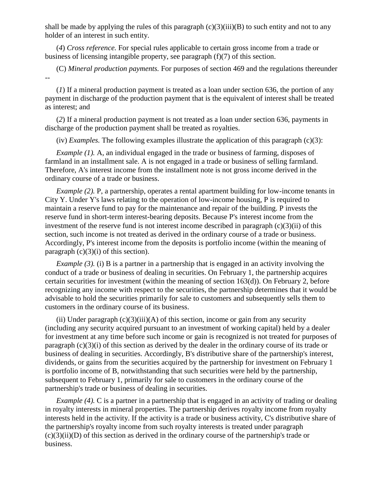shall be made by applying the rules of this paragraph  $(c)(3)(iii)(B)$  to such entity and not to any holder of an interest in such entity.

(*4*) *Cross reference.* For special rules applicable to certain gross income from a trade or business of licensing intangible property, see paragraph (f)(7) of this section.

(C) *Mineral production payments.* For purposes of section 469 and the regulations thereunder --

(*1*) If a mineral production payment is treated as a loan under section 636, the portion of any payment in discharge of the production payment that is the equivalent of interest shall be treated as interest; and

(*2*) If a mineral production payment is not treated as a loan under section 636, payments in discharge of the production payment shall be treated as royalties.

(iv) *Examples.* The following examples illustrate the application of this paragraph (c)(3):

*Example (1).* A, an individual engaged in the trade or business of farming, disposes of farmland in an installment sale. A is not engaged in a trade or business of selling farmland. Therefore, A's interest income from the installment note is not gross income derived in the ordinary course of a trade or business.

*Example (2).* P, a partnership, operates a rental apartment building for low-income tenants in City Y. Under Y's laws relating to the operation of low-income housing, P is required to maintain a reserve fund to pay for the maintenance and repair of the building. P invests the reserve fund in short-term interest-bearing deposits. Because P's interest income from the investment of the reserve fund is not interest income described in paragraph  $(c)(3)(ii)$  of this section, such income is not treated as derived in the ordinary course of a trade or business. Accordingly, P's interest income from the deposits is portfolio income (within the meaning of paragraph  $(c)(3)(i)$  of this section).

*Example (3).* (i) B is a partner in a partnership that is engaged in an activity involving the conduct of a trade or business of dealing in securities. On February 1, the partnership acquires certain securities for investment (within the meaning of section  $163(d)$ ). On February 2, before recognizing any income with respect to the securities, the partnership determines that it would be advisable to hold the securities primarily for sale to customers and subsequently sells them to customers in the ordinary course of its business.

(ii) Under paragraph  $(c)(3)(iii)(A)$  of this section, income or gain from any security (including any security acquired pursuant to an investment of working capital) held by a dealer for investment at any time before such income or gain is recognized is not treated for purposes of paragraph (c)(3)(i) of this section as derived by the dealer in the ordinary course of its trade or business of dealing in securities. Accordingly, B's distributive share of the partnership's interest, dividends, or gains from the securities acquired by the partnership for investment on February 1 is portfolio income of B, notwithstanding that such securities were held by the partnership, subsequent to February 1, primarily for sale to customers in the ordinary course of the partnership's trade or business of dealing in securities.

*Example (4).* C is a partner in a partnership that is engaged in an activity of trading or dealing in royalty interests in mineral properties. The partnership derives royalty income from royalty interests held in the activity. If the activity is a trade or business activity, C's distributive share of the partnership's royalty income from such royalty interests is treated under paragraph  $(c)(3)(ii)(D)$  of this section as derived in the ordinary course of the partnership's trade or business.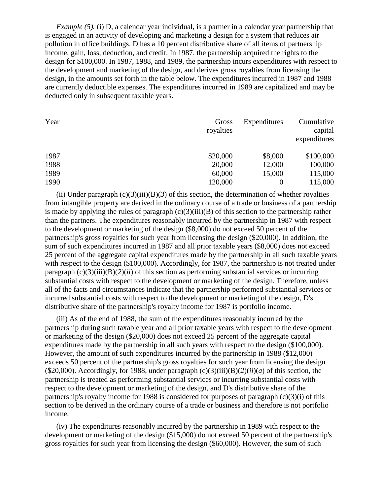*Example* (5). (i) D, a calendar year individual, is a partner in a calendar year partnership that is engaged in an activity of developing and marketing a design for a system that reduces air pollution in office buildings. D has a 10 percent distributive share of all items of partnership income, gain, loss, deduction, and credit. In 1987, the partnership acquired the rights to the design for \$100,000. In 1987, 1988, and 1989, the partnership incurs expenditures with respect to the development and marketing of the design, and derives gross royalties from licensing the design, in the amounts set forth in the table below. The expenditures incurred in 1987 and 1988 are currently deductible expenses. The expenditures incurred in 1989 are capitalized and may be deducted only in subsequent taxable years.

| Year | Gross<br>royalties | Expenditures | Cumulative<br>capital<br>expenditures |
|------|--------------------|--------------|---------------------------------------|
| 1987 | \$20,000           | \$8,000      | \$100,000                             |
| 1988 | 20,000             | 12,000       | 100,000                               |
| 1989 | 60,000             | 15,000       | 115,000                               |
| 1990 | 120,000            |              | 115,000                               |

(ii) Under paragraph  $(c)(3)(iii)(B)(3)$  of this section, the determination of whether royalties from intangible property are derived in the ordinary course of a trade or business of a partnership is made by applying the rules of paragraph  $(c)(3)(iii)(B)$  of this section to the partnership rather than the partners. The expenditures reasonably incurred by the partnership in 1987 with respect to the development or marketing of the design (\$8,000) do not exceed 50 percent of the partnership's gross royalties for such year from licensing the design (\$20,000). In addition, the sum of such expenditures incurred in 1987 and all prior taxable years (\$8,000) does not exceed 25 percent of the aggregate capital expenditures made by the partnership in all such taxable years with respect to the design (\$100,000). Accordingly, for 1987, the partnership is not treated under paragraph  $(c)(3)(iii)(B)(2)(ii)$  of this section as performing substantial services or incurring substantial costs with respect to the development or marketing of the design. Therefore, unless all of the facts and circumstances indicate that the partnership performed substantial services or incurred substantial costs with respect to the development or marketing of the design, D's distributive share of the partnership's royalty income for 1987 is portfolio income.

(iii) As of the end of 1988, the sum of the expenditures reasonably incurred by the partnership during such taxable year and all prior taxable years with respect to the development or marketing of the design (\$20,000) does not exceed 25 percent of the aggregate capital expenditures made by the partnership in all such years with respect to the design (\$100,000). However, the amount of such expenditures incurred by the partnership in 1988 (\$12,000) exceeds 50 percent of the partnership's gross royalties for such year from licensing the design (\$20,000). Accordingly, for 1988, under paragraph  $(c)(3)(iii)(B)(2)(ii)(a)$  of this section, the partnership is treated as performing substantial services or incurring substantial costs with respect to the development or marketing of the design, and D's distributive share of the partnership's royalty income for 1988 is considered for purposes of paragraph (c)(3)(i) of this section to be derived in the ordinary course of a trade or business and therefore is not portfolio income.

(iv) The expenditures reasonably incurred by the partnership in 1989 with respect to the development or marketing of the design (\$15,000) do not exceed 50 percent of the partnership's gross royalties for such year from licensing the design (\$60,000). However, the sum of such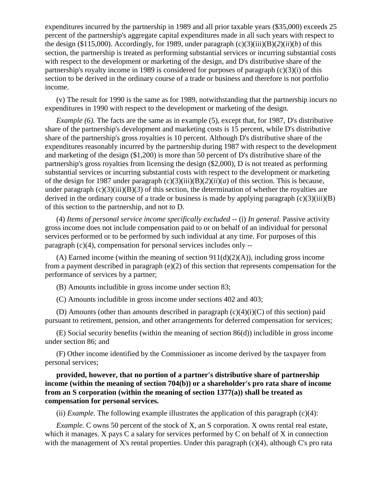expenditures incurred by the partnership in 1989 and all prior taxable years (\$35,000) exceeds 25 percent of the partnership's aggregate capital expenditures made in all such years with respect to the design (\$115,000). Accordingly, for 1989, under paragraph  $(c)(3)(iii)(B)(2)(ii)(b)$  of this section, the partnership is treated as performing substantial services or incurring substantial costs with respect to the development or marketing of the design, and D's distributive share of the partnership's royalty income in 1989 is considered for purposes of paragraph (c)(3)(i) of this section to be derived in the ordinary course of a trade or business and therefore is not portfolio income.

(v) The result for 1990 is the same as for 1989, notwithstanding that the partnership incurs no expenditures in 1990 with respect to the development or marketing of the design.

*Example (6).* The facts are the same as in example (5), except that, for 1987, D's distributive share of the partnership's development and marketing costs is 15 percent, while D's distributive share of the partnership's gross royalties is 10 percent. Although D's distributive share of the expenditures reasonably incurred by the partnership during 1987 with respect to the development and marketing of the design (\$1,200) is more than 50 percent of D's distributive share of the partnership's gross royalties from licensing the design (\$2,000), D is not treated as performing substantial services or incurring substantial costs with respect to the development or marketing of the design for 1987 under paragraph  $(c)(3)(iii)(B)(2)(ii)(a)$  of this section. This is because, under paragraph  $(c)(3)(iii)(B)(3)$  of this section, the determination of whether the royalties are derived in the ordinary course of a trade or business is made by applying paragraph  $(c)(3)(iii)(B)$ of this section to the partnership, and not to D.

(4) *Items of personal service income specifically excluded --* (i) *In general.* Passive activity gross income does not include compensation paid to or on behalf of an individual for personal services performed or to be performed by such individual at any time. For purposes of this paragraph (c)(4), compensation for personal services includes only --

(A) Earned income (within the meaning of section  $911(d)(2)(A)$ ), including gross income from a payment described in paragraph (e)(2) of this section that represents compensation for the performance of services by a partner;

(B) Amounts includible in gross income under section 83;

(C) Amounts includible in gross income under sections 402 and 403;

(D) Amounts (other than amounts described in paragraph  $(c)(4)(i)(C)$  of this section) paid pursuant to retirement, pension, and other arrangements for deferred compensation for services;

(E) Social security benefits (within the meaning of section 86(d)) includible in gross income under section 86; and

(F) Other income identified by the Commissioner as income derived by the taxpayer from personal services;

## **provided, however, that no portion of a partner's distributive share of partnership income (within the meaning of section 704(b)) or a shareholder's pro rata share of income from an S corporation (within the meaning of section 1377(a)) shall be treated as compensation for personal services.**

(ii) *Example*. The following example illustrates the application of this paragraph  $(c)(4)$ :

*Example.* C owns 50 percent of the stock of X, an S corporation. X owns rental real estate, which it manages. X pays C a salary for services performed by C on behalf of X in connection with the management of X's rental properties. Under this paragraph  $(c)(4)$ , although C's pro rata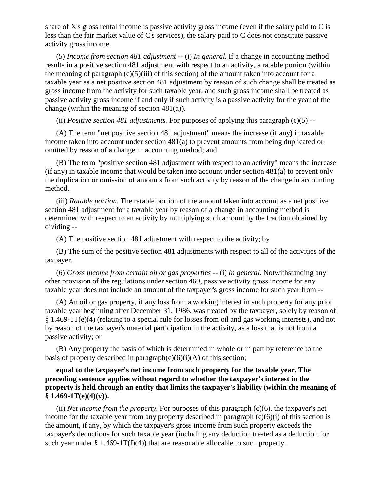share of X's gross rental income is passive activity gross income (even if the salary paid to C is less than the fair market value of C's services), the salary paid to C does not constitute passive activity gross income.

(5) *Income from section 481 adjustment* -- (i) *In general.* If a change in accounting method results in a positive section 481 adjustment with respect to an activity, a ratable portion (within the meaning of paragraph  $(c)(5)(iii)$  of this section) of the amount taken into account for a taxable year as a net positive section 481 adjustment by reason of such change shall be treated as gross income from the activity for such taxable year, and such gross income shall be treated as passive activity gross income if and only if such activity is a passive activity for the year of the change (within the meaning of section 481(a)).

(ii) *Positive section 481 adjustments.* For purposes of applying this paragraph (c)(5) --

(A) The term "net positive section 481 adjustment" means the increase (if any) in taxable income taken into account under section 481(a) to prevent amounts from being duplicated or omitted by reason of a change in accounting method; and

(B) The term "positive section 481 adjustment with respect to an activity" means the increase (if any) in taxable income that would be taken into account under section 481(a) to prevent only the duplication or omission of amounts from such activity by reason of the change in accounting method.

(iii) *Ratable portion.* The ratable portion of the amount taken into account as a net positive section 481 adjustment for a taxable year by reason of a change in accounting method is determined with respect to an activity by multiplying such amount by the fraction obtained by dividing --

(A) The positive section 481 adjustment with respect to the activity; by

(B) The sum of the positive section 481 adjustments with respect to all of the activities of the taxpayer.

(6) *Gross income from certain oil or gas properties* -- (i) *In general.* Notwithstanding any other provision of the regulations under section 469, passive activity gross income for any taxable year does not include an amount of the taxpayer's gross income for such year from --

(A) An oil or gas property, if any loss from a working interest in such property for any prior taxable year beginning after December 31, 1986, was treated by the taxpayer, solely by reason of § 1.469-1T(e)(4) (relating to a special rule for losses from oil and gas working interests), and not by reason of the taxpayer's material participation in the activity, as a loss that is not from a passive activity; or

(B) Any property the basis of which is determined in whole or in part by reference to the basis of property described in paragraph $(c)(6)(i)(A)$  of this section;

# **equal to the taxpayer's net income from such property for the taxable year. The preceding sentence applies without regard to whether the taxpayer's interest in the property is held through an entity that limits the taxpayer's liability (within the meaning of § 1.469-1T(e)(4)(v)).**

(ii) *Net income from the property.* For purposes of this paragraph (c)(6), the taxpayer's net income for the taxable year from any property described in paragraph  $(c)(6)(i)$  of this section is the amount, if any, by which the taxpayer's gross income from such property exceeds the taxpayer's deductions for such taxable year (including any deduction treated as a deduction for such year under  $\S 1.469-1T(f)(4)$  that are reasonable allocable to such property.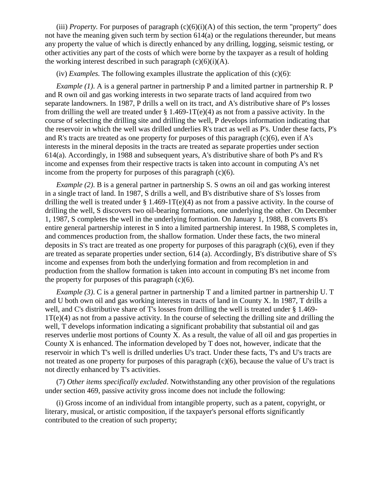(iii) *Property*. For purposes of paragraph  $(c)(6)(i)(A)$  of this section, the term "property" does not have the meaning given such term by section 614(a) or the regulations thereunder, but means any property the value of which is directly enhanced by any drilling, logging, seismic testing, or other activities any part of the costs of which were borne by the taxpayer as a result of holding the working interest described in such paragraph  $(c)(6)(i)(A)$ .

(iv) *Examples.* The following examples illustrate the application of this (c)(6):

*Example (1).* A is a general partner in partnership P and a limited partner in partnership R. P and R own oil and gas working interests in two separate tracts of land acquired from two separate landowners. In 1987, P drills a well on its tract, and A's distributive share of P's losses from drilling the well are treated under  $\S 1.469-1T(e)(4)$  as not from a passive activity. In the course of selecting the drilling site and drilling the well, P develops information indicating that the reservoir in which the well was drilled underlies R's tract as well as P's. Under these facts, P's and R's tracts are treated as one property for purposes of this paragraph  $(c)(6)$ , even if A's interests in the mineral deposits in the tracts are treated as separate properties under section 614(a). Accordingly, in 1988 and subsequent years, A's distributive share of both P's and R's income and expenses from their respective tracts is taken into account in computing A's net income from the property for purposes of this paragraph  $(c)(6)$ .

*Example (2)*. B is a general partner in partnership S. S owns an oil and gas working interest in a single tract of land. In 1987, S drills a well, and B's distributive share of S's losses from drilling the well is treated under § 1.469-1T(e)(4) as not from a passive activity. In the course of drilling the well, S discovers two oil-bearing formations, one underlying the other. On December 1, 1987, S completes the well in the underlying formation. On January 1, 1988, B converts B's entire general partnership interest in S into a limited partnership interest. In 1988, S completes in, and commences production from, the shallow formation. Under these facts, the two mineral deposits in S's tract are treated as one property for purposes of this paragraph (c)(6), even if they are treated as separate properties under section, 614 (a). Accordingly, B's distributive share of S's income and expenses from both the underlying formation and from recompletion in and production from the shallow formation is taken into account in computing B's net income from the property for purposes of this paragraph  $(c)(6)$ .

*Example (3).* C is a general partner in partnership T and a limited partner in partnership U. T and U both own oil and gas working interests in tracts of land in County X. In 1987, T drills a well, and C's distributive share of T's losses from drilling the well is treated under § 1.469- 1T(e)(4) as not from a passive activity. In the course of selecting the drilling site and drilling the well, T develops information indicating a significant probability that substantial oil and gas reserves underlie most portions of County X. As a result, the value of all oil and gas properties in County X is enhanced. The information developed by T does not, however, indicate that the reservoir in which T's well is drilled underlies U's tract. Under these facts, T's and U's tracts are not treated as one property for purposes of this paragraph (c)(6), because the value of U's tract is not directly enhanced by T's activities.

(7) *Other items specifically excluded*. Notwithstanding any other provision of the regulations under section 469, passive activity gross income does not include the following:

(i) Gross income of an individual from intangible property, such as a patent, copyright, or literary, musical, or artistic composition, if the taxpayer's personal efforts significantly contributed to the creation of such property;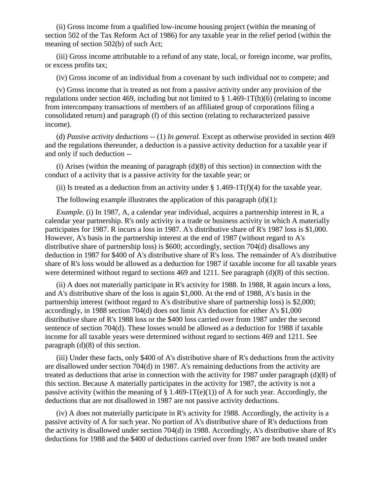(ii) Gross income from a qualified low-income housing project (within the meaning of section 502 of the Tax Reform Act of 1986) for any taxable year in the relief period (within the meaning of section 502(b) of such Act;

(iii) Gross income attributable to a refund of any state, local, or foreign income, war profits, or excess profits tax;

(iv) Gross income of an individual from a covenant by such individual not to compete; and

(v) Gross income that is treated as not from a passive activity under any provision of the regulations under section 469, including but not limited to  $\S 1.469-1T(h)(6)$  (relating to income from intercompany transactions of members of an affiliated group of corporations filing a consolidated return) and paragraph (f) of this section (relating to recharacterized passive income).

(d) *Passive activity deductions* -- (1) *In general.* Except as otherwise provided in section 469 and the regulations thereunder, a deduction is a passive activity deduction for a taxable year if and only if such deduction --

(i) Arises (within the meaning of paragraph  $(d)(8)$  of this section) in connection with the conduct of a activity that is a passive activity for the taxable year; or

(ii) Is treated as a deduction from an activity under  $\S 1.469-1T(f)(4)$  for the taxable year.

The following example illustrates the application of this paragraph  $(d)(1)$ :

*Example*. (i) In 1987, A, a calendar year individual, acquires a partnership interest in R, a calendar year partnership. R's only activity is a trade or business activity in which A materially participates for 1987. R incurs a loss in 1987. A's distributive share of R's 1987 loss is \$1,000. However, A's basis in the partnership interest at the end of 1987 (without regard to A's distributive share of partnership loss) is \$600; accordingly, section 704(d) disallows any deduction in 1987 for \$400 of A's distributive share of R's loss. The remainder of A's distributive share of R's loss would be allowed as a deduction for 1987 if taxable income for all taxable years were determined without regard to sections 469 and 1211. See paragraph (d)(8) of this section.

(ii) A does not materially participate in R's activity for 1988. In 1988, R again incurs a loss, and A's distributive share of the loss is again \$1,000. At the end of 1988, A's basis in the partnership interest (without regard to A's distributive share of partnership loss) is \$2,000; accordingly, in 1988 section 704(d) does not limit A's deduction for either A's \$1,000 distributive share of R's 1988 loss or the \$400 loss carried over from 1987 under the second sentence of section 704(d). These losses would be allowed as a deduction for 1988 if taxable income for all taxable years were determined without regard to sections 469 and 1211. See paragraph (d)(8) of this section.

(iii) Under these facts, only \$400 of A's distributive share of R's deductions from the activity are disallowed under section 704(d) in 1987. A's remaining deductions from the activity are treated as deductions that arise in connection with the activity for 1987 under paragraph (d)(8) of this section. Because A materially participates in the activity for 1987, the activity is not a passive activity (within the meaning of  $\S 1.469-1T(e)(1)$ ) of A for such year. Accordingly, the deductions that are not disallowed in 1987 are not passive activity deductions.

(iv) A does not materially participate in R's activity for 1988. Accordingly, the activity is a passive activity of A for such year. No portion of A's distributive share of R's deductions from the activity is disallowed under section 704(d) in 1988. Accordingly, A's distributive share of R's deductions for 1988 and the \$400 of deductions carried over from 1987 are both treated under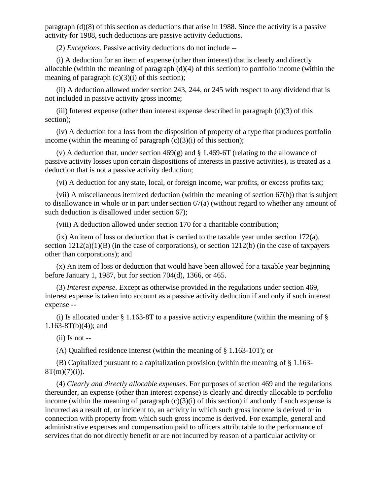paragraph (d)(8) of this section as deductions that arise in 1988. Since the activity is a passive activity for 1988, such deductions are passive activity deductions.

(2) *Exceptions*. Passive activity deductions do not include --

(i) A deduction for an item of expense (other than interest) that is clearly and directly allocable (within the meaning of paragraph (d)(4) of this section) to portfolio income (within the meaning of paragraph  $(c)(3)(i)$  of this section);

(ii) A deduction allowed under section 243, 244, or 245 with respect to any dividend that is not included in passive activity gross income;

(iii) Interest expense (other than interest expense described in paragraph  $(d)(3)$  of this section);

(iv) A deduction for a loss from the disposition of property of a type that produces portfolio income (within the meaning of paragraph  $(c)(3)(i)$  of this section);

(v) A deduction that, under section  $469(g)$  and § 1.469-6T (relating to the allowance of passive activity losses upon certain dispositions of interests in passive activities), is treated as a deduction that is not a passive activity deduction;

(vi) A deduction for any state, local, or foreign income, war profits, or excess profits tax;

(vii) A miscellaneous itemized deduction (within the meaning of section 67(b)) that is subject to disallowance in whole or in part under section 67(a) (without regard to whether any amount of such deduction is disallowed under section 67);

(viii) A deduction allowed under section 170 for a charitable contribution;

(ix) An item of loss or deduction that is carried to the taxable year under section 172(a), section 1212(a)(1)(B) (in the case of corporations), or section 1212(b) (in the case of taxpayers other than corporations); and

(x) An item of loss or deduction that would have been allowed for a taxable year beginning before January 1, 1987, but for section 704(d), 1366, or 465.

(3) *Interest expense.* Except as otherwise provided in the regulations under section 469, interest expense is taken into account as a passive activity deduction if and only if such interest expense --

(i) Is allocated under  $\S$  1.163-8T to a passive activity expenditure (within the meaning of  $\S$  $1.163-8T(b)(4)$ ; and

 $(ii)$  Is not  $-$ 

(A) Qualified residence interest (within the meaning of § 1.163-10T); or

(B) Capitalized pursuant to a capitalization provision (within the meaning of § 1.163-  $8T(m)(7)(i)$ ).

(4) *Clearly and directly allocable expenses.* For purposes of section 469 and the regulations thereunder, an expense (other than interest expense) is clearly and directly allocable to portfolio income (within the meaning of paragraph  $(c)(3)(i)$  of this section) if and only if such expense is incurred as a result of, or incident to, an activity in which such gross income is derived or in connection with property from which such gross income is derived. For example, general and administrative expenses and compensation paid to officers attributable to the performance of services that do not directly benefit or are not incurred by reason of a particular activity or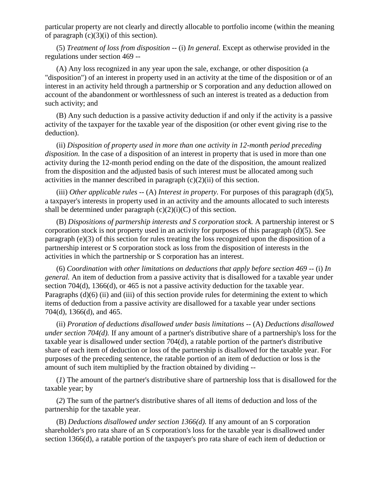particular property are not clearly and directly allocable to portfolio income (within the meaning of paragraph  $(c)(3)(i)$  of this section).

(5) *Treatment of loss from disposition* -- (i) *In general.* Except as otherwise provided in the regulations under section 469 --

(A) Any loss recognized in any year upon the sale, exchange, or other disposition (a "disposition") of an interest in property used in an activity at the time of the disposition or of an interest in an activity held through a partnership or S corporation and any deduction allowed on account of the abandonment or worthlessness of such an interest is treated as a deduction from such activity; and

(B) Any such deduction is a passive activity deduction if and only if the activity is a passive activity of the taxpayer for the taxable year of the disposition (or other event giving rise to the deduction).

(ii) *Disposition of property used in more than one activity in 12-month period preceding disposition.* In the case of a disposition of an interest in property that is used in more than one activity during the 12-month period ending on the date of the disposition, the amount realized from the disposition and the adjusted basis of such interest must be allocated among such activities in the manner described in paragraph  $(c)(2)(ii)$  of this section.

(iii) *Other applicable rules* -- (A) *Interest in property*. For purposes of this paragraph (d)(5), a taxpayer's interests in property used in an activity and the amounts allocated to such interests shall be determined under paragraph  $(c)(2)(i)(C)$  of this section.

(B) *Dispositions of partnership interests and S corporation stock.* A partnership interest or S corporation stock is not property used in an activity for purposes of this paragraph (d)(5). See paragraph (e)(3) of this section for rules treating the loss recognized upon the disposition of a partnership interest or S corporation stock as loss from the disposition of interests in the activities in which the partnership or S corporation has an interest.

(6) *Coordination with other limitations on deductions that apply before section 469 --* (i) *In general.* An item of deduction from a passive activity that is disallowed for a taxable year under section 704(d), 1366(d), or 465 is not a passive activity deduction for the taxable year. Paragraphs (d)(6) (ii) and (iii) of this section provide rules for determining the extent to which items of deduction from a passive activity are disallowed for a taxable year under sections 704(d), 1366(d), and 465.

(ii) *Proration of deductions disallowed under basis limitations --* (A) *Deductions disallowed under section 704(d).* If any amount of a partner's distributive share of a partnership's loss for the taxable year is disallowed under section 704(d), a ratable portion of the partner's distributive share of each item of deduction or loss of the partnership is disallowed for the taxable year. For purposes of the preceding sentence, the ratable portion of an item of deduction or loss is the amount of such item multiplied by the fraction obtained by dividing --

(*1*) The amount of the partner's distributive share of partnership loss that is disallowed for the taxable year; by

(*2*) The sum of the partner's distributive shares of all items of deduction and loss of the partnership for the taxable year.

(B) *Deductions disallowed under section 1366(d).* If any amount of an S corporation shareholder's pro rata share of an S corporation's loss for the taxable year is disallowed under section 1366(d), a ratable portion of the taxpayer's pro rata share of each item of deduction or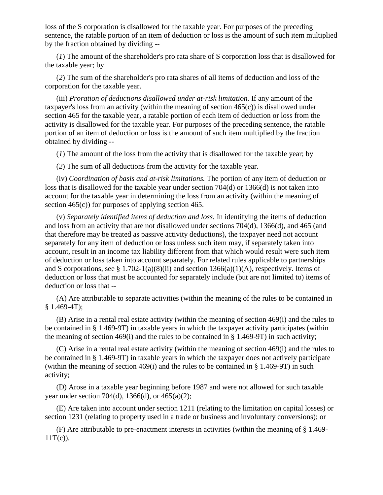loss of the S corporation is disallowed for the taxable year. For purposes of the preceding sentence, the ratable portion of an item of deduction or loss is the amount of such item multiplied by the fraction obtained by dividing --

(*1*) The amount of the shareholder's pro rata share of S corporation loss that is disallowed for the taxable year; by

(*2*) The sum of the shareholder's pro rata shares of all items of deduction and loss of the corporation for the taxable year.

(iii) *Proration of deductions disallowed under at-risk limitation.* If any amount of the taxpayer's loss from an activity (within the meaning of section  $465(c)$ ) is disallowed under section 465 for the taxable year, a ratable portion of each item of deduction or loss from the activity is disallowed for the taxable year. For purposes of the preceding sentence, the ratable portion of an item of deduction or loss is the amount of such item multiplied by the fraction obtained by dividing --

(*1*) The amount of the loss from the activity that is disallowed for the taxable year; by

(*2*) The sum of all deductions from the activity for the taxable year.

(iv) *Coordination of basis and at-risk limitations.* The portion of any item of deduction or loss that is disallowed for the taxable year under section 704(d) or 1366(d) is not taken into account for the taxable year in determining the loss from an activity (within the meaning of section 465(c)) for purposes of applying section 465.

(v) *Separately identified items of deduction and loss.* In identifying the items of deduction and loss from an activity that are not disallowed under sections 704(d), 1366(d), and 465 (and that therefore may be treated as passive activity deductions), the taxpayer need not account separately for any item of deduction or loss unless such item may, if separately taken into account, result in an income tax liability different from that which would result were such item of deduction or loss taken into account separately. For related rules applicable to partnerships and S corporations, see § 1.702-1(a)(8)(ii) and section 1366(a)(1)(A), respectively. Items of deduction or loss that must be accounted for separately include (but are not limited to) items of deduction or loss that --

(A) Are attributable to separate activities (within the meaning of the rules to be contained in § 1.469-4T);

(B) Arise in a rental real estate activity (within the meaning of section 469(i) and the rules to be contained in § 1.469-9T) in taxable years in which the taxpayer activity participates (within the meaning of section 469(i) and the rules to be contained in § 1.469-9T) in such activity;

(C) Arise in a rental real estate activity (within the meaning of section 469(i) and the rules to be contained in § 1.469-9T) in taxable years in which the taxpayer does not actively participate (within the meaning of section 469(i) and the rules to be contained in  $\S$  1.469-9T) in such activity;

(D) Arose in a taxable year beginning before 1987 and were not allowed for such taxable year under section 704(d), 1366(d), or 465(a)(2);

(E) Are taken into account under section 1211 (relating to the limitation on capital losses) or section 1231 (relating to property used in a trade or business and involuntary conversions); or

(F) Are attributable to pre-enactment interests in activities (within the meaning of § 1.469-  $11T(c)$ ).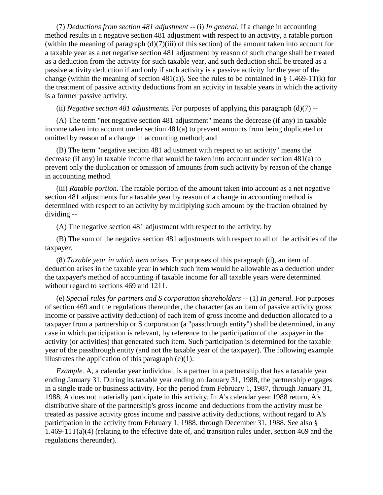(7) *Deductions from section 481 adjustment --* (i) *In general.* If a change in accounting method results in a negative section 481 adjustment with respect to an activity, a ratable portion (within the meaning of paragraph (d)(7)(iii) of this section) of the amount taken into account for a taxable year as a net negative section 481 adjustment by reason of such change shall be treated as a deduction from the activity for such taxable year, and such deduction shall be treated as a passive activity deduction if and only if such activity is a passive activity for the year of the change (within the meaning of section 481(a)). See the rules to be contained in § 1.469-1T(k) for the treatment of passive activity deductions from an activity in taxable years in which the activity is a former passive activity.

(ii) *Negative section 481 adjustments.* For purposes of applying this paragraph (d)(7) --

(A) The term "net negative section 481 adjustment" means the decrease (if any) in taxable income taken into account under section 481(a) to prevent amounts from being duplicated or omitted by reason of a change in accounting method; and

(B) The term "negative section 481 adjustment with respect to an activity" means the decrease (if any) in taxable income that would be taken into account under section 481(a) to prevent only the duplication or omission of amounts from such activity by reason of the change in accounting method.

(iii) *Ratable portion.* The ratable portion of the amount taken into account as a net negative section 481 adjustments for a taxable year by reason of a change in accounting method is determined with respect to an activity by multiplying such amount by the fraction obtained by dividing --

(A) The negative section 481 adjustment with respect to the activity; by

(B) The sum of the negative section 481 adjustments with respect to all of the activities of the taxpayer.

(8) *Taxable year in which item arises.* For purposes of this paragraph (d), an item of deduction arises in the taxable year in which such item would be allowable as a deduction under the taxpayer's method of accounting if taxable income for all taxable years were determined without regard to sections 469 and 1211.

(e) *Special rules for partners and S corporation shareholders --* (1) *In general.* For purposes of section 469 and the regulations thereunder, the character (as an item of passive activity gross income or passive activity deduction) of each item of gross income and deduction allocated to a taxpayer from a partnership or S corporation (a "passthrough entity") shall be determined, in any case in which participation is relevant, by reference to the participation of the taxpayer in the activity (or activities) that generated such item. Such participation is determined for the taxable year of the passthrough entity (and not the taxable year of the taxpayer). The following example illustrates the application of this paragraph  $(e)(1)$ :

*Example.* A, a calendar year individual, is a partner in a partnership that has a taxable year ending January 31. During its taxable year ending on January 31, 1988, the partnership engages in a single trade or business activity. For the period from February 1, 1987, through January 31, 1988, A does not materially participate in this activity. In A's calendar year 1988 return, A's distributive share of the partnership's gross income and deductions from the activity must be treated as passive activity gross income and passive activity deductions, without regard to A's participation in the activity from February 1, 1988, through December 31, 1988. See also §  $1.469-11T(a)(4)$  (relating to the effective date of, and transition rules under, section 469 and the regulations thereunder).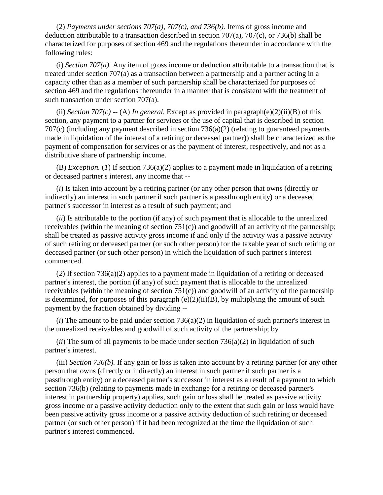(2) *Payments under sections 707(a), 707(c), and 736(b).* Items of gross income and deduction attributable to a transaction described in section  $707(a)$ ,  $707(c)$ , or  $736(b)$  shall be characterized for purposes of section 469 and the regulations thereunder in accordance with the following rules:

(i) *Section 707(a)*. Any item of gross income or deduction attributable to a transaction that is treated under section 707(a) as a transaction between a partnership and a partner acting in a capacity other than as a member of such partnership shall be characterized for purposes of section 469 and the regulations thereunder in a manner that is consistent with the treatment of such transaction under section 707(a).

(ii) *Section 707(c)* -- (A) *In general.* Except as provided in paragraph(e)(2)(ii)(B) of this section, any payment to a partner for services or the use of capital that is described in section 707(c) (including any payment described in section 736(a)(2) (relating to guaranteed payments made in liquidation of the interest of a retiring or deceased partner)) shall be characterized as the payment of compensation for services or as the payment of interest, respectively, and not as a distributive share of partnership income.

(B) *Exception.* (*1*) If section 736(a)(2) applies to a payment made in liquidation of a retiring or deceased partner's interest, any income that --

(*i*) Is taken into account by a retiring partner (or any other person that owns (directly or indirectly) an interest in such partner if such partner is a passthrough entity) or a deceased partner's successor in interest as a result of such payment; and

(*ii*) Is attributable to the portion (if any) of such payment that is allocable to the unrealized receivables (within the meaning of section 751(c)) and goodwill of an activity of the partnership; shall be treated as passive activity gross income if and only if the activity was a passive activity of such retiring or deceased partner (or such other person) for the taxable year of such retiring or deceased partner (or such other person) in which the liquidation of such partner's interest commenced.

(*2*) If section 736(a)(2) applies to a payment made in liquidation of a retiring or deceased partner's interest, the portion (if any) of such payment that is allocable to the unrealized receivables (within the meaning of section  $751(c)$ ) and goodwill of an activity of the partnership is determined, for purposes of this paragraph  $(e)(2)(ii)(B)$ , by multiplying the amount of such payment by the fraction obtained by dividing --

(*i*) The amount to be paid under section 736(a)(2) in liquidation of such partner's interest in the unrealized receivables and goodwill of such activity of the partnership; by

 $(iii)$  The sum of all payments to be made under section  $736(a)(2)$  in liquidation of such partner's interest.

(iii) *Section 736(b).* If any gain or loss is taken into account by a retiring partner (or any other person that owns (directly or indirectly) an interest in such partner if such partner is a passthrough entity) or a deceased partner's successor in interest as a result of a payment to which section 736(b) (relating to payments made in exchange for a retiring or deceased partner's interest in partnership property) applies, such gain or loss shall be treated as passive activity gross income or a passive activity deduction only to the extent that such gain or loss would have been passive activity gross income or a passive activity deduction of such retiring or deceased partner (or such other person) if it had been recognized at the time the liquidation of such partner's interest commenced.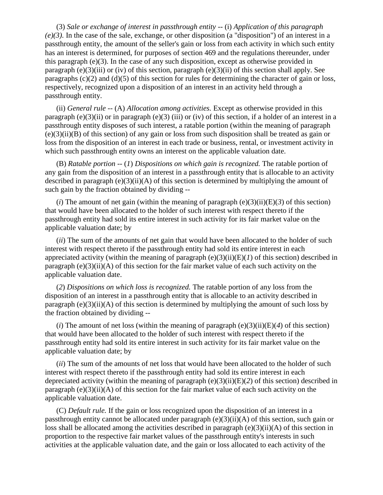(3) *Sale or exchange of interest in passthrough entity* -- (i) *Application of this paragraph (e)(3).* In the case of the sale, exchange, or other disposition (a "disposition") of an interest in a passthrough entity, the amount of the seller's gain or loss from each activity in which such entity has an interest is determined, for purposes of section 469 and the regulations thereunder, under this paragraph (e)(3). In the case of any such disposition, except as otherwise provided in paragraph (e)(3)(iii) or (iv) of this section, paragraph (e)(3)(ii) of this section shall apply. See paragraphs  $(c)(2)$  and  $(d)(5)$  of this section for rules for determining the character of gain or loss, respectively, recognized upon a disposition of an interest in an activity held through a passthrough entity.

(ii) *General rule* -- (A) *Allocation among activities.* Except as otherwise provided in this paragraph (e)(3)(ii) or in paragraph (e)(3) (iii) or (iv) of this section, if a holder of an interest in a passthrough entity disposes of such interest, a ratable portion (within the meaning of paragraph (e)(3)(ii)(B) of this section) of any gain or loss from such disposition shall be treated as gain or loss from the disposition of an interest in each trade or business, rental, or investment activity in which such passthrough entity owns an interest on the applicable valuation date.

(B) *Ratable portion* -- (*1*) *Dispositions on which gain is recognized.* The ratable portion of any gain from the disposition of an interest in a passthrough entity that is allocable to an activity described in paragraph (e)(3)(ii)(A) of this section is determined by multiplying the amount of such gain by the fraction obtained by dividing --

 $(i)$  The amount of net gain (within the meaning of paragraph  $(e)(3)(ii)(E)(3)$  of this section) that would have been allocated to the holder of such interest with respect thereto if the passthrough entity had sold its entire interest in such activity for its fair market value on the applicable valuation date; by

(*ii*) The sum of the amounts of net gain that would have been allocated to the holder of such interest with respect thereto if the passthrough entity had sold its entire interest in each appreciated activity (within the meaning of paragraph  $(e)(3)(ii)(E)(I)$  of this section) described in paragraph  $(e)(3)(ii)(A)$  of this section for the fair market value of each such activity on the applicable valuation date.

(*2*) *Dispositions on which loss is recognized.* The ratable portion of any loss from the disposition of an interest in a passthrough entity that is allocable to an activity described in paragraph  $(e)(3)(ii)(A)$  of this section is determined by multiplying the amount of such loss by the fraction obtained by dividing --

(*i*) The amount of net loss (within the meaning of paragraph  $(e)(3)(ii)(E)(4)$  of this section) that would have been allocated to the holder of such interest with respect thereto if the passthrough entity had sold its entire interest in such activity for its fair market value on the applicable valuation date; by

(*ii*) The sum of the amounts of net loss that would have been allocated to the holder of such interest with respect thereto if the passthrough entity had sold its entire interest in each depreciated activity (within the meaning of paragraph (e)(3)(ii)(E)(*2*) of this section) described in paragraph  $(e)(3)(ii)(A)$  of this section for the fair market value of each such activity on the applicable valuation date.

(C) *Default rule.* If the gain or loss recognized upon the disposition of an interest in a passthrough entity cannot be allocated under paragraph (e)(3)(ii)(A) of this section, such gain or loss shall be allocated among the activities described in paragraph (e)(3)(ii)(A) of this section in proportion to the respective fair market values of the passthrough entity's interests in such activities at the applicable valuation date, and the gain or loss allocated to each activity of the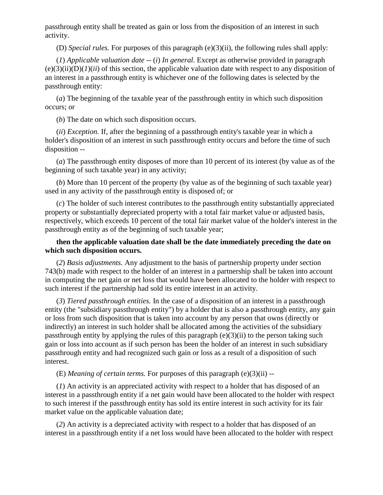passthrough entity shall be treated as gain or loss from the disposition of an interest in such activity.

(D) *Special rules.* For purposes of this paragraph (e)(3)(ii), the following rules shall apply:

(*1*) *Applicable valuation date* -- (*i*) *In general.* Except as otherwise provided in paragraph  $(e)(3)(ii)(D)(I)(ii)$  of this section, the applicable valuation date with respect to any disposition of an interest in a passthrough entity is whichever one of the following dates is selected by the passthrough entity:

(*a*) The beginning of the taxable year of the passthrough entity in which such disposition occurs; or

(*b*) The date on which such disposition occurs.

(*ii*) *Exception.* If, after the beginning of a passthrough entity's taxable year in which a holder's disposition of an interest in such passthrough entity occurs and before the time of such disposition --

(*a*) The passthrough entity disposes of more than 10 percent of its interest (by value as of the beginning of such taxable year) in any activity;

(*b*) More than 10 percent of the property (by value as of the beginning of such taxable year) used in any activity of the passthrough entity is disposed of; or

(*c*) The holder of such interest contributes to the passthrough entity substantially appreciated property or substantially depreciated property with a total fair market value or adjusted basis, respectively, which exceeds 10 percent of the total fair market value of the holder's interest in the passthrough entity as of the beginning of such taxable year;

## **then the applicable valuation date shall be the date immediately preceding the date on which such disposition occurs.**

(*2*) *Basis adjustments.* Any adjustment to the basis of partnership property under section 743(b) made with respect to the holder of an interest in a partnership shall be taken into account in computing the net gain or net loss that would have been allocated to the holder with respect to such interest if the partnership had sold its entire interest in an activity.

(*3*) *Tiered passthrough entities.* In the case of a disposition of an interest in a passthrough entity (the "subsidiary passthrough entity") by a holder that is also a passthrough entity, any gain or loss from such disposition that is taken into account by any person that owns (directly or indirectly) an interest in such holder shall be allocated among the activities of the subsidiary passthrough entity by applying the rules of this paragraph (e)(3)(ii) to the person taking such gain or loss into account as if such person has been the holder of an interest in such subsidiary passthrough entity and had recognized such gain or loss as a result of a disposition of such interest.

(E) *Meaning of certain terms.* For purposes of this paragraph (e)(3)(ii) --

(*1*) An activity is an appreciated activity with respect to a holder that has disposed of an interest in a passthrough entity if a net gain would have been allocated to the holder with respect to such interest if the passthrough entity has sold its entire interest in such activity for its fair market value on the applicable valuation date;

(*2*) An activity is a depreciated activity with respect to a holder that has disposed of an interest in a passthrough entity if a net loss would have been allocated to the holder with respect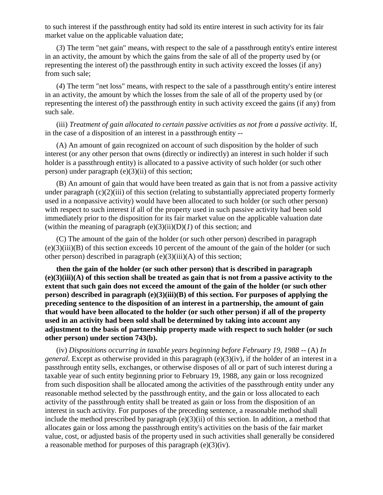to such interest if the passthrough entity had sold its entire interest in such activity for its fair market value on the applicable valuation date;

(*3*) The term "net gain" means, with respect to the sale of a passthrough entity's entire interest in an activity, the amount by which the gains from the sale of all of the property used by (or representing the interest of) the passthrough entity in such activity exceed the losses (if any) from such sale;

(*4*) The term "net loss" means, with respect to the sale of a passthrough entity's entire interest in an activity, the amount by which the losses from the sale of all of the property used by (or representing the interest of) the passthrough entity in such activity exceed the gains (if any) from such sale.

(iii) *Treatment of gain allocated to certain passive activities as not from a passive activity.* If, in the case of a disposition of an interest in a passthrough entity --

(A) An amount of gain recognized on account of such disposition by the holder of such interest (or any other person that owns (directly or indirectly) an interest in such holder if such holder is a passthrough entity) is allocated to a passive activity of such holder (or such other person) under paragraph (e)(3)(ii) of this section;

(B) An amount of gain that would have been treated as gain that is not from a passive activity under paragraph (c)(2)(iii) of this section (relating to substantially appreciated property formerly used in a nonpassive activity) would have been allocated to such holder (or such other person) with respect to such interest if all of the property used in such passive activity had been sold immediately prior to the disposition for its fair market value on the applicable valuation date (within the meaning of paragraph  $(e)(3)(ii)(D)(I)$  of this section; and

(C) The amount of the gain of the holder (or such other person) described in paragraph (e)(3)(iii)(B) of this section exceeds 10 percent of the amount of the gain of the holder (or such other person) described in paragraph  $(e)(3)(iii)(A)$  of this section;

**then the gain of the holder (or such other person) that is described in paragraph (e)(3)(iii)(A) of this section shall be treated as gain that is not from a passive activity to the extent that such gain does not exceed the amount of the gain of the holder (or such other person) described in paragraph (e)(3)(iii)(B) of this section. For purposes of applying the preceding sentence to the disposition of an interest in a partnership, the amount of gain that would have been allocated to the holder (or such other person) if all of the property used in an activity had been sold shall be determined by taking into account any adjustment to the basis of partnership property made with respect to such holder (or such other person) under section 743(b).** 

(iv) *Dispositions occurring in taxable years beginning before February 19, 1988* -- (A) *In general*. Except as otherwise provided in this paragraph (e)(3)(iv), if the holder of an interest in a passthrough entity sells, exchanges, or otherwise disposes of all or part of such interest during a taxable year of such entity beginning prior to February 19, 1988, any gain or loss recognized from such disposition shall be allocated among the activities of the passthrough entity under any reasonable method selected by the passthrough entity, and the gain or loss allocated to each activity of the passthrough entity shall be treated as gain or loss from the disposition of an interest in such activity. For purposes of the preceding sentence, a reasonable method shall include the method prescribed by paragraph  $(e)(3)(ii)$  of this section. In addition, a method that allocates gain or loss among the passthrough entity's activities on the basis of the fair market value, cost, or adjusted basis of the property used in such activities shall generally be considered a reasonable method for purposes of this paragraph (e)(3)(iv).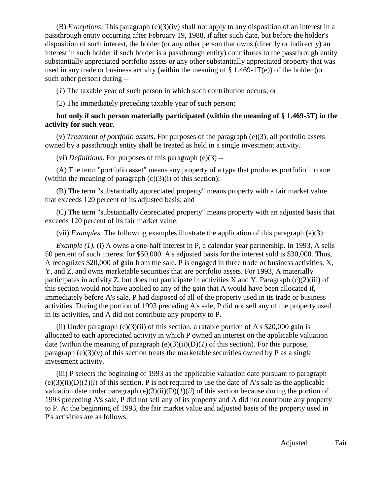(B) *Exceptions*. This paragraph (e)(3)(iv) shall not apply to any disposition of an interest in a passthrough entity occurring after February 19, 1988, if after such date, but before the holder's disposition of such interest, the holder (or any other person that owns (directly or indirectly) an interest in such holder if such holder is a passthrough entity) contributes to the passthrough entity substantially appreciated portfolio assets or any other substantially appreciated property that was used in any trade or business activity (within the meaning of  $\S$  1.469-1T(e)) of the holder (or such other person) during --

(*1*) The taxable year of such person in which such contribution occurs; or

(*2*) The immediately preceding taxable year of such person;

## **but only if such person materially participated (within the meaning of § 1.469-5T) in the activity for such year.**

(v) *Treatment of portfolio assets*. For purposes of the paragraph (e)(3), all portfolio assets owned by a passthrough entity shall be treated as held in a single investment activity.

(vi) *Definitions*. For purposes of this paragraph (e)(3) --

(A) The term "portfolio asset" means any property of a type that produces portfolio income (within the meaning of paragraph  $(c)(3)(i)$  of this section);

(B) The term "substantially appreciated property" means property with a fair market value that exceeds 120 percent of its adjusted basis; and

(C) The term "substantially depreciated property" means property with an adjusted basis that exceeds 120 percent of its fair market value.

(vii) *Examples.* The following examples illustrate the application of this paragraph (e)(3):

*Example (1).* (i) A owns a one-half interest in P, a calendar year partnership. In 1993, A sells 50 percent of such interest for \$50,000. A's adjusted basis for the interest sold is \$30,000. Thus, A recognizes \$20,000 of gain from the sale. P is engaged in three trade or business activities, X, Y, and Z, and owns marketable securities that are portfolio assets. For 1993, A materially participates in activity Z, but does not participate in activities X and Y. Paragraph  $(c)(2)(iii)$  of this section would not have applied to any of the gain that A would have been allocated if, immediately before A's sale, P had disposed of all of the property used in its trade or business activities. During the portion of 1993 preceding A's sale, P did not sell any of the property used in its activities, and A did not contribute any property to P.

(ii) Under paragraph (e)(3)(ii) of this section, a ratable portion of A's  $$20,000$  gain is allocated to each appreciated activity in which P owned an interest on the applicable valuation date (within the meaning of paragraph  $(e)(3)(ii)(D)(I)$  of this section). For this purpose, paragraph  $(e)(3)(v)$  of this section treats the marketable securities owned by P as a single investment activity.

(iii) P selects the beginning of 1993 as the applicable valuation date pursuant to paragraph  $(e)(3)(ii)(D)(I)(i)$  of this section. P is not required to use the date of A's sale as the applicable valuation date under paragraph  $(e)(3)(ii)(D)(I)(ii)$  of this section because during the portion of 1993 preceding A's sale, P did not sell any of its property and A did not contribute any property to P. At the beginning of 1993, the fair market value and adjusted basis of the property used in P's activities are as follows:

Adjusted Fair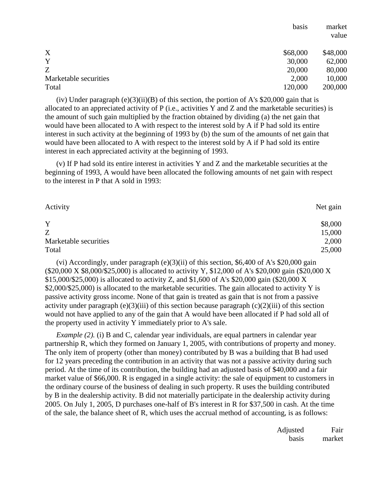|                       | basis    | market<br>value |
|-----------------------|----------|-----------------|
| X                     | \$68,000 | \$48,000        |
| Y                     | 30,000   | 62,000          |
| Z                     | 20,000   | 80,000          |
| Marketable securities | 2,000    | 10,000          |
| Total                 | 120,000  | 200,000         |

(iv) Under paragraph  $(e)(3)(ii)(B)$  of this section, the portion of A's \$20,000 gain that is allocated to an appreciated activity of P (i.e., activities Y and Z and the marketable securities) is the amount of such gain multiplied by the fraction obtained by dividing (a) the net gain that would have been allocated to A with respect to the interest sold by A if P had sold its entire interest in such activity at the beginning of 1993 by (b) the sum of the amounts of net gain that would have been allocated to A with respect to the interest sold by A if P had sold its entire interest in each appreciated activity at the beginning of 1993.

(v) If P had sold its entire interest in activities Y and Z and the marketable securities at the beginning of 1993, A would have been allocated the following amounts of net gain with respect to the interest in P that A sold in 1993:

| Activity              | Net gain |
|-----------------------|----------|
| Y                     | \$8,000  |
| Z                     | 15,000   |
| Marketable securities | 2,000    |
| Total                 | 25,000   |

(vi) Accordingly, under paragraph (e)(3)(ii) of this section, \$6,400 of A's \$20,000 gain (\$20,000 X \$8,000/\$25,000) is allocated to activity Y, \$12,000 of A's \$20,000 gain (\$20,000 X \$15,000/\$25,000) is allocated to activity Z, and \$1,600 of A's \$20,000 gain (\$20,000 X \$2,000/\$25,000) is allocated to the marketable securities. The gain allocated to activity Y is passive activity gross income. None of that gain is treated as gain that is not from a passive activity under paragraph (e)(3)(iii) of this section because paragraph (c)(2)(iii) of this section would not have applied to any of the gain that A would have been allocated if P had sold all of the property used in activity Y immediately prior to A's sale.

*Example (2).* (i) B and C, calendar year individuals, are equal partners in calendar year partnership R, which they formed on January 1, 2005, with contributions of property and money. The only item of property (other than money) contributed by B was a building that B had used for 12 years preceding the contribution in an activity that was not a passive activity during such period. At the time of its contribution, the building had an adjusted basis of \$40,000 and a fair market value of \$66,000. R is engaged in a single activity: the sale of equipment to customers in the ordinary course of the business of dealing in such property. R uses the building contributed by B in the dealership activity. B did not materially participate in the dealership activity during 2005. On July 1, 2005, D purchases one-half of B's interest in R for \$37,500 in cash. At the time of the sale, the balance sheet of R, which uses the accrual method of accounting, is as follows:

| Adjusted | Fair   |
|----------|--------|
| basis    | market |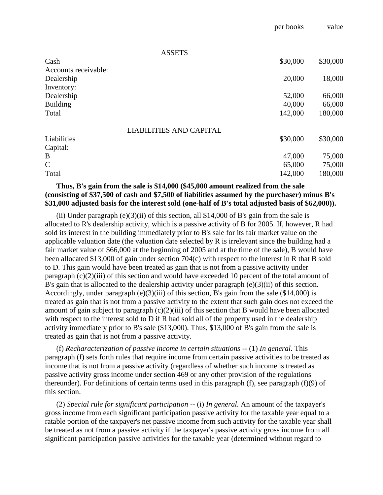|          | ,                               |
|----------|---------------------------------|
|          |                                 |
|          |                                 |
|          | \$30,000                        |
|          |                                 |
|          | 18,000                          |
|          |                                 |
| 52,000   | 66,000                          |
| 40,000   | 66,000                          |
| 142,000  | 180,000                         |
|          |                                 |
| \$30,000 | \$30,000                        |
|          |                                 |
| 47,000   | 75,000                          |
| 65,000   | 75,000                          |
| 142,000  | 180,000                         |
|          | per pooms<br>\$30,000<br>20,000 |

per books value

## **Thus, B's gain from the sale is \$14,000 (\$45,000 amount realized from the sale (consisting of \$37,500 of cash and \$7,500 of liabilities assumed by the purchaser) minus B's \$31,000 adjusted basis for the interest sold (one-half of B's total adjusted basis of \$62,000)).**

(ii) Under paragraph  $(e)(3)$ (ii) of this section, all \$14,000 of B's gain from the sale is allocated to R's dealership activity, which is a passive activity of B for 2005. If, however, R had sold its interest in the building immediately prior to B's sale for its fair market value on the applicable valuation date (the valuation date selected by R is irrelevant since the building had a fair market value of \$66,000 at the beginning of 2005 and at the time of the sale), B would have been allocated \$13,000 of gain under section 704(c) with respect to the interest in R that B sold to D. This gain would have been treated as gain that is not from a passive activity under paragraph (c)(2)(iii) of this section and would have exceeded 10 percent of the total amount of B's gain that is allocated to the dealership activity under paragraph (e)(3)(ii) of this section. Accordingly, under paragraph (e)(3)(iii) of this section, B's gain from the sale (\$14,000) is treated as gain that is not from a passive activity to the extent that such gain does not exceed the amount of gain subject to paragraph (c)(2)(iii) of this section that B would have been allocated with respect to the interest sold to D if R had sold all of the property used in the dealership activity immediately prior to B's sale (\$13,000). Thus, \$13,000 of B's gain from the sale is treated as gain that is not from a passive activity.

(f) *Recharacterization of passive income in certain situations* -- (1) *In general.* This paragraph (f) sets forth rules that require income from certain passive activities to be treated as income that is not from a passive activity (regardless of whether such income is treated as passive activity gross income under section 469 or any other provision of the regulations thereunder). For definitions of certain terms used in this paragraph (f), see paragraph (f)(9) of this section.

(2) *Special rule for significant participation* -- (i) *In general.* An amount of the taxpayer's gross income from each significant participation passive activity for the taxable year equal to a ratable portion of the taxpayer's net passive income from such activity for the taxable year shall be treated as not from a passive activity if the taxpayer's passive activity gross income from all significant participation passive activities for the taxable year (determined without regard to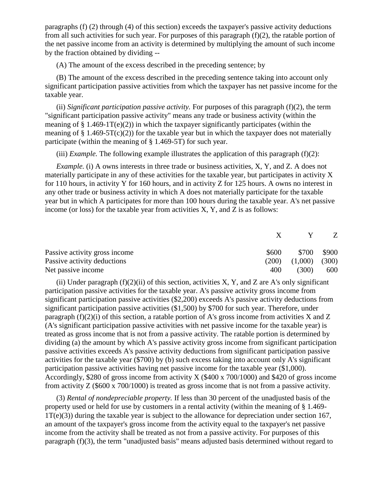paragraphs (f) (2) through (4) of this section) exceeds the taxpayer's passive activity deductions from all such activities for such year. For purposes of this paragraph (f)(2), the ratable portion of the net passive income from an activity is determined by multiplying the amount of such income by the fraction obtained by dividing --

(A) The amount of the excess described in the preceding sentence; by

(B) The amount of the excess described in the preceding sentence taking into account only significant participation passive activities from which the taxpayer has net passive income for the taxable year.

(ii) *Significant participation passive activity.* For purposes of this paragraph (f)(2), the term "significant participation passive activity" means any trade or business activity (within the meaning of  $\S 1.469-1T(e)(2)$ ) in which the taxpayer significantly participates (within the meaning of  $\S 1.469-5T(c)(2)$  for the taxable year but in which the taxpayer does not materially participate (within the meaning of § 1.469-5T) for such year.

(iii) *Example.* The following example illustrates the application of this paragraph (f)(2):

*Example.* (i) A owns interests in three trade or business activities, X, Y, and Z. A does not materially participate in any of these activities for the taxable year, but participates in activity X for 110 hours, in activity Y for 160 hours, and in activity Z for 125 hours. A owns no interest in any other trade or business activity in which A does not materially participate for the taxable year but in which A participates for more than 100 hours during the taxable year. A's net passive income (or loss) for the taxable year from activities X, Y, and Z is as follows:

|                               |       | $X \tV$                   | <sup>7</sup> |
|-------------------------------|-------|---------------------------|--------------|
| Passive activity gross income | \$600 | \$700                     | \$900        |
| Passive activity deductions   |       | $(200)$ $(1,000)$ $(300)$ |              |
| Net passive income            | 400   | (300)                     | 600          |

(ii) Under paragraph  $(f)(2)(ii)$  of this section, activities X, Y, and Z are A's only significant participation passive activities for the taxable year. A's passive activity gross income from significant participation passive activities (\$2,200) exceeds A's passive activity deductions from significant participation passive activities (\$1,500) by \$700 for such year. Therefore, under paragraph  $(f)(2)(i)$  of this section, a ratable portion of A's gross income from activities X and Z (A's significant participation passive activities with net passive income for the taxable year) is treated as gross income that is not from a passive activity. The ratable portion is determined by dividing (a) the amount by which A's passive activity gross income from significant participation passive activities exceeds A's passive activity deductions from significant participation passive activities for the taxable year (\$700) by (b) such excess taking into account only A's significant participation passive activities having net passive income for the taxable year (\$1,000). Accordingly, \$280 of gross income from activity X (\$400 x 700/1000) and \$420 of gross income from activity Z (\$600 x 700/1000) is treated as gross income that is not from a passive activity.

(3) *Rental of nondepreciable property.* If less than 30 percent of the unadjusted basis of the property used or held for use by customers in a rental activity (within the meaning of § 1.469- 1T(e)(3)) during the taxable year is subject to the allowance for depreciation under section 167, an amount of the taxpayer's gross income from the activity equal to the taxpayer's net passive income from the activity shall be treated as not from a passive activity. For purposes of this paragraph (f)(3), the term "unadjusted basis" means adjusted basis determined without regard to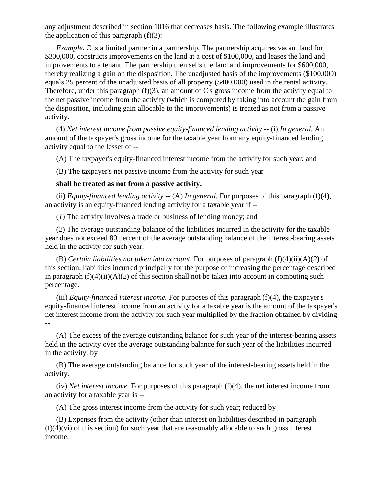any adjustment described in section 1016 that decreases basis. The following example illustrates the application of this paragraph  $(f)(3)$ :

*Example.* C is a limited partner in a partnership. The partnership acquires vacant land for \$300,000, constructs improvements on the land at a cost of \$100,000, and leases the land and improvements to a tenant. The partnership then sells the land and improvements for \$600,000, thereby realizing a gain on the disposition. The unadjusted basis of the improvements (\$100,000) equals 25 percent of the unadjusted basis of all property (\$400,000) used in the rental activity. Therefore, under this paragraph (f)(3), an amount of C's gross income from the activity equal to the net passive income from the activity (which is computed by taking into account the gain from the disposition, including gain allocable to the improvements) is treated as not from a passive activity.

(4) *Net interest income from passive equity-financed lending activity* -- (i) *In general.* An amount of the taxpayer's gross income for the taxable year from any equity-financed lending activity equal to the lesser of --

(A) The taxpayer's equity-financed interest income from the activity for such year; and

(B) The taxpayer's net passive income from the activity for such year

## **shall be treated as not from a passive activity.**

(ii) *Equity-financed lending activity* -- (A) *In general*. For purposes of this paragraph (f)(4), an activity is an equity-financed lending activity for a taxable year if --

(*1*) The activity involves a trade or business of lending money; and

(*2*) The average outstanding balance of the liabilities incurred in the activity for the taxable year does not exceed 80 percent of the average outstanding balance of the interest-bearing assets held in the activity for such year.

(B) *Certain liabilities not taken into account.* For purposes of paragraph (f)(4)(ii)(A)(*2*) of this section, liabilities incurred principally for the purpose of increasing the percentage described in paragraph  $(f)(4)(ii)(A)(2)$  of this section shall not be taken into account in computing such percentage.

(iii) *Equity-financed interest income.* For purposes of this paragraph (f)(4), the taxpayer's equity-financed interest income from an activity for a taxable year is the amount of the taxpayer's net interest income from the activity for such year multiplied by the fraction obtained by dividing --

(A) The excess of the average outstanding balance for such year of the interest-bearing assets held in the activity over the average outstanding balance for such year of the liabilities incurred in the activity; by

(B) The average outstanding balance for such year of the interest-bearing assets held in the activity.

(iv) *Net interest income.* For purposes of this paragraph (f)(4), the net interest income from an activity for a taxable year is --

(A) The gross interest income from the activity for such year; reduced by

(B) Expenses from the activity (other than interest on liabilities described in paragraph  $(f)(4)(vi)$  of this section) for such year that are reasonably allocable to such gross interest income.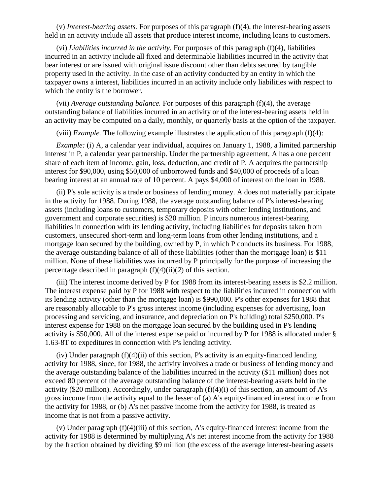(v) *Interest-bearing assets.* For purposes of this paragraph (f)(4), the interest-bearing assets held in an activity include all assets that produce interest income, including loans to customers.

(vi) *Liabilities incurred in the activity.* For purposes of this paragraph (f)(4), liabilities incurred in an activity include all fixed and determinable liabilities incurred in the activity that bear interest or are issued with original issue discount other than debts secured by tangible property used in the activity. In the case of an activity conducted by an entity in which the taxpayer owns a interest, liabilities incurred in an activity include only liabilities with respect to which the entity is the borrower.

(vii) *Average outstanding balance.* For purposes of this paragraph (f)(4), the average outstanding balance of liabilities incurred in an activity or of the interest-bearing assets held in an activity may be computed on a daily, monthly, or quarterly basis at the option of the taxpayer.

(viii) *Example.* The following example illustrates the application of this paragraph (f)(4):

*Example:* (i) A, a calendar year individual, acquires on January 1, 1988, a limited partnership interest in P, a calendar year partnership. Under the partnership agreement, A has a one percent share of each item of income, gain, loss, deduction, and credit of P. A acquires the partnership interest for \$90,000, using \$50,000 of unborrowed funds and \$40,000 of proceeds of a loan bearing interest at an annual rate of 10 percent. A pays \$4,000 of interest on the loan in 1988.

(ii) P's sole activity is a trade or business of lending money. A does not materially participate in the activity for 1988. During 1988, the average outstanding balance of P's interest-bearing assets (including loans to customers, temporary deposits with other lending institutions, and government and corporate securities) is \$20 million. P incurs numerous interest-bearing liabilities in connection with its lending activity, including liabilities for deposits taken from customers, unsecured short-term and long-term loans from other lending institutions, and a mortgage loan secured by the building, owned by P, in which P conducts its business. For 1988, the average outstanding balance of all of these liabilities (other than the mortgage loan) is \$11 million. None of these liabilities was incurred by P principally for the purpose of increasing the percentage described in paragraph (f)(4)(ii)(*2*) of this section.

(iii) The interest income derived by P for 1988 from its interest-bearing assets is \$2.2 million. The interest expense paid by P for 1988 with respect to the liabilities incurred in connection with its lending activity (other than the mortgage loan) is \$990,000. P's other expenses for 1988 that are reasonably allocable to P's gross interest income (including expenses for advertising, loan processing and servicing, and insurance, and depreciation on P's building) total \$250,000. P's interest expense for 1988 on the mortgage loan secured by the building used in P's lending activity is \$50,000. All of the interest expense paid or incurred by P for 1988 is allocated under § 1.63-8T to expeditures in connection with P's lending activity.

(iv) Under paragraph (f)(4)(ii) of this section, P's activity is an equity-financed lending activity for 1988, since, for 1988, the activity involves a trade or business of lending money and the average outstanding balance of the liabilities incurred in the activity (\$11 million) does not exceed 80 percent of the average outstanding balance of the interest-bearing assets held in the activity (\$20 million). Accordingly, under paragraph (f)(4)(i) of this section, an amount of A's gross income from the activity equal to the lesser of (a) A's equity-financed interest income from the activity for 1988, or (b) A's net passive income from the activity for 1988, is treated as income that is not from a passive activity.

(v) Under paragraph (f)(4)(iii) of this section, A's equity-financed interest income from the activity for 1988 is determined by multiplying A's net interest income from the activity for 1988 by the fraction obtained by dividing \$9 million (the excess of the average interest-bearing assets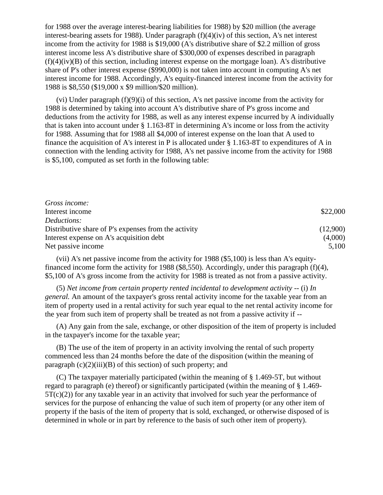for 1988 over the average interest-bearing liabilities for 1988) by \$20 million (the average interest-bearing assets for 1988). Under paragraph (f)(4)(iv) of this section, A's net interest income from the activity for 1988 is \$19,000 (A's distributive share of \$2.2 million of gross interest income less A's distributive share of \$300,000 of expenses described in paragraph  $(f)(4)(iv)(B)$  of this section, including interest expense on the mortgage loan). A's distributive share of P's other interest expense (\$990,000) is not taken into account in computing A's net interest income for 1988. Accordingly, A's equity-financed interest income from the activity for 1988 is \$8,550 (\$19,000 x \$9 million/\$20 million).

(vi) Under paragraph (f)(9)(i) of this section, A's net passive income from the activity for 1988 is determined by taking into account A's distributive share of P's gross income and deductions from the activity for 1988, as well as any interest expense incurred by A individually that is taken into account under § 1.163-8T in determining A's income or loss from the activity for 1988. Assuming that for 1988 all \$4,000 of interest expense on the loan that A used to finance the acquisition of A's interest in P is allocated under § 1.163-8T to expenditures of A in connection with the lending activity for 1988, A's net passive income from the activity for 1988 is \$5,100, computed as set forth in the following table:

| Gross income:                                        |          |
|------------------------------------------------------|----------|
| Interest income                                      | \$22,000 |
| <i>Deductions:</i>                                   |          |
| Distributive share of P's expenses from the activity | (12,900) |
| Interest expense on A's acquisition debt             | (4,000)  |
| Net passive income                                   | 5,100    |

(vii) A's net passive income from the activity for 1988 (\$5,100) is less than A's equityfinanced income form the activity for 1988 (\$8,550). Accordingly, under this paragraph (f)(4), \$5,100 of A's gross income from the activity for 1988 is treated as not from a passive activity.

(5) *Net income from certain property rented incidental to development activity* -- (i) *In general.* An amount of the taxpayer's gross rental activity income for the taxable year from an item of property used in a rental activity for such year equal to the net rental activity income for the year from such item of property shall be treated as not from a passive activity if --

(A) Any gain from the sale, exchange, or other disposition of the item of property is included in the taxpayer's income for the taxable year;

(B) The use of the item of property in an activity involving the rental of such property commenced less than 24 months before the date of the disposition (within the meaning of paragraph  $(c)(2)(iii)(B)$  of this section) of such property; and

(C) The taxpayer materially participated (within the meaning of § 1.469-5T, but without regard to paragraph (e) thereof) or significantly participated (within the meaning of § 1.469-  $5T(c)(2)$ ) for any taxable year in an activity that involved for such year the performance of services for the purpose of enhancing the value of such item of property (or any other item of property if the basis of the item of property that is sold, exchanged, or otherwise disposed of is determined in whole or in part by reference to the basis of such other item of property).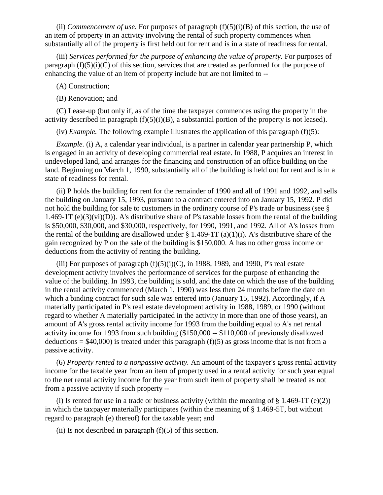(ii) *Commencement of use*. For purposes of paragraph  $(f)(5)(i)(B)$  of this section, the use of an item of property in an activity involving the rental of such property commences when substantially all of the property is first held out for rent and is in a state of readiness for rental.

(iii) *Services performed for the purpose of enhancing the value of property.* For purposes of paragraph  $(f)(5)(i)(C)$  of this section, services that are treated as performed for the purpose of enhancing the value of an item of property include but are not limited to --

(A) Construction;

(B) Renovation; and

(C) Lease-up (but only if, as of the time the taxpayer commences using the property in the activity described in paragraph  $(f)(5)(i)(B)$ , a substantial portion of the property is not leased).

(iv) *Example*. The following example illustrates the application of this paragraph  $(f)(5)$ :

*Example.* (i) A, a calendar year individual, is a partner in calendar year partnership P, which is engaged in an activity of developing commercial real estate. In 1988, P acquires an interest in undeveloped land, and arranges for the financing and construction of an office building on the land. Beginning on March 1, 1990, substantially all of the building is held out for rent and is in a state of readiness for rental.

(ii) P holds the building for rent for the remainder of 1990 and all of 1991 and 1992, and sells the building on January 15, 1993, pursuant to a contract entered into on January 15, 1992. P did not hold the building for sale to customers in the ordinary course of P's trade or business (see § 1.469-1T (e)(3)(vi)(D)). A's distributive share of P's taxable losses from the rental of the building is \$50,000, \$30,000, and \$30,000, respectively, for 1990, 1991, and 1992. All of A's losses from the rental of the building are disallowed under  $\S 1.469-1T (a)(1)(i)$ . A's distributive share of the gain recognized by P on the sale of the building is \$150,000. A has no other gross income or deductions from the activity of renting the building.

(iii) For purposes of paragraph  $(f)(5)(i)(C)$ , in 1988, 1989, and 1990, P's real estate development activity involves the performance of services for the purpose of enhancing the value of the building. In 1993, the building is sold, and the date on which the use of the building in the rental activity commenced (March 1, 1990) was less then 24 months before the date on which a binding contract for such sale was entered into (January 15, 1992). Accordingly, if A materially participated in P's real estate development activity in 1988, 1989, or 1990 (without regard to whether A materially participated in the activity in more than one of those years), an amount of A's gross rental activity income for 1993 from the building equal to A's net rental activity income for 1993 from such building (\$150,000 -- \$110,000 of previously disallowed deductions =  $$40,000$ ) is treated under this paragraph (f)(5) as gross income that is not from a passive activity.

(6) *Property rented to a nonpassive activity.* An amount of the taxpayer's gross rental activity income for the taxable year from an item of property used in a rental activity for such year equal to the net rental activity income for the year from such item of property shall be treated as not from a passive activity if such property --

(i) Is rented for use in a trade or business activity (within the meaning of  $\S 1.469-1T$  (e)(2)) in which the taxpayer materially participates (within the meaning of § 1.469-5T, but without regard to paragraph (e) thereof) for the taxable year; and

(ii) Is not described in paragraph  $(f)(5)$  of this section.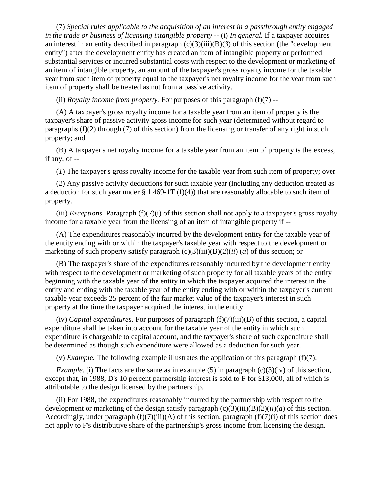(7) *Special rules applicable to the acquisition of an interest in a passthrough entity engaged in the trade or business of licensing intangible property --* (i) *In general.* If a taxpayer acquires an interest in an entity described in paragraph  $(c)(3)(iii)(B)(3)$  of this section (the "development" entity") after the development entity has created an item of intangible property or performed substantial services or incurred substantial costs with respect to the development or marketing of an item of intangible property, an amount of the taxpayer's gross royalty income for the taxable year from such item of property equal to the taxpayer's net royalty income for the year from such item of property shall be treated as not from a passive activity.

(ii) *Royalty income from property.* For purposes of this paragraph (f)(7) --

(A) A taxpayer's gross royalty income for a taxable year from an item of property is the taxpayer's share of passive activity gross income for such year (determined without regard to paragraphs (f)(2) through (7) of this section) from the licensing or transfer of any right in such property; and

(B) A taxpayer's net royalty income for a taxable year from an item of property is the excess, if any, of --

(*1*) The taxpayer's gross royalty income for the taxable year from such item of property; over

(*2*) Any passive activity deductions for such taxable year (including any deduction treated as a deduction for such year under  $\S 1.469-1T (f)(4)$  that are reasonably allocable to such item of property.

(iii) *Exceptions.* Paragraph (f)(7)(i) of this section shall not apply to a taxpayer's gross royalty income for a taxable year from the licensing of an item of intangible property if --

(A) The expenditures reasonably incurred by the development entity for the taxable year of the entity ending with or within the taxpayer's taxable year with respect to the development or marketing of such property satisfy paragraph (c)(3)(iii)(B)(*2*)(*ii*) (*a*) of this section; or

(B) The taxpayer's share of the expenditures reasonably incurred by the development entity with respect to the development or marketing of such property for all taxable years of the entity beginning with the taxable year of the entity in which the taxpayer acquired the interest in the entity and ending with the taxable year of the entity ending with or within the taxpayer's current taxable year exceeds 25 percent of the fair market value of the taxpayer's interest in such property at the time the taxpayer acquired the interest in the entity.

(iv) *Capital expenditures.* For purposes of paragraph (f)(7)(iii)(B) of this section, a capital expenditure shall be taken into account for the taxable year of the entity in which such expenditure is chargeable to capital account, and the taxpayer's share of such expenditure shall be determined as though such expenditure were allowed as a deduction for such year.

(v) *Example.* The following example illustrates the application of this paragraph (f)(7):

*Example.* (i) The facts are the same as in example (5) in paragraph  $(c)(3)(iv)$  of this section, except that, in 1988, D's 10 percent partnership interest is sold to F for \$13,000, all of which is attributable to the design licensed by the partnership.

(ii) For 1988, the expenditures reasonably incurred by the partnership with respect to the development or marketing of the design satisfy paragraph (c)(3)(iii)(B)(*2*)(*ii*)(*a*) of this section. Accordingly, under paragraph  $(f)(7)(iii)(A)$  of this section, paragraph  $(f)(7)(i)$  of this section does not apply to F's distributive share of the partnership's gross income from licensing the design.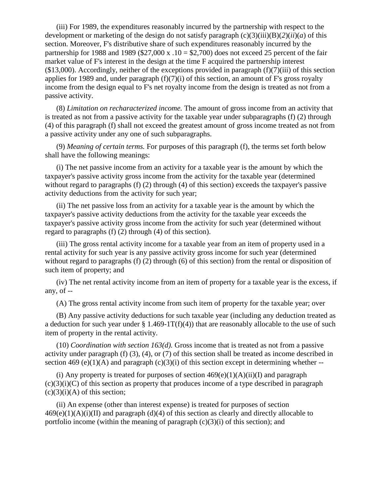(iii) For 1989, the expenditures reasonably incurred by the partnership with respect to the development or marketing of the design do not satisfy paragraph  $(c)(3)(iii)(B)(2)(ii)(a)$  of this section. Moreover, F's distributive share of such expenditures reasonably incurred by the partnership for 1988 and 1989 (\$27,000 x  $.10 = $2,700$ ) does not exceed 25 percent of the fair market value of F's interest in the design at the time F acquired the partnership interest  $(13,000)$ . Accordingly, neither of the exceptions provided in paragraph  $(f)(7)(iii)$  of this section applies for 1989 and, under paragraph  $(f)(7)(i)$  of this section, an amount of F's gross royalty income from the design equal to F's net royalty income from the design is treated as not from a passive activity.

(8) *Limitation on recharacterized income.* The amount of gross income from an activity that is treated as not from a passive activity for the taxable year under subparagraphs (f) (2) through (4) of this paragraph (f) shall not exceed the greatest amount of gross income treated as not from a passive activity under any one of such subparagraphs.

(9) *Meaning of certain terms.* For purposes of this paragraph (f), the terms set forth below shall have the following meanings:

(i) The net passive income from an activity for a taxable year is the amount by which the taxpayer's passive activity gross income from the activity for the taxable year (determined without regard to paragraphs (f) (2) through (4) of this section) exceeds the taxpayer's passive activity deductions from the activity for such year;

(ii) The net passive loss from an activity for a taxable year is the amount by which the taxpayer's passive activity deductions from the activity for the taxable year exceeds the taxpayer's passive activity gross income from the activity for such year (determined without regard to paragraphs (f) (2) through (4) of this section).

(iii) The gross rental activity income for a taxable year from an item of property used in a rental activity for such year is any passive activity gross income for such year (determined without regard to paragraphs (f) (2) through (6) of this section) from the rental or disposition of such item of property; and

(iv) The net rental activity income from an item of property for a taxable year is the excess, if any, of --

(A) The gross rental activity income from such item of property for the taxable year; over

(B) Any passive activity deductions for such taxable year (including any deduction treated as a deduction for such year under  $\S 1.469-1T(f)(4)$  that are reasonably allocable to the use of such item of property in the rental activity.

(10) *Coordination with section 163(d).* Gross income that is treated as not from a passive activity under paragraph (f) (3), (4), or (7) of this section shall be treated as income described in section 469 (e)(1)(A) and paragraph (c)(3)(i) of this section except in determining whether --

(i) Any property is treated for purposes of section  $469(e)(1)(A)(ii)(I)$  and paragraph  $(c)(3)(i)(C)$  of this section as property that produces income of a type described in paragraph  $(c)(3)(i)(A)$  of this section;

(ii) An expense (other than interest expense) is treated for purposes of section  $469(e)(1)(A)(i)(II)$  and paragraph (d)(4) of this section as clearly and directly allocable to portfolio income (within the meaning of paragraph  $(c)(3)(i)$  of this section); and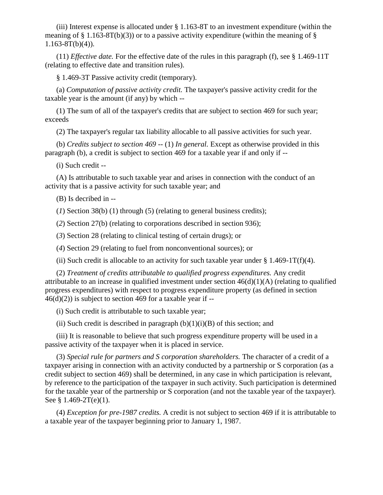(iii) Interest expense is allocated under § 1.163-8T to an investment expenditure (within the meaning of  $\S$  1.163-8T(b)(3)) or to a passive activity expenditure (within the meaning of  $\S$  $1.163-8T(b)(4)$ ).

(11) *Effective date.* For the effective date of the rules in this paragraph (f), see § 1.469-11T (relating to effective date and transition rules).

§ 1.469-3T Passive activity credit (temporary).

(a) *Computation of passive activity credit.* The taxpayer's passive activity credit for the taxable year is the amount (if any) by which --

(1) The sum of all of the taxpayer's credits that are subject to section 469 for such year; exceeds

(2) The taxpayer's regular tax liability allocable to all passive activities for such year.

(b) *Credits subject to section 469* -- (1) *In general*. Except as otherwise provided in this paragraph (b), a credit is subject to section 469 for a taxable year if and only if --

(i) Such credit --

(A) Is attributable to such taxable year and arises in connection with the conduct of an activity that is a passive activity for such taxable year; and

(B) Is decribed in --

(*1*) Section 38(b) (1) through (5) (relating to general business credits);

(*2*) Section 27(b) (relating to corporations described in section 936);

(*3*) Section 28 (relating to clinical testing of certain drugs); or

(*4*) Section 29 (relating to fuel from nonconventional sources); or

(ii) Such credit is allocable to an activity for such taxable year under  $\S 1.469-1T(f)(4)$ .

(2) *Treatment of credits attributable to qualified progress expenditures.* Any credit attributable to an increase in qualified investment under section  $46(d)(1)(A)$  (relating to qualified progress expenditures) with respect to progress expenditure property (as defined in section  $46(d)(2)$  is subject to section 469 for a taxable year if --

(i) Such credit is attributable to such taxable year;

(ii) Such credit is described in paragraph  $(b)(1)(i)(B)$  of this section; and

(iii) It is reasonable to believe that such progress expenditure property will be used in a passive activity of the taxpayer when it is placed in service.

(3) *Special rule for partners and S corporation shareholders.* The character of a credit of a taxpayer arising in connection with an activity conducted by a partnership or S corporation (as a credit subject to section 469) shall be determined, in any case in which participation is relevant, by reference to the participation of the taxpayer in such activity. Such participation is determined for the taxable year of the partnership or S corporation (and not the taxable year of the taxpayer). See § 1.469-2T(e)(1).

(4) *Exception for pre-1987 credits.* A credit is not subject to section 469 if it is attributable to a taxable year of the taxpayer beginning prior to January 1, 1987.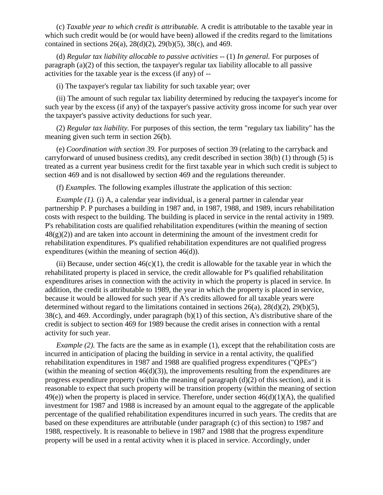(c) *Taxable year to which credit is attributable.* A credit is attributable to the taxable year in which such credit would be (or would have been) allowed if the credits regard to the limitations contained in sections 26(a), 28(d)(2), 29(b)(5), 38(c), and 469.

(d) *Regular tax liability allocable to passive activities* -- (1) *In general.* For purposes of paragraph (a)(2) of this section, the taxpayer's regular tax liability allocable to all passive activities for the taxable year is the excess (if any) of --

(i) The taxpayer's regular tax liability for such taxable year; over

(ii) The amount of such regular tax liability determined by reducing the taxpayer's income for such year by the excess (if any) of the taxpayer's passive activity gross income for such year over the taxpayer's passive activity deductions for such year.

(2) *Regular tax liability.* For purposes of this section, the term "regulary tax liability" has the meaning given such term in section 26(b).

(e) *Coordination with section 39.* For purposes of section 39 (relating to the carryback and carryforward of unused business credits), any credit described in section 38(b) (1) through (5) is treated as a current year business credit for the first taxable year in which such credit is subject to section 469 and is not disallowed by section 469 and the regulations thereunder.

(f) *Examples.* The following examples illustrate the application of this section:

*Example (1).* (i) A, a calendar year individual, is a general partner in calendar year partnership P. P purchases a building in 1987 and, in 1987, 1988, and 1989, incurs rehabilitation costs with respect to the building. The building is placed in service in the rental activity in 1989. P's rehabilitation costs are qualified rehabilitation expenditures (within the meaning of section  $48(g)(2)$ ) and are taken into account in determining the amount of the investment credit for rehabilitation expenditures. P's qualified rehabilitation expenditures are not qualified progress expenditures (within the meaning of section 46(d)).

(ii) Because, under section  $46(c)(1)$ , the credit is allowable for the taxable year in which the rehabilitated property is placed in service, the credit allowable for P's qualified rehabilitation expenditures arises in connection with the activity in which the property is placed in service. In addition, the credit is attributable to 1989, the year in which the property is placed in service, because it would be allowed for such year if A's credits allowed for all taxable years were determined without regard to the limitations contained in sections  $26(a)$ ,  $28(d)(2)$ ,  $29(b)(5)$ , 38(c), and 469. Accordingly, under paragraph (b)(1) of this section, A's distributive share of the credit is subject to section 469 for 1989 because the credit arises in connection with a rental activity for such year.

*Example (2).* The facts are the same as in example (1), except that the rehabilitation costs are incurred in anticipation of placing the building in service in a rental activity, the qualified rehabilitation expenditures in 1987 and 1988 are qualified progress expenditures ("QPEs") (within the meaning of section  $46(d)(3)$ ), the improvements resulting from the expenditures are progress expenditure property (within the meaning of paragraph (d)(2) of this section), and it is reasonable to expect that such property will be transition property (within the meaning of section  $49(e)$ ) when the property is placed in service. Therefore, under section  $46(d)(1)(A)$ , the qualified investment for 1987 and 1988 is increased by an amount equal to the aggregate of the applicable percentage of the qualified rehabilitation expenditures incurred in such years. The credits that are based on these expenditures are attributable (under paragraph (c) of this section) to 1987 and 1988, respectively. It is reasonable to believe in 1987 and 1988 that the progress expenditure property will be used in a rental activity when it is placed in service. Accordingly, under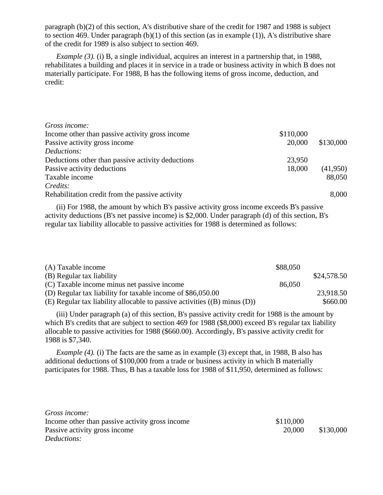paragraph (b)(2) of this section, A's distributive share of the credit for 1987 and 1988 is subject to section 469. Under paragraph  $(b)(1)$  of this section (as in example (1)), A's distributive share of the credit for 1989 is also subject to section 469.

*Example (3).* (i) B, a single individual, acquires an interest in a partnership that, in 1988, rehabilitates a building and places it in service in a trade or business activity in which B does not materially participate. For 1988, B has the following items of gross income, deduction, and credit:

| Gross income:                                     |           |           |
|---------------------------------------------------|-----------|-----------|
| Income other than passive activity gross income   | \$110,000 |           |
| Passive activity gross income                     | 20,000    | \$130,000 |
| Deductions:                                       |           |           |
| Deductions other than passive activity deductions | 23,950    |           |
| Passive activity deductions                       | 18,000    | (41,950)  |
| Taxable income                                    |           | 88,050    |
| Credits:                                          |           |           |
| Rehabilitation credit from the passive activity   |           | 8,000     |

(ii) For 1988, the amount by which B's passive activity gross income exceeds B's passive activity deductions (B's net passive income) is \$2,000. Under paragraph (d) of this section, B's regular tax liability allocable to passive activities for 1988 is determined as follows:

| (A) Taxable income                                                        | \$88,050 |             |
|---------------------------------------------------------------------------|----------|-------------|
| (B) Regular tax liability                                                 |          | \$24,578.50 |
| (C) Taxable income minus net passive income                               | 86,050   |             |
| (D) Regular tax liability for taxable income of \$86,050.00               |          | 23,918.50   |
| (E) Regular tax liability allocable to passive activities ((B) minus (D)) |          | \$660.00    |

(iii) Under paragraph (a) of this section, B's passive activity credit for 1988 is the amount by which B's credits that are subject to section 469 for 1988 (\$8,000) exceed B's regular tax liability allocable to passive activities for 1988 (\$660.00). Accordingly, B's passive activity credit for 1988 is \$7,340.

*Example (4).* (i) The facts are the same as in example (3) except that, in 1988, B also has additional deductions of \$100,000 from a trade or business activity in which B materially participates for 1988. Thus, B has a taxable loss for 1988 of \$11,950, determined as follows:

| Gross income:                                   |           |           |
|-------------------------------------------------|-----------|-----------|
| Income other than passive activity gross income | \$110,000 |           |
| Passive activity gross income                   | 20,000    | \$130,000 |
| Deductions:                                     |           |           |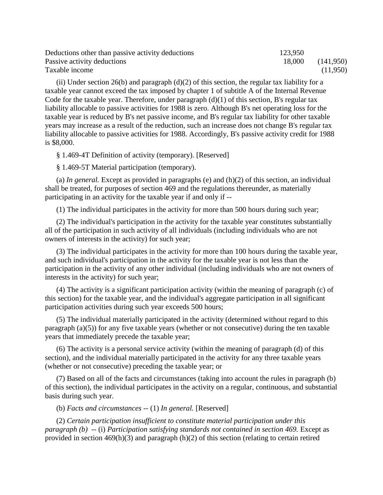| Deductions other than passive activity deductions | 123,950 |           |
|---------------------------------------------------|---------|-----------|
| Passive activity deductions                       | 18,000  | (141,950) |
| Taxable income                                    |         | (11,950)  |

(ii) Under section 26(b) and paragraph  $(d)(2)$  of this section, the regular tax liability for a taxable year cannot exceed the tax imposed by chapter 1 of subtitle A of the Internal Revenue Code for the taxable year. Therefore, under paragraph  $(d)(1)$  of this section, B's regular tax liability allocable to passive activities for 1988 is zero. Although B's net operating loss for the taxable year is reduced by B's net passive income, and B's regular tax liability for other taxable years may increase as a result of the reduction, such an increase does not change B's regular tax liability allocable to passive activities for 1988. Accordingly, B's passive activity credit for 1988 is \$8,000.

§ 1.469-4T Definition of activity (temporary). [Reserved]

§ 1.469-5T Material participation (temporary).

(a) *In general.* Except as provided in paragraphs (e) and (h)(2) of this section, an individual shall be treated, for purposes of section 469 and the regulations thereunder, as materially participating in an activity for the taxable year if and only if --

(1) The individual participates in the activity for more than 500 hours during such year;

(2) The individual's participation in the activity for the taxable year constitutes substantially all of the participation in such activity of all individuals (including individuals who are not owners of interests in the activity) for such year;

(3) The individual participates in the activity for more than 100 hours during the taxable year, and such individual's participation in the activity for the taxable year is not less than the participation in the activity of any other individual (including individuals who are not owners of interests in the activity) for such year;

(4) The activity is a significant participation activity (within the meaning of paragraph (c) of this section) for the taxable year, and the individual's aggregate participation in all significant participation activities during such year exceeds 500 hours;

(5) The individual materially participated in the activity (determined without regard to this paragraph (a)(5)) for any five taxable years (whether or not consecutive) during the ten taxable years that immediately precede the taxable year;

(6) The activity is a personal service activity (within the meaning of paragraph (d) of this section), and the individual materially participated in the activity for any three taxable years (whether or not consecutive) preceding the taxable year; or

(7) Based on all of the facts and circumstances (taking into account the rules in paragraph (b) of this section), the individual participates in the activity on a regular, continuous, and substantial basis during such year.

(b) *Facts and circumstances* -- (1) *In general.* [Reserved]

(2) *Certain participation insufficient to constitute material participation under this paragraph (b)* -- (i) *Participation satisfying standards not contained in section 469.* Except as provided in section 469(h)(3) and paragraph (h)(2) of this section (relating to certain retired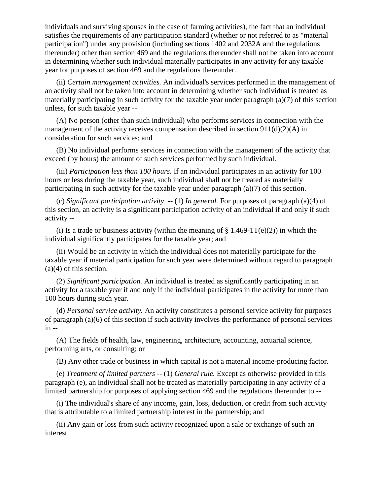individuals and surviving spouses in the case of farming activities), the fact that an individual satisfies the requirements of any participation standard (whether or not referred to as "material participation") under any provision (including sections 1402 and 2032A and the regulations thereunder) other than section 469 and the regulations thereunder shall not be taken into account in determining whether such individual materially participates in any activity for any taxable year for purposes of section 469 and the regulations thereunder.

(ii) *Certain management activities.* An individual's services performed in the management of an activity shall not be taken into account in determining whether such individual is treated as materially participating in such activity for the taxable year under paragraph (a)(7) of this section unless, for such taxable year --

(A) No person (other than such individual) who performs services in connection with the management of the activity receives compensation described in section  $911(d)(2)(A)$  in consideration for such services; and

(B) No individual performs services in connection with the management of the activity that exceed (by hours) the amount of such services performed by such individual.

(iii) *Participation less than 100 hours.* If an individual participates in an activity for 100 hours or less during the taxable year, such individual shall not be treated as materially participating in such activity for the taxable year under paragraph (a)(7) of this section.

(c) *Significant participation activity* -- (1) *In general.* For purposes of paragraph (a)(4) of this section, an activity is a significant participation activity of an individual if and only if such activity --

(i) Is a trade or business activity (within the meaning of  $\S$  1.469-1T(e)(2)) in which the individual significantly participates for the taxable year; and

(ii) Would be an activity in which the individual does not materially participate for the taxable year if material participation for such year were determined without regard to paragraph (a)(4) of this section.

(2) *Significant participation.* An individual is treated as significantly participating in an activity for a taxable year if and only if the individual participates in the activity for more than 100 hours during such year.

(d) *Personal service activity.* An activity constitutes a personal service activity for purposes of paragraph (a)(6) of this section if such activity involves the performance of personal services in --

(A) The fields of health, law, engineering, architecture, accounting, actuarial science, performing arts, or consulting; or

(B) Any other trade or business in which capital is not a material income-producing factor.

(e) *Treatment of limited partners --* (1) *General rule.* Except as otherwise provided in this paragraph (e), an individual shall not be treated as materially participating in any activity of a limited partnership for purposes of applying section 469 and the regulations thereunder to --

(i) The individual's share of any income, gain, loss, deduction, or credit from such activity that is attributable to a limited partnership interest in the partnership; and

(ii) Any gain or loss from such activity recognized upon a sale or exchange of such an interest.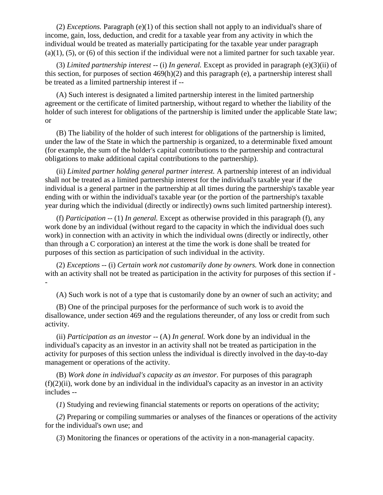(2) *Exceptions.* Paragraph (e)(1) of this section shall not apply to an individual's share of income, gain, loss, deduction, and credit for a taxable year from any activity in which the individual would be treated as materially participating for the taxable year under paragraph  $(a)(1)$ ,  $(5)$ , or  $(6)$  of this section if the individual were not a limited partner for such taxable year.

(3) *Limited partnership interest* -- (i) *In general.* Except as provided in paragraph (e)(3)(ii) of this section, for purposes of section  $469(h)(2)$  and this paragraph (e), a partnership interest shall be treated as a limited partnership interest if --

(A) Such interest is designated a limited partnership interest in the limited partnership agreement or the certificate of limited partnership, without regard to whether the liability of the holder of such interest for obligations of the partnership is limited under the applicable State law; or

(B) The liability of the holder of such interest for obligations of the partnership is limited, under the law of the State in which the partnership is organized, to a determinable fixed amount (for example, the sum of the holder's capital contributions to the partnership and contractural obligations to make additional capital contributions to the partnership).

(ii) *Limited partner holding general partner interest.* A partnership interest of an individual shall not be treated as a limited partnership interest for the individual's taxable year if the individual is a general partner in the partnership at all times during the partnership's taxable year ending with or within the individual's taxable year (or the portion of the partnership's taxable year during which the individual (directly or indirectly) owns such limited partnership interest).

(f) *Participation --* (1) *In general.* Except as otherwise provided in this paragraph (f), any work done by an individual (without regard to the capacity in which the individual does such work) in connection with an activity in which the individual owns (directly or indirectly, other than through a C corporation) an interest at the time the work is done shall be treated for purposes of this section as participation of such individual in the activity.

(2) *Exceptions* -- (i) *Certain work not customarily done by owners.* Work done in connection with an activity shall not be treated as participation in the activity for purposes of this section if --

(A) Such work is not of a type that is customarily done by an owner of such an activity; and

(B) One of the principal purposes for the performance of such work is to avoid the disallowance, under section 469 and the regulations thereunder, of any loss or credit from such activity.

(ii) *Participation as an investor* -- (A) *In general.* Work done by an individual in the individual's capacity as an investor in an activity shall not be treated as participation in the activity for purposes of this section unless the individual is directly involved in the day-to-day management or operations of the activity.

(B) *Work done in individual's capacity as an investor.* For purposes of this paragraph  $(f)(2)(ii)$ , work done by an individual in the individual's capacity as an investor in an activity includes --

(*1*) Studying and reviewing financial statements or reports on operations of the activity;

(*2*) Preparing or compiling summaries or analyses of the finances or operations of the activity for the individual's own use; and

(*3*) Monitoring the finances or operations of the activity in a non-managerial capacity.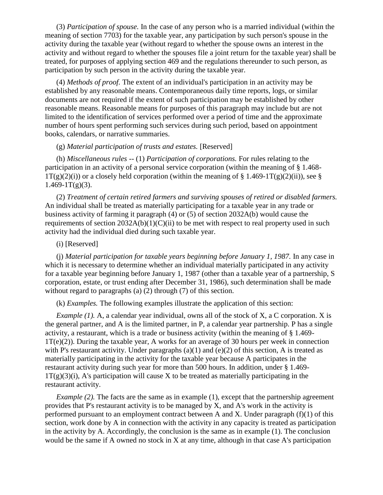(3) *Participation of spouse.* In the case of any person who is a married individual (within the meaning of section 7703) for the taxable year, any participation by such person's spouse in the activity during the taxable year (without regard to whether the spouse owns an interest in the activity and without regard to whether the spouses file a joint return for the taxable year) shall be treated, for purposes of applying section 469 and the regulations thereunder to such person, as participation by such person in the activity during the taxable year.

(4) *Methods of proof.* The extent of an individual's participation in an activity may be established by any reasonable means. Contemporaneous daily time reports, logs, or similar documents are not required if the extent of such participation may be established by other reasonable means. Reasonable means for purposes of this paragraph may include but are not limited to the identification of services performed over a period of time and the approximate number of hours spent performing such services during such period, based on appointment books, calendars, or narrative summaries.

### (g) *Material participation of trusts and estates.* [Reserved]

(h) *Miscellaneous rules* -- (1) *Participation of corporations.* For rules relating to the participation in an activity of a personal service corporation (within the meaning of § 1.468-  $1T(g)(2)(i)$  or a closely held corporation (within the meaning of § 1.469-1T(g)(2)(ii)), see §  $1.469 - 1T(g)(3)$ .

(2) *Treatment of certain retired farmers and surviving spouses of retired or disabled farmers.* An individual shall be treated as materially participating for a taxable year in any trade or business activity of farming it paragraph (4) or (5) of section 2032A(b) would cause the requirements of section  $2032A(b)(1)(C)(ii)$  to be met with respect to real property used in such activity had the individual died during such taxable year.

# (i) [Reserved]

(j) *Material participation for taxable years beginning before January 1, 1987.* In any case in which it is necessary to determine whether an individual materially participated in any activity for a taxable year beginning before January 1, 1987 (other than a taxable year of a partnership, S corporation, estate, or trust ending after December 31, 1986), such determination shall be made without regard to paragraphs (a) (2) through (7) of this section.

(k) *Examples.* The following examples illustrate the application of this section:

*Example (1).* A, a calendar year individual, owns all of the stock of X, a C corporation. X is the general partner, and A is the limited partner, in P, a calendar year partnership. P has a single activity, a restaurant, which is a trade or business activity (within the meaning of § 1.469- 1T(e)(2)). During the taxable year, A works for an average of 30 hours per week in connection with P's restaurant activity. Under paragraphs  $(a)(1)$  and  $(e)(2)$  of this section, A is treated as materially participating in the activity for the taxable year because A participates in the restaurant activity during such year for more than 500 hours. In addition, under § 1.469-  $1T(g)(3)(i)$ , A's participation will cause X to be treated as materially participating in the restaurant activity.

*Example (2).* The facts are the same as in example (1), except that the partnership agreement provides that P's restaurant activity is to be managed by X, and A's work in the activity is performed pursuant to an employment contract between A and X. Under paragraph (f)(1) of this section, work done by A in connection with the activity in any capacity is treated as participation in the activity by A. Accordingly, the conclusion is the same as in example (1). The conclusion would be the same if A owned no stock in X at any time, although in that case A's participation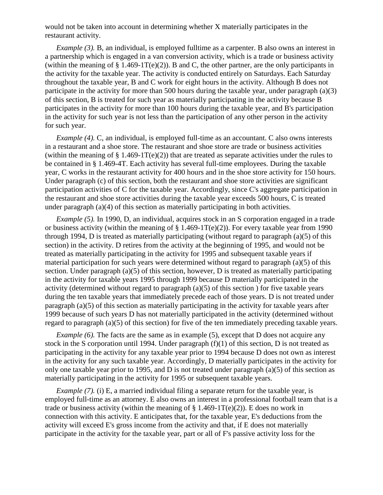would not be taken into account in determining whether X materially participates in the restaurant activity.

*Example (3).* B, an individual, is employed fulltime as a carpenter. B also owns an interest in a partnership which is engaged in a van conversion activity, which is a trade or business activity (within the meaning of  $\S$  1.469-1T(e)(2)). B and C, the other partner, are the only participants in the activity for the taxable year. The activity is conducted entirely on Saturdays. Each Saturday throughout the taxable year, B and C work for eight hours in the activity. Although B does not participate in the activity for more than 500 hours during the taxable year, under paragraph (a)(3) of this section, B is treated for such year as materially participating in the activity because B participates in the activity for more than 100 hours during the taxable year, and B's participation in the activity for such year is not less than the participation of any other person in the activity for such year.

*Example (4).* C, an individual, is employed full-time as an accountant. C also owns interests in a restaurant and a shoe store. The restaurant and shoe store are trade or business activities (within the meaning of  $\S$  1.469-1T(e)(2)) that are treated as separate activities under the rules to be contained in § 1.469-4T. Each activity has several full-time employees. During the taxable year, C works in the restaurant activity for 400 hours and in the shoe store activity for 150 hours. Under paragraph (c) of this section, both the restaurant and shoe store activities are significant participation activities of C for the taxable year. Accordingly, since C's aggregate participation in the restaurant and shoe store activities during the taxable year exceeds 500 hours, C is treated under paragraph (a)(4) of this section as materially participating in both activities.

*Example (5).* In 1990, D, an individual, acquires stock in an S corporation engaged in a trade or business activity (within the meaning of  $\S 1.469-1T(e)(2)$ ). For every taxable year from 1990 through 1994, D is treated as materially participating (without regard to paragraph (a)(5) of this section) in the activity. D retires from the activity at the beginning of 1995, and would not be treated as materially participating in the activity for 1995 and subsequent taxable years if material participation for such years were determined without regard to paragraph (a)(5) of this section. Under paragraph (a)(5) of this section, however, D is treated as materially participating in the activity for taxable years 1995 through 1999 because D materially participated in the activity (determined without regard to paragraph  $(a)(5)$  of this section) for five taxable years during the ten taxable years that immediately precede each of those years. D is not treated under paragraph (a)(5) of this section as materially participating in the activity for taxable years after 1999 because of such years D has not materially participated in the activity (determined without regard to paragraph (a)(5) of this section) for five of the ten immediately preceding taxable years.

*Example (6).* The facts are the same as in example (5), except that D does not acquire any stock in the S corporation until 1994. Under paragraph (f)(1) of this section, D is not treated as participating in the activity for any taxable year prior to 1994 because D does not own as interest in the activity for any such taxable year. Accordingly, D materially participates in the activity for only one taxable year prior to 1995, and D is not treated under paragraph (a)(5) of this section as materially participating in the activity for 1995 or subsequent taxable years.

*Example (7).* (i) E, a married individual filing a separate return for the taxable year, is employed full-time as an attorney. E also owns an interest in a professional football team that is a trade or business activity (within the meaning of  $\S 1.469-1T(e)(2)$ ). E does no work in connection with this activity. E anticipates that, for the taxable year, E's deductions from the activity will exceed E's gross income from the activity and that, if E does not materially participate in the activity for the taxable year, part or all of F's passive activity loss for the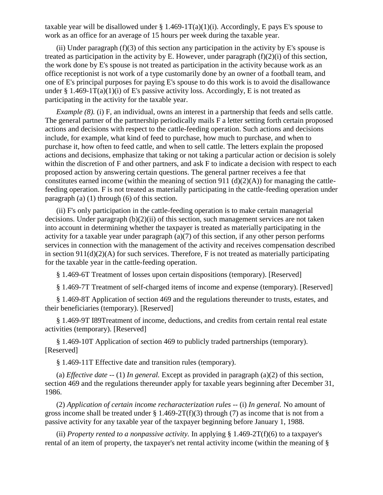taxable year will be disallowed under  $\S 1.469-1T(a)(1)(i)$ . Accordingly, E pays E's spouse to work as an office for an average of 15 hours per week during the taxable year.

(ii) Under paragraph  $(f)(3)$  of this section any participation in the activity by E's spouse is treated as participation in the activity by E. However, under paragraph (f)(2)(i) of this section, the work done by E's spouse is not treated as participation in the activity because work as an office receptionist is not work of a type customarily done by an owner of a football team, and one of E's principal purposes for paying E's spouse to do this work is to avoid the disallowance under § 1.469-1T(a)(1)(i) of E's passive activity loss. Accordingly, E is not treated as participating in the activity for the taxable year.

*Example (8).* (i) F, an individual, owns an interest in a partnership that feeds and sells cattle. The general partner of the partnership periodically mails F a letter setting forth certain proposed actions and decisions with respect to the cattle-feeding operation. Such actions and decisions include, for example, what kind of feed to purchase, how much to purchase, and when to purchase it, how often to feed cattle, and when to sell cattle. The letters explain the proposed actions and decisions, emphasize that taking or not taking a particular action or decision is solely within the discretion of F and other partners, and ask F to indicate a decision with respect to each proposed action by answering certain questions. The general partner receives a fee that constitutes earned income (within the meaning of section 911 (d)(2)(A)) for managing the cattlefeeding operation. F is not treated as materially participating in the cattle-feeding operation under paragraph (a) (1) through (6) of this section.

(ii) F's only participation in the cattle-feeding operation is to make certain managerial decisions. Under paragraph (b)(2)(ii) of this section, such management services are not taken into account in determining whether the taxpayer is treated as materially participating in the activity for a taxable year under paragraph (a)(7) of this section, if any other person performs services in connection with the management of the activity and receives compensation described in section  $911(d)(2)(A)$  for such services. Therefore, F is not treated as materially participating for the taxable year in the cattle-feeding operation.

§ 1.469-6T Treatment of losses upon certain dispositions (temporary). [Reserved]

§ 1.469-7T Treatment of self-charged items of income and expense (temporary). [Reserved]

§ 1.469-8T Application of section 469 and the regulations thereunder to trusts, estates, and their beneficiaries (temporary). [Reserved]

§ 1.469-9T I89Treatment of income, deductions, and credits from certain rental real estate activities (temporary). [Reserved]

§ 1.469-10T Application of section 469 to publicly traded partnerships (temporary). [Reserved]

§ 1.469-11T Effective date and transition rules (temporary).

(a) *Effective date --* (1) *In general.* Except as provided in paragraph (a)(2) of this section, section 469 and the regulations thereunder apply for taxable years beginning after December 31, 1986.

(2) *Application of certain income recharacterization rules --* (i) *In general.* No amount of gross income shall be treated under  $\S 1.469-2T(f)(3)$  through (7) as income that is not from a passive activity for any taxable year of the taxpayer beginning before January 1, 1988.

(ii) *Property rented to a nonpassive activity*. In applying  $\S 1.469-2T(f)(6)$  to a taxpayer's rental of an item of property, the taxpayer's net rental activity income (within the meaning of §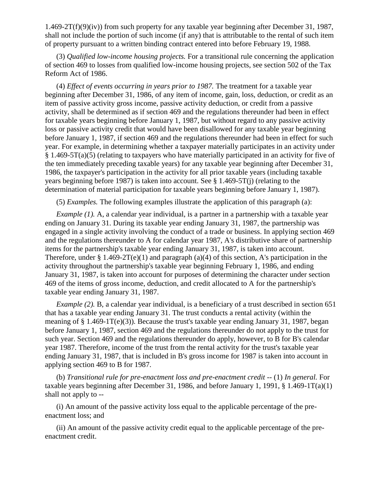1.469-2T(f)(9)(iv)) from such property for any taxable year beginning after December 31, 1987, shall not include the portion of such income (if any) that is attributable to the rental of such item of property pursuant to a written binding contract entered into before February 19, 1988.

(3) *Qualified low-income housing projects.* For a transitional rule concerning the application of section 469 to losses from qualified low-income housing projects, see section 502 of the Tax Reform Act of 1986.

(4) *Effect of events occurring in years prior to 1987.* The treatment for a taxable year beginning after December 31, 1986, of any item of income, gain, loss, deduction, or credit as an item of passive activity gross income, passive activity deduction, or credit from a passive activity, shall be determined as if section 469 and the regulations thereunder had been in effect for taxable years beginning before January 1, 1987, but without regard to any passive activity loss or passive activity credit that would have been disallowed for any taxable year beginning before January 1, 1987, if section 469 and the regulations thereunder had been in effect for such year. For example, in determining whether a taxpayer materially participates in an activity under § 1.469-5T(a)(5) (relating to taxpayers who have materially participated in an activity for five of the ten immediately preceding taxable years) for any taxable year beginning after December 31, 1986, the taxpayer's participation in the activity for all prior taxable years (including taxable years beginning before 1987) is taken into account. See § 1.469-5T(j) (relating to the determination of material participation for taxable years beginning before January 1, 1987).

(5) *Examples.* The following examples illustrate the application of this paragraph (a):

*Example (1).* A, a calendar year individual, is a partner in a partnership with a taxable year ending on January 31. During its taxable year ending January 31, 1987, the partnership was engaged in a single activity involving the conduct of a trade or business. In applying section 469 and the regulations thereunder to A for calendar year 1987, A's distributive share of partnership items for the partnership's taxable year ending January 31, 1987, is taken into account. Therefore, under  $\S 1.469-2T(e)(1)$  and paragraph (a)(4) of this section, A's participation in the activity throughout the partnership's taxable year beginning February 1, 1986, and ending January 31, 1987, is taken into account for purposes of determining the character under section 469 of the items of gross income, deduction, and credit allocated to A for the partnership's taxable year ending January 31, 1987.

*Example (2).* B, a calendar year individual, is a beneficiary of a trust described in section 651 that has a taxable year ending January 31. The trust conducts a rental activity (within the meaning of  $\S 1.469-1T(e)(3)$ ). Because the trust's taxable year ending January 31, 1987, began before January 1, 1987, section 469 and the regulations thereunder do not apply to the trust for such year. Section 469 and the regulations thereunder do apply, however, to B for B's calendar year 1987. Therefore, income of the trust from the rental activity for the trust's taxable year ending January 31, 1987, that is included in B's gross income for 1987 is taken into account in applying section 469 to B for 1987.

(b) *Transitional rule for pre-enactment loss and pre-enactment credit* -- (1) *In general.* For taxable years beginning after December 31, 1986, and before January 1, 1991, § 1.469-1T(a)(1) shall not apply to --

(i) An amount of the passive activity loss equal to the applicable percentage of the preenactment loss; and

(ii) An amount of the passive activity credit equal to the applicable percentage of the preenactment credit.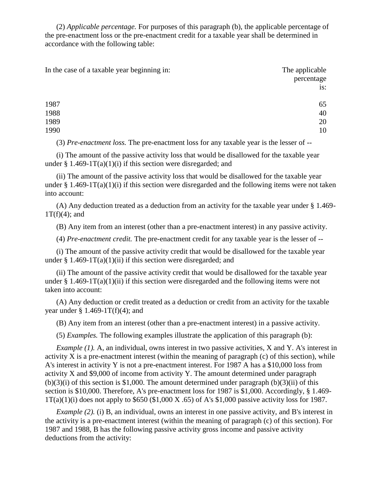(2) *Applicable percentage.* For purposes of this paragraph (b), the applicable percentage of the pre-enactment loss or the pre-enactment credit for a taxable year shall be determined in accordance with the following table:

| In the case of a taxable year beginning in: | The applicable |
|---------------------------------------------|----------------|
|                                             | percentage     |
|                                             | is:            |
| 1987                                        | 65             |
| 1988                                        | 40             |
| 1989                                        | 20             |
| 1990                                        | 10             |

(3) *Pre-enactment loss.* The pre-enactment loss for any taxable year is the lesser of --

(i) The amount of the passive activity loss that would be disallowed for the taxable year under § 1.469-1 $T(a)(1)(i)$  if this section were disregarded; and

(ii) The amount of the passive activity loss that would be disallowed for the taxable year under § 1.469-1T(a)(1)(i) if this section were disregarded and the following items were not taken into account:

(A) Any deduction treated as a deduction from an activity for the taxable year under § 1.469-  $1T(f)(4)$ ; and

(B) Any item from an interest (other than a pre-enactment interest) in any passive activity.

(4) *Pre-enactment credit.* The pre-enactment credit for any taxable year is the lesser of --

(i) The amount of the passive activity credit that would be disallowed for the taxable year under  $\S 1.469-1T(a)(1)(ii)$  if this section were disregarded; and

(ii) The amount of the passive activity credit that would be disallowed for the taxable year under § 1.469-1T(a)(1)(ii) if this section were disregarded and the following items were not taken into account:

(A) Any deduction or credit treated as a deduction or credit from an activity for the taxable year under  $\S 1.469-1T(f)(4)$ ; and

(B) Any item from an interest (other than a pre-enactment interest) in a passive activity.

(5) *Examples.* The following examples illustrate the application of this paragraph (b):

*Example (1).* A, an individual, owns interest in two passive activities, X and Y. A's interest in activity X is a pre-enactment interest (within the meaning of paragraph  $(c)$  of this section), while A's interest in activity Y is not a pre-enactment interest. For 1987 A has a \$10,000 loss from activity X and \$9,000 of income from activity Y. The amount determined under paragraph  $(b)(3)(i)$  of this section is \$1,000. The amount determined under paragraph  $(b)(3)(ii)$  of this section is \$10,000. Therefore, A's pre-enactment loss for 1987 is \$1,000. Accordingly, § 1.469-  $1T(a)(1)(i)$  does not apply to \$650 (\$1,000 X .65) of A's \$1,000 passive activity loss for 1987.

*Example (2).* (i) B, an individual, owns an interest in one passive activity, and B's interest in the activity is a pre-enactment interest (within the meaning of paragraph (c) of this section). For 1987 and 1988, B has the following passive activity gross income and passive activity deductions from the activity: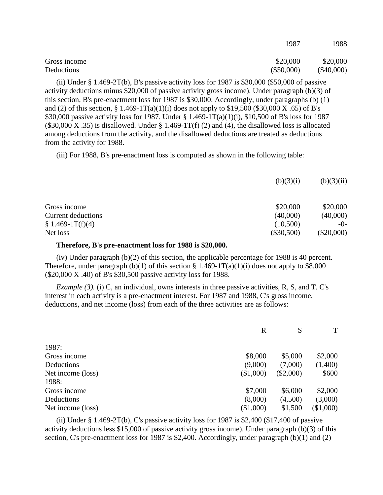|              | 170 I        | 1700         |
|--------------|--------------|--------------|
| Gross income | \$20,000     | \$20,000     |
| Deductions   | $(\$50,000)$ | $(\$40,000)$ |

1987 1988

(ii) Under  $\S 1.469-2T(b)$ , B's passive activity loss for 1987 is \$30,000 (\$50,000 of passive activity deductions minus \$20,000 of passive activity gross income). Under paragraph (b)(3) of this section, B's pre-enactment loss for 1987 is \$30,000. Accordingly, under paragraphs (b) (1) and (2) of this section,  $\S 1.469 - 1T(a)(1)(i)$  does not apply to  $\S 19,500$  (\$30,000 X .65) of B's \$30,000 passive activity loss for 1987. Under § 1.469-1T(a)(1)(i), \$10,500 of B's loss for 1987  $(\$30,000 X .35)$  is disallowed. Under § 1.469-1T(f) (2) and (4), the disallowed loss is allocated among deductions from the activity, and the disallowed deductions are treated as deductions from the activity for 1988.

(iii) For 1988, B's pre-enactment loss is computed as shown in the following table:

| (b)(3)(i)    | (b)(3)(ii)   |
|--------------|--------------|
| \$20,000     | \$20,000     |
| (40,000)     | (40,000)     |
| (10,500)     | $-()$ -      |
| $(\$30,500)$ | $(\$20,000)$ |
|              |              |

#### **Therefore, B's pre-enactment loss for 1988 is \$20,000.**

(iv) Under paragraph (b)(2) of this section, the applicable percentage for 1988 is 40 percent. Therefore, under paragraph (b)(1) of this section § 1.469-1T(a)(1)(i) does not apply to \$8,000 (\$20,000 X .40) of B's \$30,500 passive activity loss for 1988.

*Example (3).* (i) C, an individual, owns interests in three passive activities, R, S, and T. C's interest in each activity is a pre-enactment interest. For 1987 and 1988, C's gross income, deductions, and net income (loss) from each of the three activities are as follows:

|                   | $\mathbf R$ | S           | T         |
|-------------------|-------------|-------------|-----------|
| 1987:             |             |             |           |
| Gross income      | \$8,000     | \$5,000     | \$2,000   |
| Deductions        | (9,000)     | (7,000)     | (1,400)   |
| Net income (loss) | (\$1,000)   | $(\$2,000)$ | \$600     |
| 1988:             |             |             |           |
| Gross income      | \$7,000     | \$6,000     | \$2,000   |
| Deductions        | (8,000)     | (4,500)     | (3,000)   |
| Net income (loss) | (\$1,000)   | \$1,500     | (\$1,000) |

(ii) Under  $\S 1.469-2T(b)$ , C's passive activity loss for 1987 is \$2,400 (\$17,400 of passive activity deductions less \$15,000 of passive activity gross income). Under paragraph (b)(3) of this section, C's pre-enactment loss for 1987 is \$2,400. Accordingly, under paragraph (b)(1) and (2)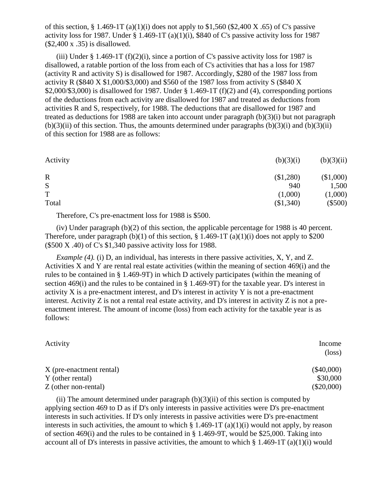of this section,  $\S 1.469-1T (a)(1)(i)$  does not apply to  $\S 1,560 (\$2,400 X .65)$  of C's passive activity loss for 1987. Under  $\S$  1.469-1T (a)(1)(i), \$840 of C's passive activity loss for 1987 (\$2,400 x .35) is disallowed.

(iii) Under  $\S 1.469-1T (f)(2)(i)$ , since a portion of C's passive activity loss for 1987 is disallowed, a ratable portion of the loss from each of C's activities that has a loss for 1987 (activity R and activity S) is disallowed for 1987. Accordingly, \$280 of the 1987 loss from activity R (\$840 X \$1,000/\$3,000) and \$560 of the 1987 loss from activity S (\$840 X  $$2,000/\$3,000$  is disallowed for 1987. Under  $§$  1.469-1T (f)(2) and (4), corresponding portions of the deductions from each activity are disallowed for 1987 and treated as deductions from activities R and S, respectively, for 1988. The deductions that are disallowed for 1987 and treated as deductions for 1988 are taken into account under paragraph (b)(3)(i) but not paragraph  $(b)(3)(ii)$  of this section. Thus, the amounts determined under paragraphs  $(b)(3)(i)$  and  $(b)(3)(ii)$ of this section for 1988 are as follows:

| (b)(3)(i) | (b)(3)(ii) |
|-----------|------------|
| (\$1,280) | (\$1,000)  |
| 940       | 1,500      |
| (1,000)   | (1,000)    |
| (\$1,340) | $(\$500)$  |
|           |            |

Therefore, C's pre-enactment loss for 1988 is \$500.

(iv) Under paragraph (b)(2) of this section, the applicable percentage for 1988 is 40 percent. Therefore, under paragraph (b)(1) of this section,  $\S$  1.469-1T (a)(1)(i) does not apply to \$200 (\$500 X .40) of C's \$1,340 passive activity loss for 1988.

*Example (4).* (i) D, an individual, has interests in there passive activities, X, Y, and Z. Activities X and Y are rental real estate activities (within the meaning of section 469(i) and the rules to be contained in § 1.469-9T) in which D actively participates (within the meaning of section 469(i) and the rules to be contained in § 1.469-9T) for the taxable year. D's interest in activity X is a pre-enactment interest, and D's interest in activity Y is not a pre-enactment interest. Activity  $Z$  is not a rental real estate activity, and  $D$ 's interest in activity  $Z$  is not a preenactment interest. The amount of income (loss) from each activity for the taxable year is as follows:

| Activity                                     | Income<br>$(\text{loss})$ |
|----------------------------------------------|---------------------------|
| X (pre-enactment rental)<br>Y (other rental) | $(\$40,000)$<br>\$30,000  |
| Z (other non-rental)                         | $(\$20,000)$              |

(ii) The amount determined under paragraph  $(b)(3)(ii)$  of this section is computed by applying section 469 to D as if D's only interests in passive activities were D's pre-enactment interests in such activities. If D's only interests in passive activities were D's pre-enactment interests in such activities, the amount to which  $\S$  1.469-1T (a)(1)(i) would not apply, by reason of section 469(i) and the rules to be contained in  $\S 1.469-9T$ , would be \$25,000. Taking into account all of D's interests in passive activities, the amount to which  $\S 1.469-1T (a)(1)(i)$  would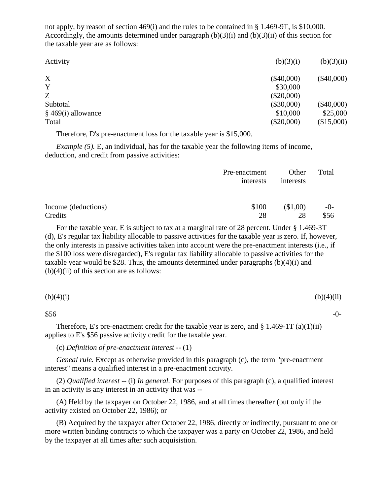not apply, by reason of section 469(i) and the rules to be contained in § 1.469-9T, is \$10,000. Accordingly, the amounts determined under paragraph  $(b)(3)(i)$  and  $(b)(3)(ii)$  of this section for the taxable year are as follows:

| Activity             | (b)(3)(i)    | (b)(3)(ii)   |
|----------------------|--------------|--------------|
| X                    | $(\$40,000)$ | $(\$40,000)$ |
| Y                    | \$30,000     |              |
| Z                    | $(\$20,000)$ |              |
| Subtotal             | $(\$30,000)$ | $(\$40,000)$ |
| $§$ 469(i) allowance | \$10,000     | \$25,000     |
| Total                | $(\$20,000)$ | (\$15,000)   |
|                      |              |              |

Therefore, D's pre-enactment loss for the taxable year is \$15,000.

*Example (5).* E, an individual, has for the taxable year the following items of income, deduction, and credit from passive activities:

|                     | Pre-enactment<br>interests | Other<br>interests | Total |
|---------------------|----------------------------|--------------------|-------|
| Income (deductions) | \$100                      | $\$1,00)$          | $-0-$ |
| Credits             | 28                         | 28                 | \$56  |

For the taxable year, E is subject to tax at a marginal rate of 28 percent. Under § 1.469-3T (d), E's regular tax liability allocable to passive activities for the taxable year is zero. If, however, the only interests in passive activities taken into account were the pre-enactment interests (i.e., if the \$100 loss were disregarded), E's regular tax liability allocable to passive activities for the taxable year would be \$28. Thus, the amounts determined under paragraphs  $(b)(4)(i)$  and  $(b)(4)(ii)$  of this section are as follows:

| (b)(4)(i) | (b)(4)(ii) |
|-----------|------------|
|           |            |

 $\$56$  -0-

Therefore, E's pre-enactment credit for the taxable year is zero, and  $\S 1.469-1T (a)(1)(ii)$ applies to E's \$56 passive activity credit for the taxable year.

(c) *Definition of pre-enactment interest --* (1)

*Geneal rule.* Except as otherwise provided in this paragraph (c), the term "pre-enactment interest" means a qualified interest in a pre-enactment activity.

(2) *Qualified interest --* (i) *In general.* For purposes of this paragraph (c), a qualified interest in an activity is any interest in an activity that was --

(A) Held by the taxpayer on October 22, 1986, and at all times thereafter (but only if the activity existed on October 22, 1986); or

(B) Acquired by the taxpayer after October 22, 1986, directly or indirectly, pursuant to one or more written binding contracts to which the taxpayer was a party on October 22, 1986, and held by the taxpayer at all times after such acquisistion.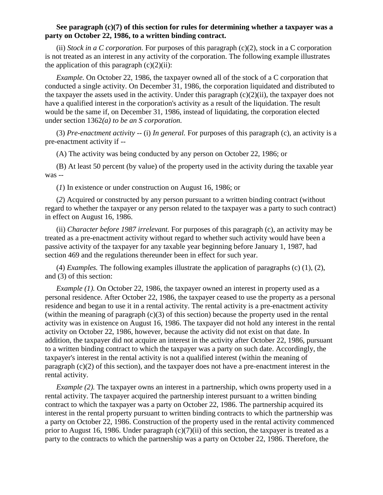### **See paragraph (c)(7) of this section for rules for determining whether a taxpayer was a party on October 22, 1986, to a written binding contract.**

(ii) *Stock in a C corporation.* For purposes of this paragraph (c)(2), stock in a C corporation is not treated as an interest in any activity of the corporation. The following example illustrates the application of this paragraph  $(c)(2)(ii)$ :

*Example.* On October 22, 1986, the taxpayer owned all of the stock of a C corporation that conducted a single activity. On December 31, 1986, the corporation liquidated and distributed to the taxpayer the assets used in the activity. Under this paragraph  $(c)(2)(ii)$ , the taxpayer does not have a qualified interest in the corporation's activity as a result of the liquidation. The result would be the same if, on December 31, 1986, instead of liquidating, the corporation elected under section 1362*(a) to be an S corporation.* 

(3) *Pre-enactment activity* -- (i) *In general.* For purposes of this paragraph (c), an activity is a pre-enactment activity if --

(A) The activity was being conducted by any person on October 22, 1986; or

(B) At least 50 percent (by value) of the property used in the activity during the taxable year was --

(*1*) In existence or under construction on August 16, 1986; or

(*2*) Acquired or constructed by any person pursuant to a written binding contract (without regard to whether the taxpayer or any person related to the taxpayer was a party to such contract) in effect on August 16, 1986.

(ii) *Character before 1987 irrelevant.* For purposes of this paragraph (c), an activity may be treated as a pre-enactment activity without regard to whether such activity would have been a passive activity of the taxpayer for any taxable year beginning before January 1, 1987, had section 469 and the regulations thereunder been in effect for such year.

(4) *Examples.* The following examples illustrate the application of paragraphs (c) (1), (2), and (3) of this section:

*Example (1).* On October 22, 1986, the taxpayer owned an interest in property used as a personal residence. After October 22, 1986, the taxpayer ceased to use the property as a personal residence and began to use it in a rental activity. The rental activity is a pre-enactment activity (within the meaning of paragraph  $(c)(3)$  of this section) because the property used in the rental activity was in existence on August 16, 1986. The taxpayer did not hold any interest in the rental activity on October 22, 1986, however, because the activity did not exist on that date. In addition, the taxpayer did not acquire an interest in the activity after October 22, 1986, pursuant to a written binding contract to which the taxpayer was a party on such date. Accordingly, the taxpayer's interest in the rental activity is not a qualified interest (within the meaning of paragraph (c)(2) of this section), and the taxpayer does not have a pre-enactment interest in the rental activity.

*Example (2).* The taxpayer owns an interest in a partnership, which owns property used in a rental activity. The taxpayer acquired the partnership interest pursuant to a written binding contract to which the taxpayer was a party on October 22, 1986. The partnership acquired its interest in the rental property pursuant to written binding contracts to which the partnership was a party on October 22, 1986. Construction of the property used in the rental activity commenced prior to August 16, 1986. Under paragraph (c)(7)(ii) of this section, the taxpayer is treated as a party to the contracts to which the partnership was a party on October 22, 1986. Therefore, the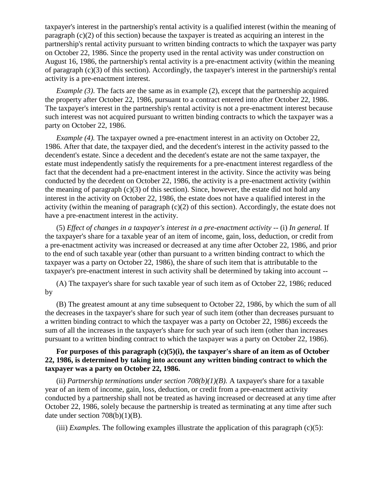taxpayer's interest in the partnership's rental activity is a qualified interest (within the meaning of paragraph (c)(2) of this section) because the taxpayer is treated as acquiring an interest in the partnership's rental activity pursuant to written binding contracts to which the taxpayer was party on October 22, 1986. Since the property used in the rental activity was under construction on August 16, 1986, the partnership's rental activity is a pre-enactment activity (within the meaning of paragraph (c)(3) of this section). Accordingly, the taxpayer's interest in the partnership's rental activity is a pre-enactment interest.

*Example (3)*. The facts are the same as in example (2), except that the partnership acquired the property after October 22, 1986, pursuant to a contract entered into after October 22, 1986. The taxpayer's interest in the partnership's rental activity is not a pre-enactment interest because such interest was not acquired pursuant to written binding contracts to which the taxpayer was a party on October 22, 1986.

*Example (4).* The taxpayer owned a pre-enactment interest in an activity on October 22, 1986. After that date, the taxpayer died, and the decedent's interest in the activity passed to the decendent's estate. Since a decedent and the decedent's estate are not the same taxpayer, the estate must independently satisfy the requirements for a pre-enactment interest regardless of the fact that the decendent had a pre-enactment interest in the activity. Since the activity was being conducted by the decedent on October 22, 1986, the activity is a pre-enactment activity (within the meaning of paragraph  $(c)(3)$  of this section). Since, however, the estate did not hold any interest in the activity on October 22, 1986, the estate does not have a qualified interest in the activity (within the meaning of paragraph  $(c)(2)$  of this section). Accordingly, the estate does not have a pre-enactment interest in the activity.

(5) *Effect of changes in a taxpayer's interest in a pre-enactment activity --* (i) *In general.* If the taxpayer's share for a taxable year of an item of income, gain, loss, deduction, or credit from a pre-enactment activity was increased or decreased at any time after October 22, 1986, and prior to the end of such taxable year (other than pursuant to a written binding contract to which the taxpayer was a party on October 22, 1986), the share of such item that is attributable to the taxpayer's pre-enactment interest in such activity shall be determined by taking into account --

(A) The taxpayer's share for such taxable year of such item as of October 22, 1986; reduced by

(B) The greatest amount at any time subsequent to October 22, 1986, by which the sum of all the decreases in the taxpayer's share for such year of such item (other than decreases pursuant to a written binding contract to which the taxpayer was a party on October 22, 1986) exceeds the sum of all the increases in the taxpayer's share for such year of such item (other than increases pursuant to a written binding contract to which the taxpayer was a party on October 22, 1986).

## For purposes of this paragraph (c)(5)(i), the taxpayer's share of an item as of October **22, 1986, is determined by taking into account any written binding contract to which the taxpayer was a party on October 22, 1986.**

(ii) *Partnership terminations under section 708(b)(1)(B)*. A taxpayer's share for a taxable year of an item of income, gain, loss, deduction, or credit from a pre-enactment activity conducted by a partnership shall not be treated as having increased or decreased at any time after October 22, 1986, solely because the partnership is treated as terminating at any time after such date under section 708(b)(1)(B).

(iii) *Examples*. The following examples illustrate the application of this paragraph  $(c)(5)$ :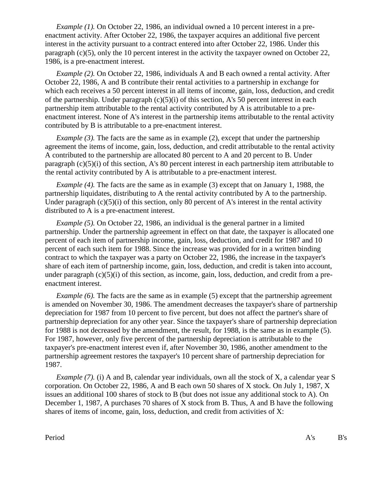*Example (1).* On October 22, 1986, an individual owned a 10 percent interest in a preenactment activity. After October 22, 1986, the taxpayer acquires an additional five percent interest in the activity pursuant to a contract entered into after October 22, 1986. Under this paragraph  $(c)(5)$ , only the 10 percent interest in the activity the taxpayer owned on October 22, 1986, is a pre-enactment interest.

*Example (2).* On October 22, 1986, individuals A and B each owned a rental activity. After October 22, 1986, A and B contribute their rental activities to a partnership in exchange for which each receives a 50 percent interest in all items of income, gain, loss, deduction, and credit of the partnership. Under paragraph  $(c)(5)(i)$  of this section, A's 50 percent interest in each partnership item attributable to the rental activity contributed by A is attributable to a preenactment interest. None of A's interest in the partnership items attributable to the rental activity contributed by B is attributable to a pre-enactment interest.

*Example (3).* The facts are the same as in example (2), except that under the partnership agreement the items of income, gain, loss, deduction, and credit attributable to the rental activity A contributed to the partnership are allocated 80 percent to A and 20 percent to B. Under paragraph (c)(5)(i) of this section, A's 80 percent interest in each partnership item attributable to the rental activity contributed by A is attributable to a pre-enactment interest.

*Example (4).* The facts are the same as in example (3) except that on January 1, 1988, the partnership liquidates, distributing to A the rental activity contributed by A to the partnership. Under paragraph  $(c)(5)(i)$  of this section, only 80 percent of A's interest in the rental activity distributed to A is a pre-enactment interest.

*Example (5).* On October 22, 1986, an individual is the general partner in a limited partnership. Under the partnership agreement in effect on that date, the taxpayer is allocated one percent of each item of partnership income, gain, loss, deduction, and credit for 1987 and 10 percent of each such item for 1988. Since the increase was provided for in a written binding contract to which the taxpayer was a party on October 22, 1986, the increase in the taxpayer's share of each item of partnership income, gain, loss, deduction, and credit is taken into account, under paragraph (c)(5)(i) of this section, as income, gain, loss, deduction, and credit from a preenactment interest.

*Example (6).* The facts are the same as in example (5) except that the partnership agreement is amended on November 30, 1986. The amendment decreases the taxpayer's share of partnership depreciation for 1987 from 10 percent to five percent, but does not affect the partner's share of partnership depreciation for any other year. Since the taxpayer's share of partnership depreciation for 1988 is not decreased by the amendment, the result, for 1988, is the same as in example (5). For 1987, however, only five percent of the partnership depreciation is attributable to the taxpayer's pre-enactment interest even if, after November 30, 1986, another amendment to the partnership agreement restores the taxpayer's 10 percent share of partnership depreciation for 1987.

*Example (7).* (i) A and B, calendar year individuals, own all the stock of X, a calendar year S corporation. On October 22, 1986, A and B each own 50 shares of X stock. On July 1, 1987, X issues an additional 100 shares of stock to B (but does not issue any additional stock to A). On December 1, 1987, A purchases 70 shares of X stock from B. Thus, A and B have the following shares of items of income, gain, loss, deduction, and credit from activities of X: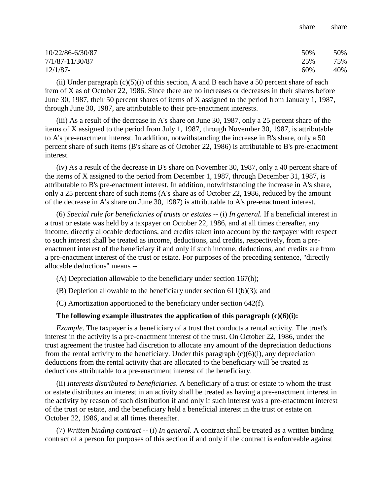| 10/22/86-6/30/87 | 50% | 50% |
|------------------|-----|-----|
| 7/1/87-11/30/87  | 25% | 75% |
| $12/1/87$ -      | 60% | 40% |

share share

(ii) Under paragraph  $(c)(5)(i)$  of this section, A and B each have a 50 percent share of each item of X as of October 22, 1986. Since there are no increases or decreases in their shares before June 30, 1987, their 50 percent shares of items of X assigned to the period from January 1, 1987, through June 30, 1987, are attributable to their pre-enactment interests.

(iii) As a result of the decrease in A's share on June 30, 1987, only a 25 percent share of the items of X assigned to the period from July 1, 1987, through November 30, 1987, is attributable to A's pre-enactment interest. In addition, notwithstanding the increase in B's share, only a 50 percent share of such items (B's share as of October 22, 1986) is attributable to B's pre-enactment interest.

(iv) As a result of the decrease in B's share on November 30, 1987, only a 40 percent share of the items of X assigned to the period from December 1, 1987, through December 31, 1987, is attributable to B's pre-enactment interest. In addition, notwithstanding the increase in A's share, only a 25 percent share of such items (A's share as of October 22, 1986, reduced by the amount of the decrease in A's share on June 30, 1987) is attributable to A's pre-enactment interest.

(6) *Special rule for beneficiaries of trusts or estates* -- (i) *In general.* If a beneficial interest in a trust or estate was held by a taxpayer on October 22, 1986, and at all times thereafter, any income, directly allocable deductions, and credits taken into account by the taxpayer with respect to such interest shall be treated as income, deductions, and credits, respectively, from a preenactment interest of the beneficiary if and only if such income, deductions, and credits are from a pre-enactment interest of the trust or estate. For purposes of the preceding sentence, "directly allocable deductions" means --

- (A) Depreciation allowable to the beneficiary under section 167(h);
- (B) Depletion allowable to the beneficiary under section  $611(b)(3)$ ; and
- (C) Amortization apportioned to the beneficiary under section 642(f).

#### **The following example illustrates the application of this paragraph (c)(6)(i):**

*Example*. The taxpayer is a beneficiary of a trust that conducts a rental activity. The trust's interest in the activity is a pre-enactment interest of the trust. On October 22, 1986, under the trust agreement the trustee had discretion to allocate any amount of the depreciation deductions from the rental activity to the beneficiary. Under this paragraph  $(c)(6)(i)$ , any depreciation deductions from the rental activity that are allocated to the beneficiary will be treated as deductions attributable to a pre-enactment interest of the beneficiary.

(ii) *Interests distributed to beneficiaries*. A beneficiary of a trust or estate to whom the trust or estate distributes an interest in an activity shall be treated as having a pre-enactment interest in the activity by reason of such distribution if and only if such interest was a pre-enactment interest of the trust or estate, and the beneficiary held a beneficial interest in the trust or estate on October 22, 1986, and at all times thereafter.

(7) *Written binding contract* -- (i) *In general*. A contract shall be treated as a written binding contract of a person for purposes of this section if and only if the contract is enforceable against